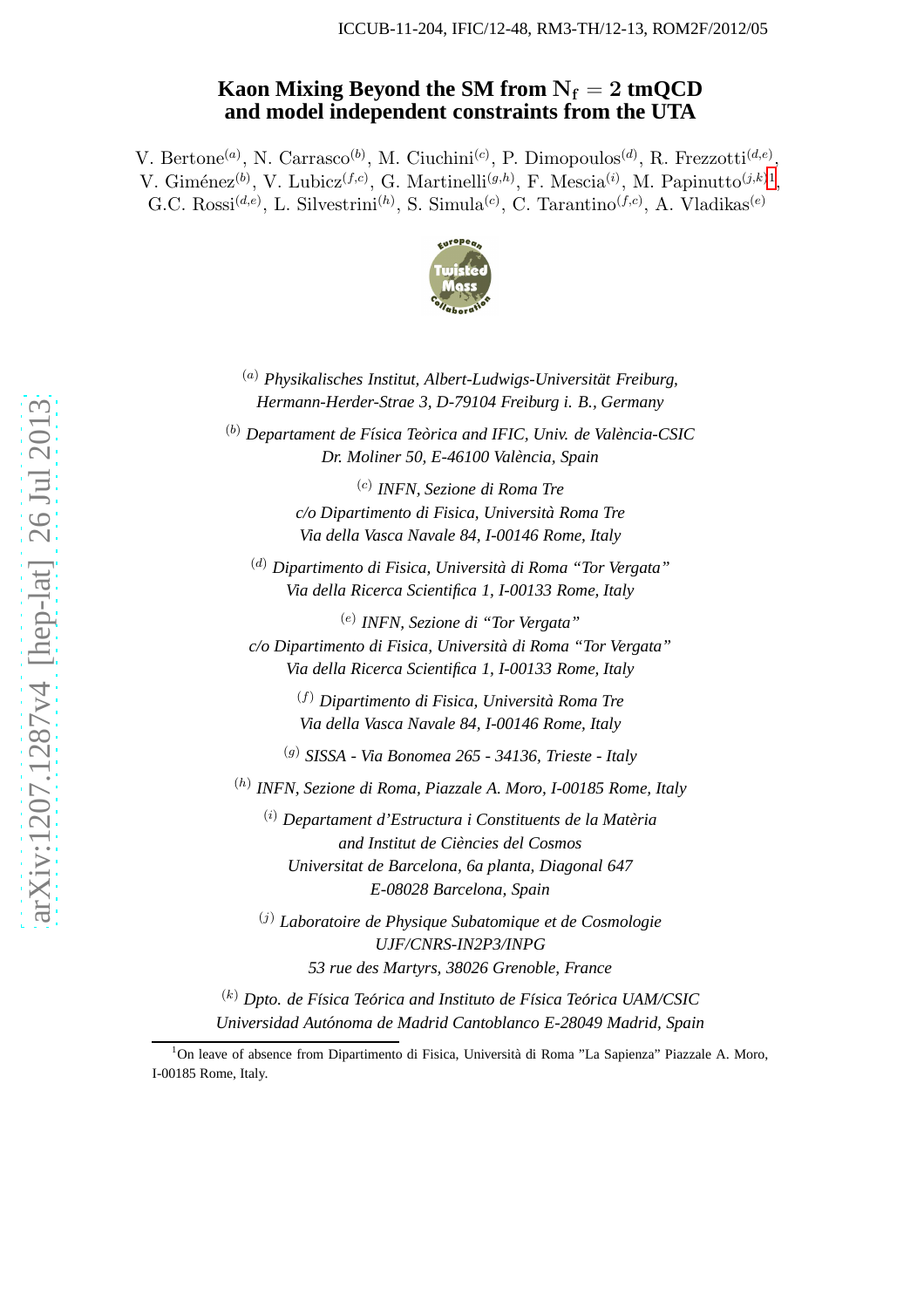# Kaon Mixing Beyond the SM from  $N_f = 2 \text{ tmQCD}$ **and model independent constraints from the UTA**

V. Bertone<sup>(a)</sup>, N. Carrasco<sup>(b)</sup>, M. Ciuchini<sup>(c)</sup>, P. Dimopoulos<sup>(d)</sup>, R. Frezzotti<sup>(d,e)</sup>, V. Giménez<sup>(b)</sup>, V. Lubicz<sup>(f,c)</sup>, G. Martinelli<sup>(g,h)</sup>, F. Mescia<sup>(i)</sup>, M. Papinutto<sup>(j,k)[1](#page-0-0)</sup>, G.C. Rossi<sup>(d,e)</sup>, L. Silvestrini<sup>(h)</sup>, S. Simula<sup>(c)</sup>, C. Tarantino<sup>(f,c)</sup>, A. Vladikas<sup>(e)</sup>



<sup>(a)</sup> Physikalisches Institut, Albert-Ludwigs-Universität Freiburg, *Hermann-Herder-Strae 3, D-79104 Freiburg i. B., Germany*

<sup>(b)</sup> Departament de Física Teòrica and IFIC, Univ. de València-CSIC *Dr. Moliner 50, E-46100 Valencia, Spain `*

> (c) *INFN, Sezione di Roma Tre c/o Dipartimento di Fisica, Universita Roma Tre ` Via della Vasca Navale 84, I-00146 Rome, Italy*

( d ) *Dipartimento di Fisica, Universita di Roma "Tor Vergata" ` Via della Ricerca Scientifica 1, I-00133 Rome, Italy*

(e) *INFN, Sezione di "Tor Vergata" c/o Dipartimento di Fisica, Universita di Roma "Tor Vergata" ` Via della Ricerca Scientifica 1, I-00133 Rome, Italy*

> (f) *Dipartimento di Fisica, Universita Roma Tre ` Via della Vasca Navale 84, I-00146 Rome, Italy*

( g ) *SISSA - Via Bonomea 265 - 34136, Trieste - Italy*

( h ) *INFN, Sezione di Roma, Piazzale A. Moro, I-00185 Rome, Italy*

(i) *Departament d'Estructura i Constituents de la Materia ` and Institut de Ciencies del Cosmos ` Universitat de Barcelona, 6a planta, Diagonal 647 E-08028 Barcelona, Spain*

( j ) *Laboratoire de Physique Subatomique et de Cosmologie UJF/CNRS-IN2P3/INPG 53 rue des Martyrs, 38026 Grenoble, France*

<sup>(k)</sup> Dpto. de Física Teórica and Instituto de Física Teórica UAM/CSIC *Universidad Autonoma de Madrid Cantoblanco E-28049 Madrid, Spain ´*

<span id="page-0-0"></span> $1$ On leave of absence from Dipartimento di Fisica, Università di Roma "La Sapienza" Piazzale A. Moro, I-00185 Rome, Italy.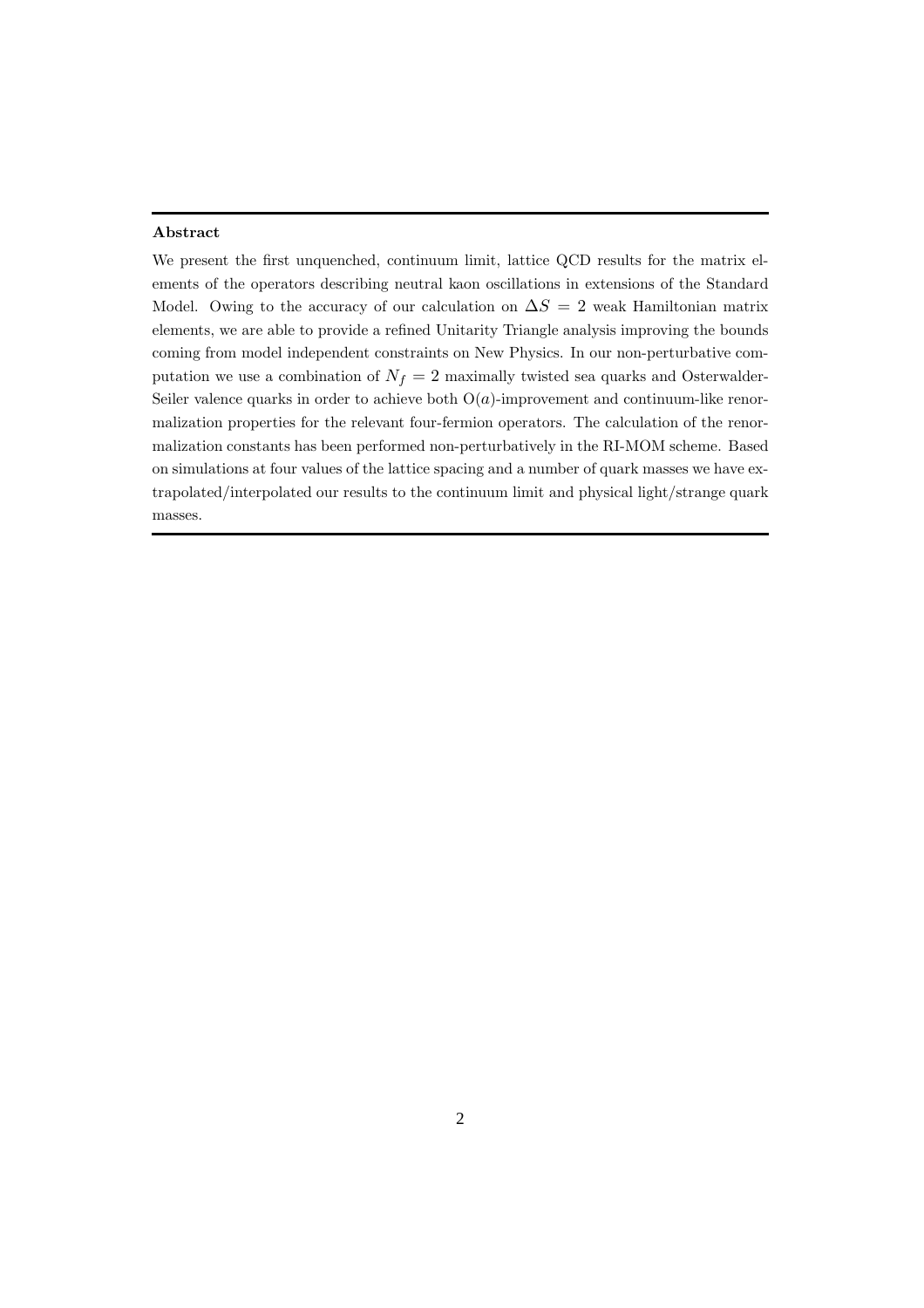#### Abstract

We present the first unquenched, continuum limit, lattice QCD results for the matrix elements of the operators describing neutral kaon oscillations in extensions of the Standard Model. Owing to the accuracy of our calculation on  $\Delta S = 2$  weak Hamiltonian matrix elements, we are able to provide a refined Unitarity Triangle analysis improving the bounds coming from model independent constraints on New Physics. In our non-perturbative computation we use a combination of  $N_f = 2$  maximally twisted sea quarks and Osterwalder-Seiler valence quarks in order to achieve both  $O(a)$ -improvement and continuum-like renormalization properties for the relevant four-fermion operators. The calculation of the renormalization constants has been performed non-perturbatively in the RI-MOM scheme. Based on simulations at four values of the lattice spacing and a number of quark masses we have extrapolated/interpolated our results to the continuum limit and physical light/strange quark masses.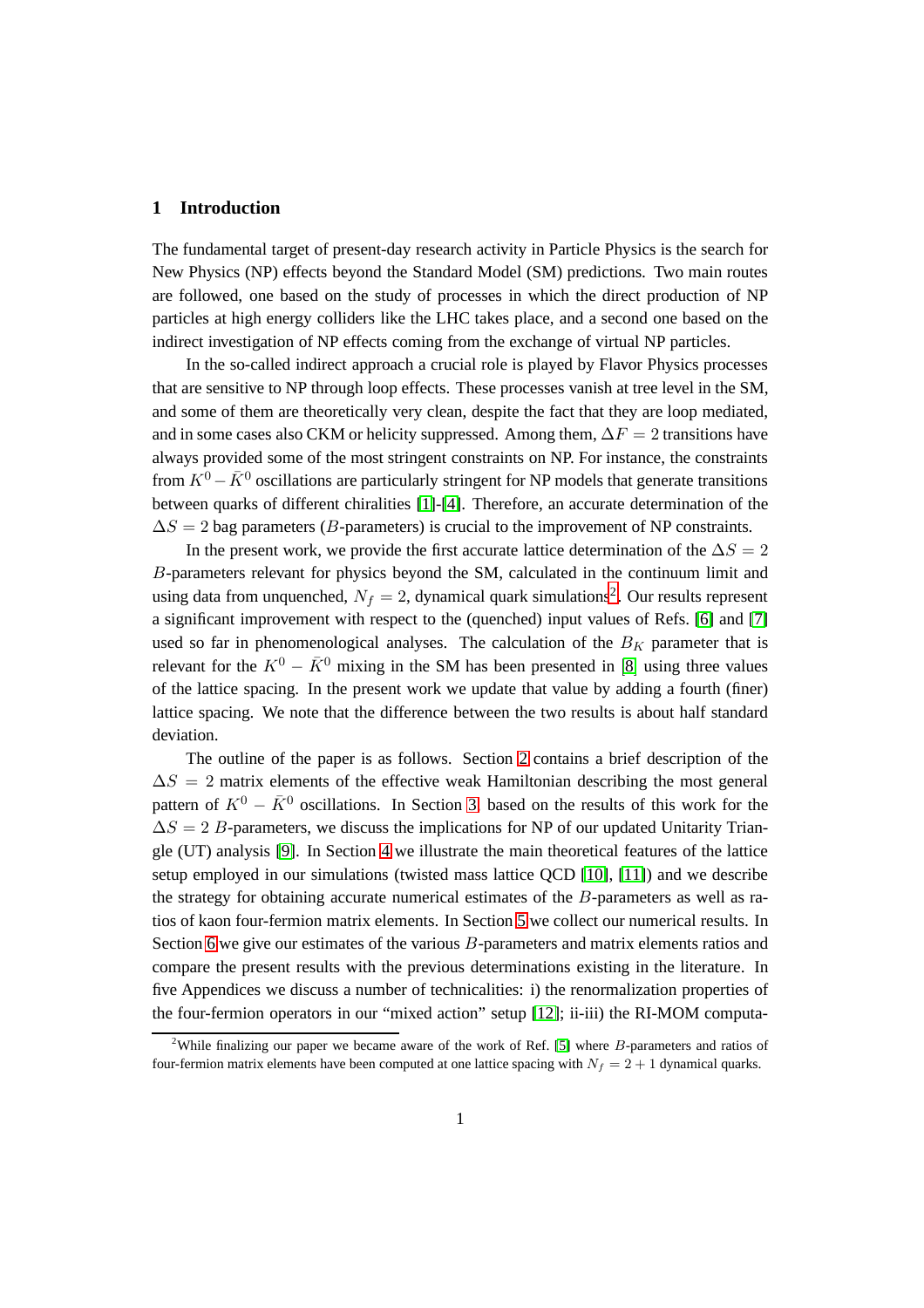#### **1 Introduction**

The fundamental target of present-day research activity in Particle Physics is the search for New Physics (NP) effects beyond the Standard Model (SM) predictions. Two main routes are followed, one based on the study of processes in which the direct production of NP particles at high energy colliders like the LHC takes place, and a second one based on the indirect investigation of NP effects coming from the exchange of virtual NP particles.

In the so-called indirect approach a crucial role is played by Flavor Physics processes that are sensitive to NP through loop effects. These processes vanish at tree level in the SM, and some of them are theoretically very clean, despite the fact that they are loop mediated, and in some cases also CKM or helicity suppressed. Among them,  $\Delta F = 2$  transitions have always provided some of the most stringent constraints on NP. For instance, the constraints from  $K^0 - \bar{K}^0$  oscillations are particularly stringent for NP models that generate transitions between quarks of different chiralities [\[1\]](#page-61-0)-[\[4\]](#page-61-1). Therefore, an accurate determination of the  $\Delta S = 2$  bag parameters (B-parameters) is crucial to the improvement of NP constraints.

In the present work, we provide the first accurate lattice determination of the  $\Delta S = 2$ B-parameters relevant for physics beyond the SM, calculated in the continuum limit and using data from unquenched,  $N_f = 2$  $N_f = 2$ , dynamical quark simulations<sup>2</sup>. Our results represent a significant improvement with respect to the (quenched) input values of Refs. [\[6\]](#page-61-2) and [\[7\]](#page-61-3) used so far in phenomenological analyses. The calculation of the  $B_K$  parameter that is relevant for the  $K^0 - \bar{K}^0$  mixing in the SM has been presented in [[8](#page-61-4)] using three values of the lattice spacing. In the present work we update that value by adding a fourth (finer) lattice spacing. We note that the difference between the two results is about half standard deviation.

The outline of the paper is as follows. Section [2](#page-3-0) contains a brief description of the  $\Delta S = 2$  matrix elements of the effective weak Hamiltonian describing the most general pattern of  $K^0 - \bar{K}^0$  oscillations. In Section [3,](#page-5-0) based on the results of this work for the  $\Delta S = 2 B$ -parameters, we discuss the implications for NP of our updated Unitarity Triangle (UT) analysis [\[9\]](#page-61-5). In Section [4](#page-8-0) we illustrate the main theoretical features of the lattice setup employed in our simulations (twisted mass lattice QCD [\[10\]](#page-61-6), [\[11\]](#page-61-7)) and we describe the strategy for obtaining accurate numerical estimates of the B-parameters as well as ratios of kaon four-fermion matrix elements. In Section [5](#page-15-0) we collect our numerical results. In Section [6](#page-23-0) we give our estimates of the various B-parameters and matrix elements ratios and compare the present results with the previous determinations existing in the literature. In five Appendices we discuss a number of technicalities: i) the renormalization properties of the four-fermion operators in our "mixed action" setup [\[12\]](#page-61-8); ii-iii) the RI-MOM computa-

<span id="page-2-0"></span><sup>&</sup>lt;sup>2</sup>While finalizing our paper we became aware of the work of Ref. [\[5\]](#page-61-9) where  $B$ -parameters and ratios of four-fermion matrix elements have been computed at one lattice spacing with  $N_f = 2 + 1$  dynamical quarks.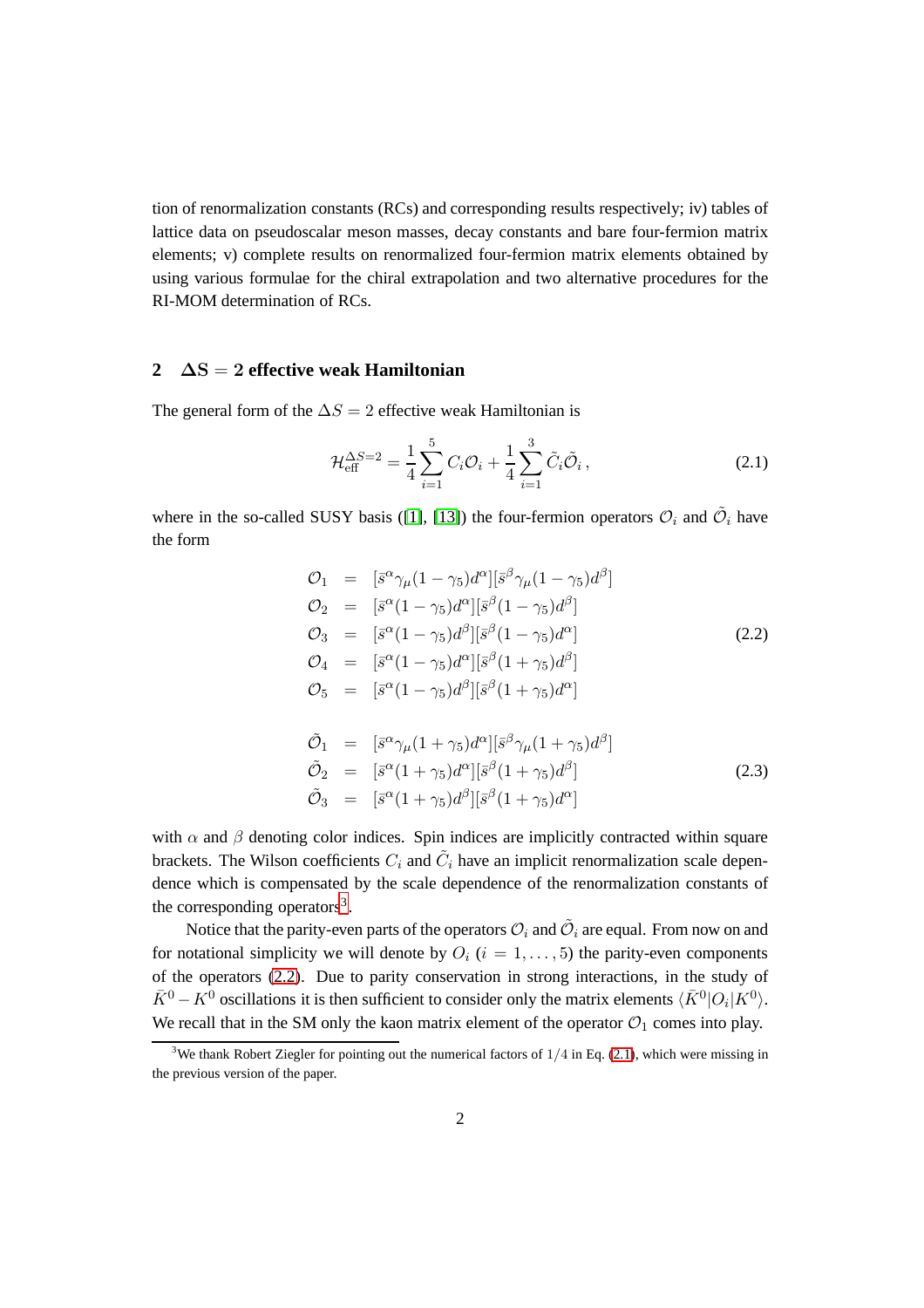tion of renormalization constants (RCs) and corresponding results respectively; iv) tables of lattice data on pseudoscalar meson masses, decay constants and bare four-fermion matrix elements; v) complete results on renormalized four-fermion matrix elements obtained by using various formulae for the chiral extrapolation and two alternative procedures for the RI-MOM determination of RCs.

## <span id="page-3-0"></span>**2** ∆S = 2 **effective weak Hamiltonian**

The general form of the  $\Delta S = 2$  effective weak Hamiltonian is

<span id="page-3-3"></span>
$$
\mathcal{H}_{\text{eff}}^{\Delta S=2} = \frac{1}{4} \sum_{i=1}^{5} C_i \mathcal{O}_i + \frac{1}{4} \sum_{i=1}^{3} \tilde{C}_i \tilde{\mathcal{O}}_i , \qquad (2.1)
$$

where in the so-called SUSY basis ([\[1\]](#page-61-0), [\[13\]](#page-62-0)) the four-fermion operators  $\mathcal{O}_i$  and  $\tilde{\mathcal{O}}_i$  have the form

<span id="page-3-2"></span>
$$
\begin{array}{rcl}\n\mathcal{O}_{1} & = & [\bar{s}^{\alpha} \gamma_{\mu} (1 - \gamma_{5}) d^{\alpha}] [\bar{s}^{\beta} \gamma_{\mu} (1 - \gamma_{5}) d^{\beta}] \\
\mathcal{O}_{2} & = & [\bar{s}^{\alpha} (1 - \gamma_{5}) d^{\alpha}] [\bar{s}^{\beta} (1 - \gamma_{5}) d^{\beta}] \\
\mathcal{O}_{3} & = & [\bar{s}^{\alpha} (1 - \gamma_{5}) d^{\beta}] [\bar{s}^{\beta} (1 - \gamma_{5}) d^{\alpha}] \\
\mathcal{O}_{4} & = & [\bar{s}^{\alpha} (1 - \gamma_{5}) d^{\alpha}] [\bar{s}^{\beta} (1 + \gamma_{5}) d^{\beta}] \\
\mathcal{O}_{5} & = & [\bar{s}^{\alpha} (1 - \gamma_{5}) d^{\beta}] [\bar{s}^{\beta} (1 + \gamma_{5}) d^{\alpha}] \\
\end{array} \tag{2.2}
$$

$$
\tilde{\mathcal{O}}_1 = [\bar{s}^{\alpha} \gamma_{\mu} (1 + \gamma_5) d^{\alpha}] [\bar{s}^{\beta} \gamma_{\mu} (1 + \gamma_5) d^{\beta}] \n\tilde{\mathcal{O}}_2 = [\bar{s}^{\alpha} (1 + \gamma_5) d^{\alpha}] [\bar{s}^{\beta} (1 + \gamma_5) d^{\beta}] \n\tilde{\mathcal{O}}_3 = [\bar{s}^{\alpha} (1 + \gamma_5) d^{\beta}] [\bar{s}^{\beta} (1 + \gamma_5) d^{\alpha}]
$$
\n(2.3)

with  $\alpha$  and  $\beta$  denoting color indices. Spin indices are implicitly contracted within square brackets. The Wilson coefficients  $C_i$  and  $\tilde{C}_i$  have an implicit renormalization scale dependence which is compensated by the scale dependence of the renormalization constants of the corresponding operators<sup>[3](#page-3-1)</sup>.

Notice that the parity-even parts of the operators  $\mathcal{O}_i$  and  $\tilde{\mathcal{O}}_i$  are equal. From now on and for notational simplicity we will denote by  $O_i$  ( $i = 1, \ldots, 5$ ) the parity-even components of the operators [\(2.2\)](#page-3-2). Due to parity conservation in strong interactions, in the study of  $\bar{K}^0 - K^0$  oscillations it is then sufficient to consider only the matrix elements  $\langle \bar{K}^0 | O_i | K^0 \rangle$ . We recall that in the SM only the kaon matrix element of the operator  $\mathcal{O}_1$  comes into play.

<span id="page-3-1"></span><sup>&</sup>lt;sup>3</sup>We thank Robert Ziegler for pointing out the numerical factors of  $1/4$  in Eq. [\(2.1\)](#page-3-3), which were missing in the previous version of the paper.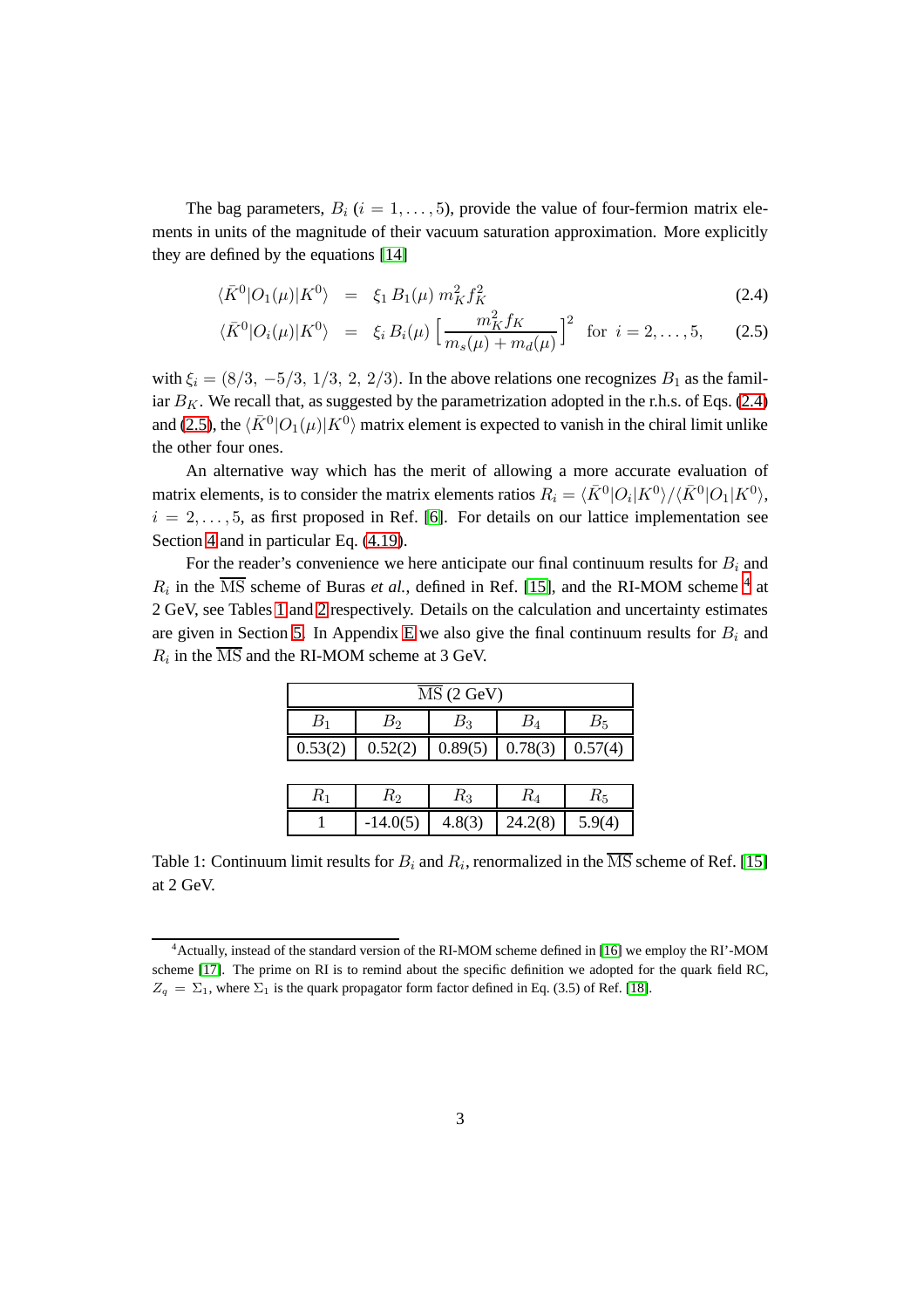The bag parameters,  $B_i$  ( $i = 1, \ldots, 5$ ), provide the value of four-fermion matrix elements in units of the magnitude of their vacuum saturation approximation. More explicitly they are defined by the equations [\[14\]](#page-62-1)

<span id="page-4-0"></span>
$$
\langle \bar{K}^0 | O_1(\mu) | K^0 \rangle = \xi_1 B_1(\mu) m_K^2 f_K^2
$$
 (2.4)

$$
\langle \bar{K}^0 | O_i(\mu) | K^0 \rangle = \xi_i B_i(\mu) \left[ \frac{m_K^2 f_K}{m_s(\mu) + m_d(\mu)} \right]^2 \text{ for } i = 2, ..., 5, \quad (2.5)
$$

with  $\xi_i = (8/3, -5/3, 1/3, 2, 2/3)$ . In the above relations one recognizes  $B_1$  as the familiar  $B_K$ . We recall that, as suggested by the parametrization adopted in the r.h.s. of Eqs. [\(2.4\)](#page-4-0) and [\(2.5\)](#page-4-0), the  $\langle \bar{K}^0|O_1(\mu)|K^0\rangle$  matrix element is expected to vanish in the chiral limit unlike the other four ones.

An alternative way which has the merit of allowing a more accurate evaluation of matrix elements, is to consider the matrix elements ratios  $R_i = \langle \bar{K}^0|O_i|K^0\rangle/\langle \bar{K}^0|O_1|K^0\rangle$ ,  $i = 2, \ldots, 5$ , as first proposed in Ref. [\[6\]](#page-61-2). For details on our lattice implementation see Section [4](#page-8-0) and in particular Eq. [\(4.19\)](#page-14-0).

For the reader's convenience we here anticipate our final continuum results for  $B_i$  and  $R_i$  in the  $\overline{\text{MS}}$  scheme of Buras *et al.*, defined in Ref. [\[15\]](#page-62-2), and the RI-MOM scheme <sup>[4](#page-4-1)</sup> at 2 GeV, see Tables [1](#page-4-2) and [2](#page-5-1) respectively. Details on the calculation and uncertainty estimates are given in Section [5.](#page-15-0) In Appendix [E](#page-55-0) we also give the final continuum results for  $B_i$  and  $R_i$  in the MS and the RI-MOM scheme at 3 GeV.

| MS(2 GeV) |                     |         |         |                       |  |
|-----------|---------------------|---------|---------|-----------------------|--|
|           | Вэ<br>Βз<br>$B_{5}$ |         |         |                       |  |
| 0.53(2)   | 0.52(2)             | 0.89(5) | 0.78(3) | $\mid 0.57(4)\rangle$ |  |

| エレフ | Γv         | nз     |         | Γι5    |
|-----|------------|--------|---------|--------|
|     | $-14.0(5)$ | 4.8(3) | 24.2(8) | 5.9(4) |

<span id="page-4-2"></span>Table 1: Continuum limit results for  $B_i$  and  $R_i$ , renormalized in the  $\overline{\text{MS}}$  scheme of Ref. [\[15\]](#page-62-2) at 2 GeV.

<span id="page-4-1"></span><sup>4</sup>Actually, instead of the standard version of the RI-MOM scheme defined in [\[16\]](#page-62-3) we employ the RI'-MOM scheme [\[17\]](#page-62-4). The prime on RI is to remind about the specific definition we adopted for the quark field RC,  $Z_q = \Sigma_1$ , where  $\Sigma_1$  is the quark propagator form factor defined in Eq. (3.5) of Ref. [\[18\]](#page-62-5).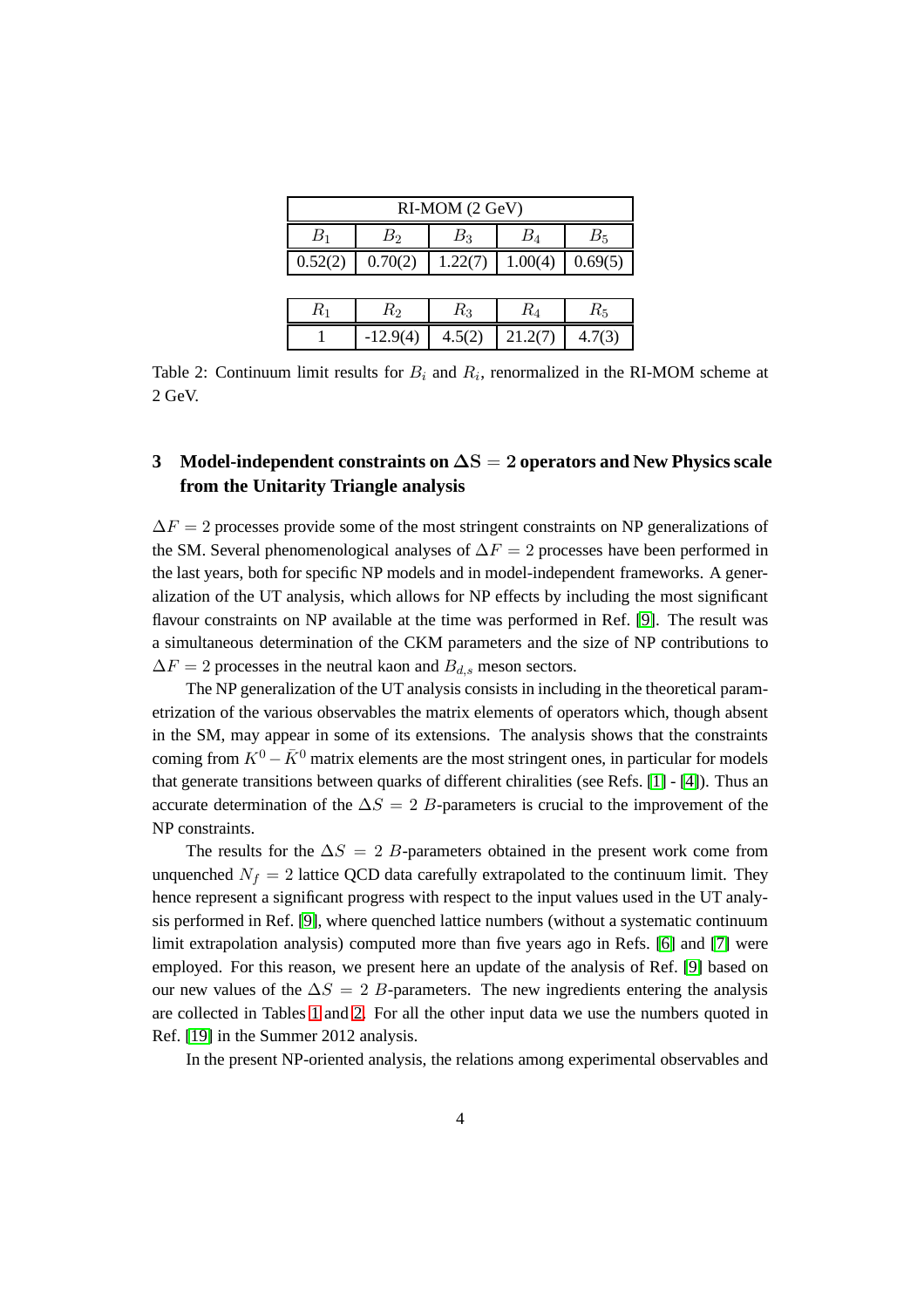| RI-MOM (2 GeV)                           |                                          |         |         |        |  |  |  |
|------------------------------------------|------------------------------------------|---------|---------|--------|--|--|--|
| $B_1$                                    | $B_{4}$<br>$B_{5}$<br>$B_{2}$<br>$B_{3}$ |         |         |        |  |  |  |
| 0.52(2)                                  | 0.70(2)                                  | 1.00(4) | 0.69(5) |        |  |  |  |
|                                          |                                          |         |         |        |  |  |  |
| $R_{\rm 2}$<br>$R_3$<br>$R_{4}$<br>$R_1$ |                                          |         |         | $R_5$  |  |  |  |
|                                          | $-12.9(4)$                               | 4.5(2)  | 21.2(7) | 4.7(3) |  |  |  |

<span id="page-5-1"></span>Table 2: Continuum limit results for  $B_i$  and  $R_i$ , renormalized in the RI-MOM scheme at 2 GeV.

# <span id="page-5-0"></span>**3 Model-independent constraints on** ∆S = 2 **operators and New Physics scale from the Unitarity Triangle analysis**

 $\Delta F = 2$  processes provide some of the most stringent constraints on NP generalizations of the SM. Several phenomenological analyses of  $\Delta F = 2$  processes have been performed in the last years, both for specific NP models and in model-independent frameworks. A generalization of the UT analysis, which allows for NP effects by including the most significant flavour constraints on NP available at the time was performed in Ref. [\[9\]](#page-61-5). The result was a simultaneous determination of the CKM parameters and the size of NP contributions to  $\Delta F = 2$  processes in the neutral kaon and  $B_{d,s}$  meson sectors.

The NP generalization of the UT analysis consists in including in the theoretical parametrization of the various observables the matrix elements of operators which, though absent in the SM, may appear in some of its extensions. The analysis shows that the constraints coming from  $K^0 - \bar{K}^0$  matrix elements are the most stringent ones, in particular for models that generate transitions between quarks of different chiralities (see Refs. [\[1\]](#page-61-0) - [\[4\]](#page-61-1)). Thus an accurate determination of the  $\Delta S = 2$  B-parameters is crucial to the improvement of the NP constraints.

The results for the  $\Delta S = 2$  B-parameters obtained in the present work come from unquenched  $N_f = 2$  lattice QCD data carefully extrapolated to the continuum limit. They hence represent a significant progress with respect to the input values used in the UT analysis performed in Ref. [\[9\]](#page-61-5), where quenched lattice numbers (without a systematic continuum limit extrapolation analysis) computed more than five years ago in Refs. [\[6\]](#page-61-2) and [\[7\]](#page-61-3) were employed. For this reason, we present here an update of the analysis of Ref. [\[9\]](#page-61-5) based on our new values of the  $\Delta S = 2$  B-parameters. The new ingredients entering the analysis are collected in Tables [1](#page-4-2) and [2.](#page-5-1) For all the other input data we use the numbers quoted in Ref. [\[19\]](#page-62-6) in the Summer 2012 analysis.

In the present NP-oriented analysis, the relations among experimental observables and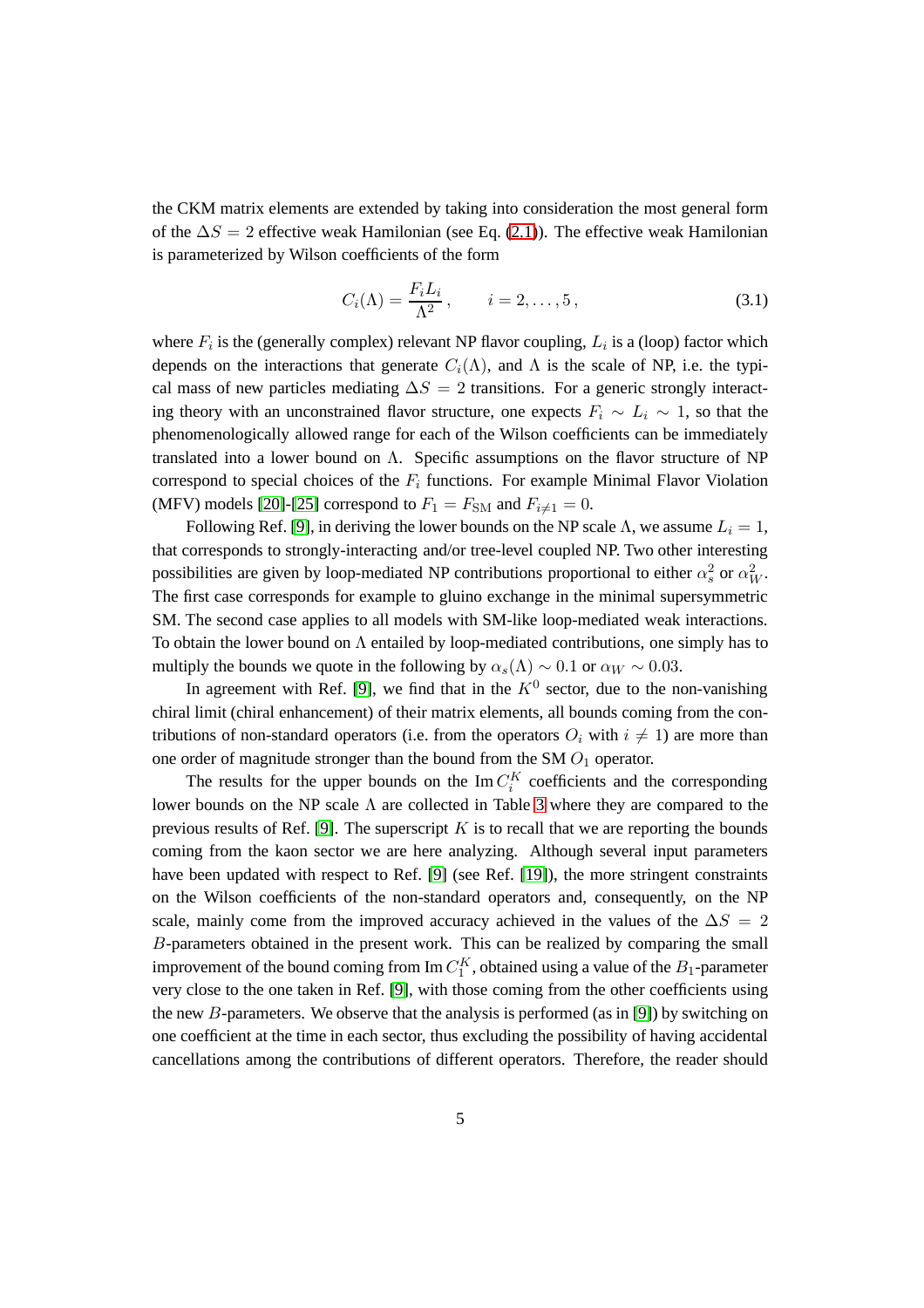the CKM matrix elements are extended by taking into consideration the most general form of the  $\Delta S = 2$  effective weak Hamilonian (see Eq. [\(2.1\)](#page-3-3)). The effective weak Hamilonian is parameterized by Wilson coefficients of the form

$$
C_i(\Lambda) = \frac{F_i L_i}{\Lambda^2}, \qquad i = 2, \dots, 5,
$$
\n(3.1)

where  $F_i$  is the (generally complex) relevant NP flavor coupling,  $L_i$  is a (loop) factor which depends on the interactions that generate  $C_i(\Lambda)$ , and  $\Lambda$  is the scale of NP, i.e. the typical mass of new particles mediating  $\Delta S = 2$  transitions. For a generic strongly interacting theory with an unconstrained flavor structure, one expects  $F_i \sim L_i \sim 1$ , so that the phenomenologically allowed range for each of the Wilson coefficients can be immediately translated into a lower bound on  $\Lambda$ . Specific assumptions on the flavor structure of NP correspond to special choices of the  $F_i$  functions. For example Minimal Flavor Violation (MFV) models [\[20\]](#page-62-7)-[\[25\]](#page-63-0) correspond to  $F_1 = F_{SM}$  and  $F_{i \neq 1} = 0$ .

Following Ref. [\[9\]](#page-61-5), in deriving the lower bounds on the NP scale Λ, we assume  $L<sub>i</sub> = 1$ , that corresponds to strongly-interacting and/or tree-level coupled NP. Two other interesting possibilities are given by loop-mediated NP contributions proportional to either  $\alpha_s^2$  or  $\alpha_W^2$ . The first case corresponds for example to gluino exchange in the minimal supersymmetric SM. The second case applies to all models with SM-like loop-mediated weak interactions. To obtain the lower bound on  $\Lambda$  entailed by loop-mediated contributions, one simply has to multiply the bounds we quote in the following by  $\alpha_s(\Lambda) \sim 0.1$  or  $\alpha_W \sim 0.03$ .

In agreement with Ref. [\[9\]](#page-61-5), we find that in the  $K^0$  sector, due to the non-vanishing chiral limit (chiral enhancement) of their matrix elements, all bounds coming from the contributions of non-standard operators (i.e. from the operators  $O_i$  with  $i \neq 1$ ) are more than one order of magnitude stronger than the bound from the SM  $O_1$  operator.

The results for the upper bounds on the  $\text{Im } C_i^K$  coefficients and the corresponding lower bounds on the NP scale  $\Lambda$  are collected in Table [3](#page-7-0) where they are compared to the previous results of Ref. [\[9\]](#page-61-5). The superscript  $K$  is to recall that we are reporting the bounds coming from the kaon sector we are here analyzing. Although several input parameters have been updated with respect to Ref. [\[9\]](#page-61-5) (see Ref. [\[19\]](#page-62-6)), the more stringent constraints on the Wilson coefficients of the non-standard operators and, consequently, on the NP scale, mainly come from the improved accuracy achieved in the values of the  $\Delta S = 2$ B-parameters obtained in the present work. This can be realized by comparing the small improvement of the bound coming from  $\text{Im } C_1^K$ , obtained using a value of the  $B_1$ -parameter very close to the one taken in Ref. [\[9\]](#page-61-5), with those coming from the other coefficients using the new B-parameters. We observe that the analysis is performed (as in [\[9\]](#page-61-5)) by switching on one coefficient at the time in each sector, thus excluding the possibility of having accidental cancellations among the contributions of different operators. Therefore, the reader should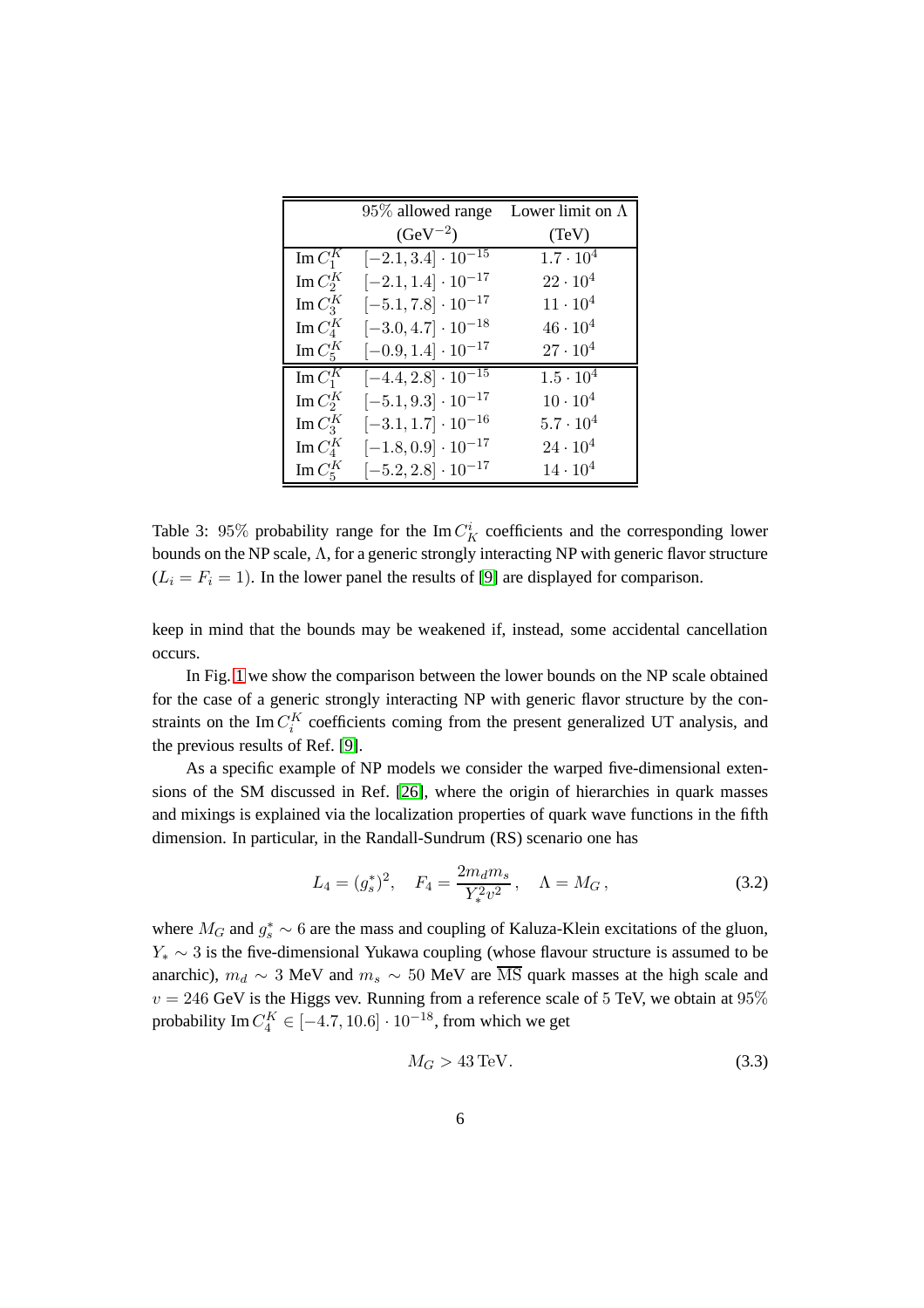|                          | 95\% allowed range           | Lower limit on $\Lambda$ |
|--------------------------|------------------------------|--------------------------|
|                          | $(GeV^{-2})$                 | (TeV)                    |
| Im $C_1^K$               | $[-2.1, 3.4] \cdot 10^{-15}$ | $1.7 \cdot 10^{4}$       |
| Im $C_2^K$               | $[-2.1, 1.4] \cdot 10^{-17}$ | $22 \cdot 10^4$          |
| Im $C_3^K$               | $[-5.1, 7.8] \cdot 10^{-17}$ | $11 \cdot 10^{4}$        |
| Im $C_4^K$               | $[-3.0, 4.7] \cdot 10^{-18}$ | $46 \cdot 10^{4}$        |
| Im $C_5^K$               | $[-0.9, 1.4] \cdot 10^{-17}$ | $27 \cdot 10^4$          |
| Im $C_1^K$               | $[-4.4, 2.8] \cdot 10^{-15}$ | $1.5 \cdot 10^{4}$       |
| Im $C_2^K$               | $[-5.1, 9.3] \cdot 10^{-17}$ | $10 \cdot 10^{4}$        |
| Im $C_3^K$               | $[-3.1, 1.7] \cdot 10^{-16}$ | $5.7\cdot10^4$           |
| $\operatorname{Im}C_4^K$ | $[-1.8, 0.9] \cdot 10^{-17}$ | $24 \cdot 10^{4}$        |
| Im $C_5^K$               | $[-5.2, 2.8] \cdot 10^{-17}$ | $14 \cdot 10^{4}$        |

<span id="page-7-0"></span>Table 3: 95% probability range for the  $\text{Im } C_K^i$  coefficients and the corresponding lower bounds on the NP scale,  $\Lambda$ , for a generic strongly interacting NP with generic flavor structure  $(L_i = F_i = 1)$ . In the lower panel the results of [\[9\]](#page-61-5) are displayed for comparison.

keep in mind that the bounds may be weakened if, instead, some accidental cancellation occurs.

In Fig. [1](#page-8-1) we show the comparison between the lower bounds on the NP scale obtained for the case of a generic strongly interacting NP with generic flavor structure by the constraints on the Im  $C_i^K$  coefficients coming from the present generalized UT analysis, and the previous results of Ref. [\[9\]](#page-61-5).

As a specific example of NP models we consider the warped five-dimensional extensions of the SM discussed in Ref. [\[26\]](#page-63-1), where the origin of hierarchies in quark masses and mixings is explained via the localization properties of quark wave functions in the fifth dimension. In particular, in the Randall-Sundrum (RS) scenario one has

$$
L_4 = (g_s^*)^2, \quad F_4 = \frac{2m_d m_s}{Y_*^2 v^2}, \quad \Lambda = M_G, \tag{3.2}
$$

where  $M_G$  and  $g_s^* \sim 6$  are the mass and coupling of Kaluza-Klein excitations of the gluon,  $Y_* \sim 3$  is the five-dimensional Yukawa coupling (whose flavour structure is assumed to be anarchic),  $m_d \sim 3$  MeV and  $m_s \sim 50$  MeV are MS quark masses at the high scale and  $v = 246$  GeV is the Higgs vev. Running from a reference scale of 5 TeV, we obtain at 95% probability Im  $C_4^K \in [-4.7, 10.6] \cdot 10^{-18}$ , from which we get

$$
M_G > 43 \,\text{TeV}.\tag{3.3}
$$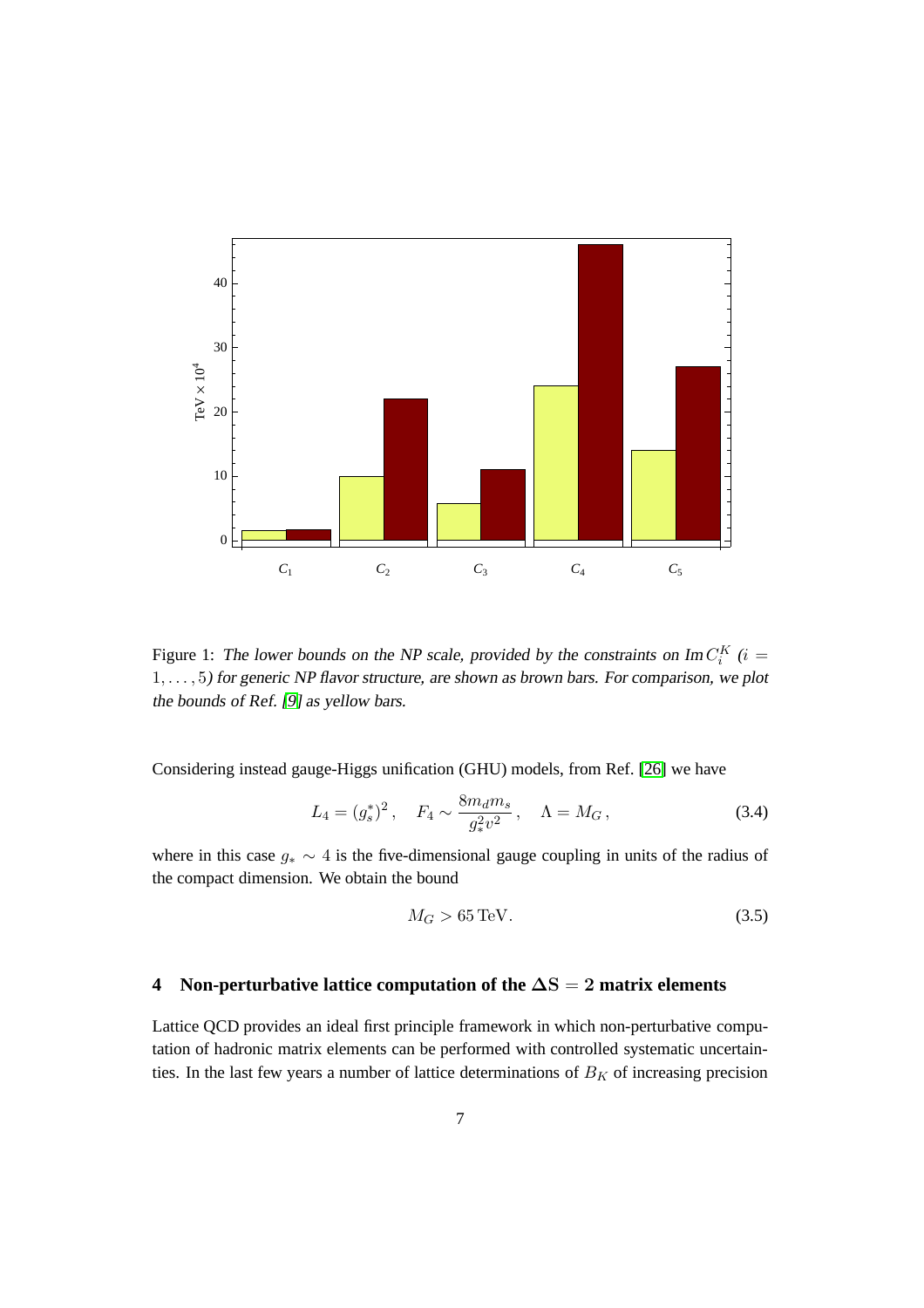

<span id="page-8-1"></span>Figure 1: The lower bounds on the NP scale, provided by the constraints on  $\text{Im } C_i^K$  (i = 1, . . . , 5) for generic NP flavor structure, are shown as brown bars. For comparison, we plot the bounds of Ref. [\[9\]](#page-61-5) as yellow bars.

Considering instead gauge-Higgs unification (GHU) models, from Ref. [\[26\]](#page-63-1) we have

$$
L_4 = (g_s^*)^2, \quad F_4 \sim \frac{8m_d m_s}{g_*^2 v^2}, \quad \Lambda = M_G, \tag{3.4}
$$

where in this case  $g_* \sim 4$  is the five-dimensional gauge coupling in units of the radius of the compact dimension. We obtain the bound

$$
M_G > 65 \,\text{TeV}.\tag{3.5}
$$

# <span id="page-8-0"></span>**4 Non-perturbative lattice computation of the** ∆S = 2 **matrix elements**

Lattice QCD provides an ideal first principle framework in which non-perturbative computation of hadronic matrix elements can be performed with controlled systematic uncertainties. In the last few years a number of lattice determinations of  $B_K$  of increasing precision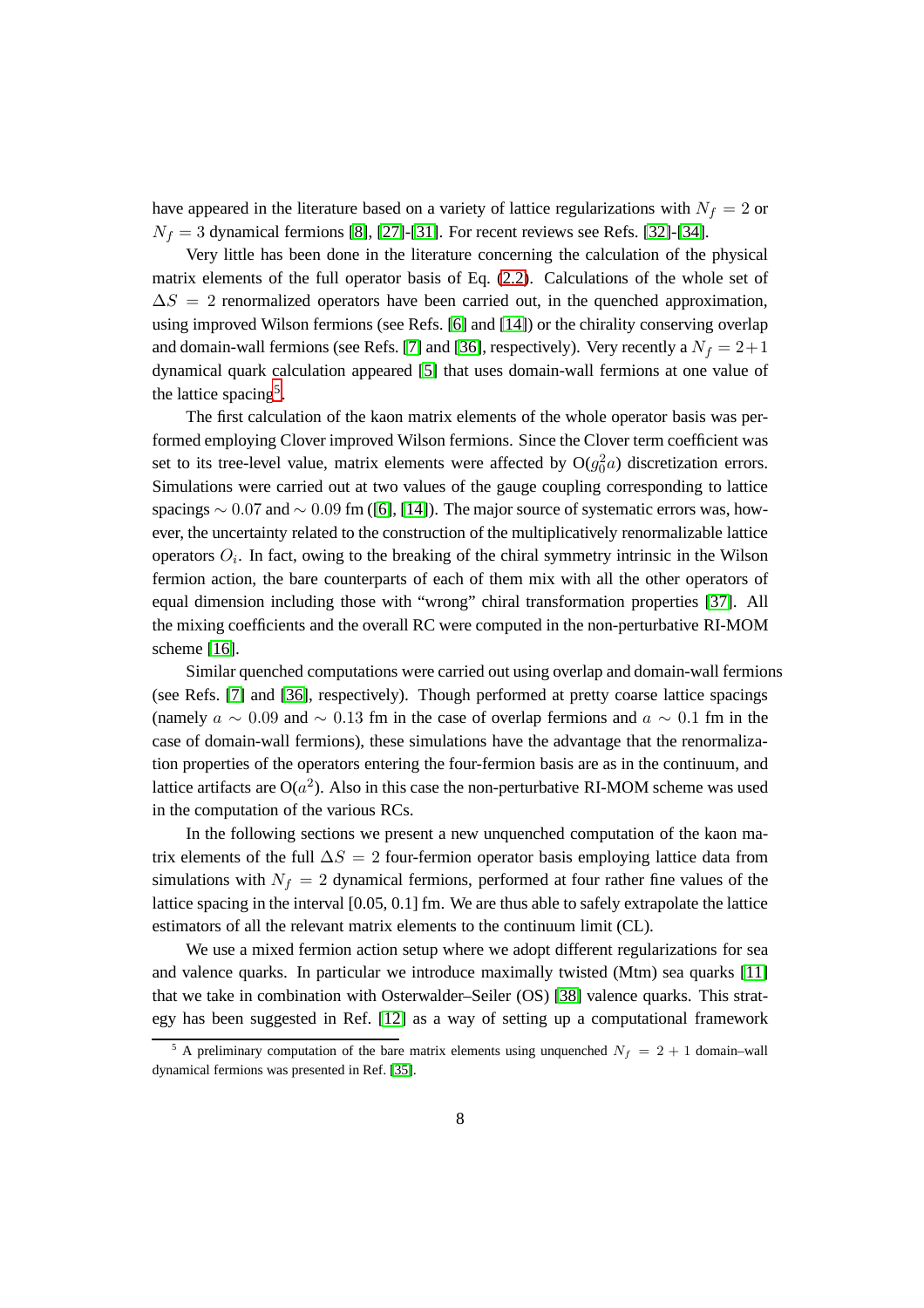have appeared in the literature based on a variety of lattice regularizations with  $N_f = 2$  or  $N_f = 3$  dynamical fermions [\[8\]](#page-61-4), [\[27\]](#page-63-2)-[\[31\]](#page-63-3). For recent reviews see Refs. [\[32\]](#page-63-4)-[\[34\]](#page-63-5).

Very little has been done in the literature concerning the calculation of the physical matrix elements of the full operator basis of Eq. [\(2.2\)](#page-3-2). Calculations of the whole set of  $\Delta S = 2$  renormalized operators have been carried out, in the quenched approximation, using improved Wilson fermions (see Refs. [\[6\]](#page-61-2) and [\[14\]](#page-62-1)) or the chirality conserving overlap and domain-wall fermions (see Refs. [\[7\]](#page-61-3) and [\[36\]](#page-63-6), respectively). Very recently a  $N_f = 2+1$ dynamical quark calculation appeared [\[5\]](#page-61-9) that uses domain-wall fermions at one value of the lattice spacing<sup>[5](#page-9-0)</sup>.

The first calculation of the kaon matrix elements of the whole operator basis was performed employing Clover improved Wilson fermions. Since the Clover term coefficient was set to its tree-level value, matrix elements were affected by  $O(g_0^2a)$  discretization errors. Simulations were carried out at two values of the gauge coupling corresponding to lattice spacings  $\sim 0.07$  and  $\sim 0.09$  fm ([\[6\]](#page-61-2), [\[14\]](#page-62-1)). The major source of systematic errors was, however, the uncertainty related to the construction of the multiplicatively renormalizable lattice operators  $O_i$ . In fact, owing to the breaking of the chiral symmetry intrinsic in the Wilson fermion action, the bare counterparts of each of them mix with all the other operators of equal dimension including those with "wrong" chiral transformation properties [\[37\]](#page-64-0). All the mixing coefficients and the overall RC were computed in the non-perturbative RI-MOM scheme [\[16\]](#page-62-3).

Similar quenched computations were carried out using overlap and domain-wall fermions (see Refs. [\[7\]](#page-61-3) and [\[36\]](#page-63-6), respectively). Though performed at pretty coarse lattice spacings (namely  $a \sim 0.09$  and  $\sim 0.13$  fm in the case of overlap fermions and  $a \sim 0.1$  fm in the case of domain-wall fermions), these simulations have the advantage that the renormalization properties of the operators entering the four-fermion basis are as in the continuum, and lattice artifacts are  $O(a^2)$ . Also in this case the non-perturbative RI-MOM scheme was used in the computation of the various RCs.

In the following sections we present a new unquenched computation of the kaon matrix elements of the full  $\Delta S = 2$  four-fermion operator basis employing lattice data from simulations with  $N_f = 2$  dynamical fermions, performed at four rather fine values of the lattice spacing in the interval [0.05, 0.1] fm. We are thus able to safely extrapolate the lattice estimators of all the relevant matrix elements to the continuum limit (CL).

We use a mixed fermion action setup where we adopt different regularizations for sea and valence quarks. In particular we introduce maximally twisted (Mtm) sea quarks [\[11\]](#page-61-7) that we take in combination with Osterwalder–Seiler (OS) [\[38\]](#page-64-1) valence quarks. This strategy has been suggested in Ref. [\[12\]](#page-61-8) as a way of setting up a computational framework

<span id="page-9-0"></span><sup>&</sup>lt;sup>5</sup> A preliminary computation of the bare matrix elements using unquenched  $N_f = 2 + 1$  domain–wall dynamical fermions was presented in Ref. [\[35\]](#page-63-7).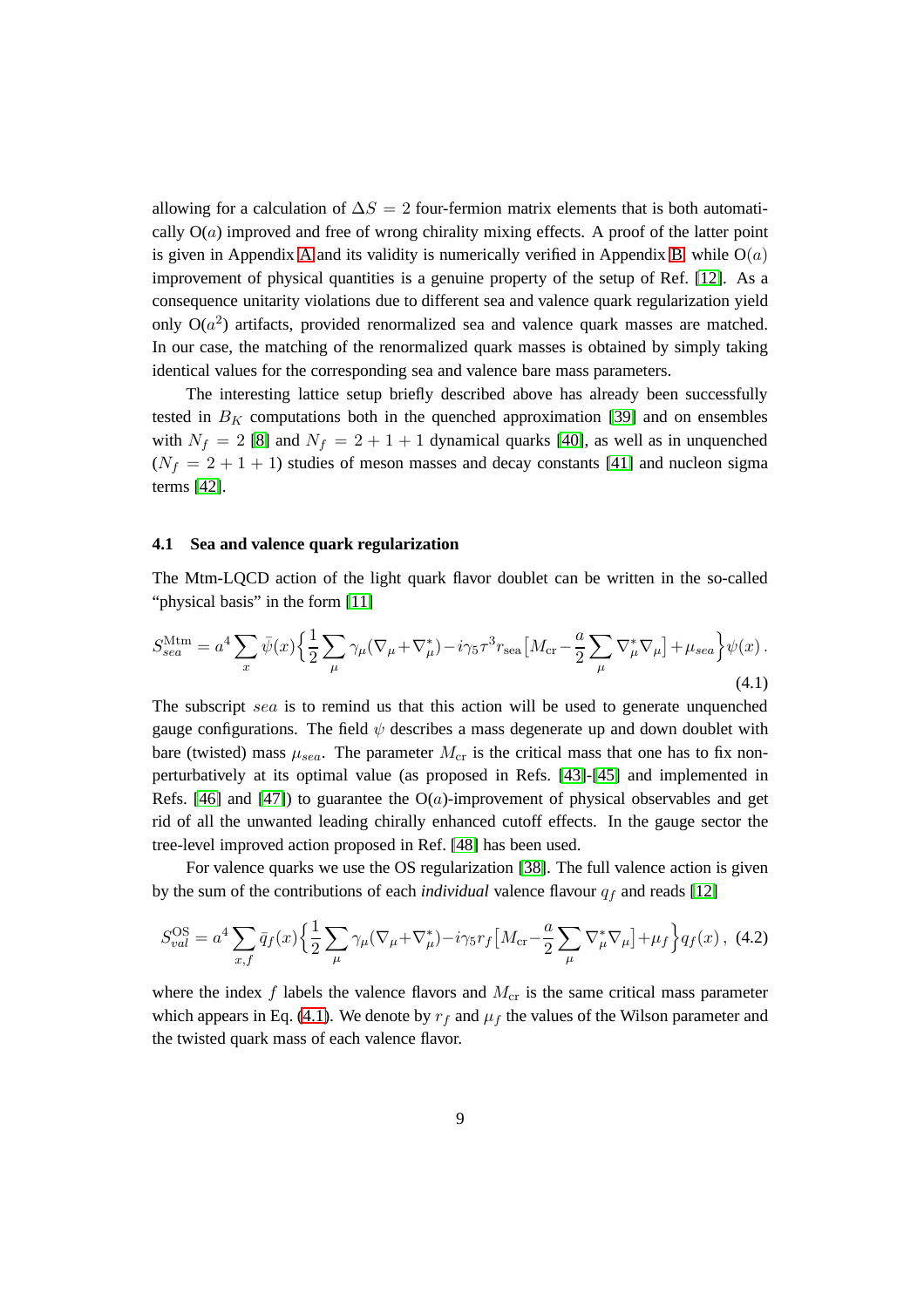allowing for a calculation of  $\Delta S = 2$  four-fermion matrix elements that is both automatically  $O(a)$  improved and free of wrong chirality mixing effects. A proof of the latter point is given in [A](#page-26-0)ppendix A and its validity is numerically verified in Appendix [B,](#page-29-0) while  $O(a)$ improvement of physical quantities is a genuine property of the setup of Ref. [\[12\]](#page-61-8). As a consequence unitarity violations due to different sea and valence quark regularization yield only  $O(a^2)$  artifacts, provided renormalized sea and valence quark masses are matched. In our case, the matching of the renormalized quark masses is obtained by simply taking identical values for the corresponding sea and valence bare mass parameters.

The interesting lattice setup briefly described above has already been successfully tested in  $B_K$  computations both in the quenched approximation [\[39\]](#page-64-2) and on ensembles with  $N_f = 2$  [\[8\]](#page-61-4) and  $N_f = 2 + 1 + 1$  dynamical quarks [\[40\]](#page-64-3), as well as in unquenched  $(N_f = 2 + 1 + 1)$  studies of meson masses and decay constants [\[41\]](#page-64-4) and nucleon sigma terms [\[42\]](#page-64-5).

### **4.1 Sea and valence quark regularization**

The Mtm-LQCD action of the light quark flavor doublet can be written in the so-called "physical basis" in the form [\[11\]](#page-61-7)

<span id="page-10-0"></span>
$$
S_{sea}^{\rm Mtm} = a^4 \sum_x \bar{\psi}(x) \left\{ \frac{1}{2} \sum_\mu \gamma_\mu (\nabla_\mu + \nabla_\mu^*) - i \gamma_5 \tau^3 r_{\rm sea} \left[ M_{\rm cr} - \frac{a}{2} \sum_\mu \nabla_\mu^* \nabla_\mu \right] + \mu_{sea} \right\} \psi(x) \,. \tag{4.1}
$$

The subscript sea is to remind us that this action will be used to generate unquenched gauge configurations. The field  $\psi$  describes a mass degenerate up and down doublet with bare (twisted) mass  $\mu_{sea}$ . The parameter  $M_{cr}$  is the critical mass that one has to fix nonperturbatively at its optimal value (as proposed in Refs. [\[43\]](#page-64-6)-[\[45\]](#page-64-7) and implemented in Refs. [\[46\]](#page-64-8) and [\[47\]](#page-64-9)) to guarantee the  $O(a)$ -improvement of physical observables and get rid of all the unwanted leading chirally enhanced cutoff effects. In the gauge sector the tree-level improved action proposed in Ref. [\[48\]](#page-64-10) has been used.

For valence quarks we use the OS regularization [\[38\]](#page-64-1). The full valence action is given by the sum of the contributions of each *individual* valence flavour  $q_f$  and reads [\[12\]](#page-61-8)

<span id="page-10-1"></span>
$$
S_{val}^{\text{OS}} = a^4 \sum_{x,f} \bar{q}_f(x) \left\{ \frac{1}{2} \sum_{\mu} \gamma_{\mu} (\nabla_{\mu} + \nabla_{\mu}^*) - i \gamma_5 r_f \left[ M_{\text{cr}} - \frac{a}{2} \sum_{\mu} \nabla_{\mu}^* \nabla_{\mu} \right] + \mu_f \right\} q_f(x) , \tag{4.2}
$$

where the index f labels the valence flavors and  $M_{cr}$  is the same critical mass parameter which appears in Eq. [\(4.1\)](#page-10-0). We denote by  $r_f$  and  $\mu_f$  the values of the Wilson parameter and the twisted quark mass of each valence flavor.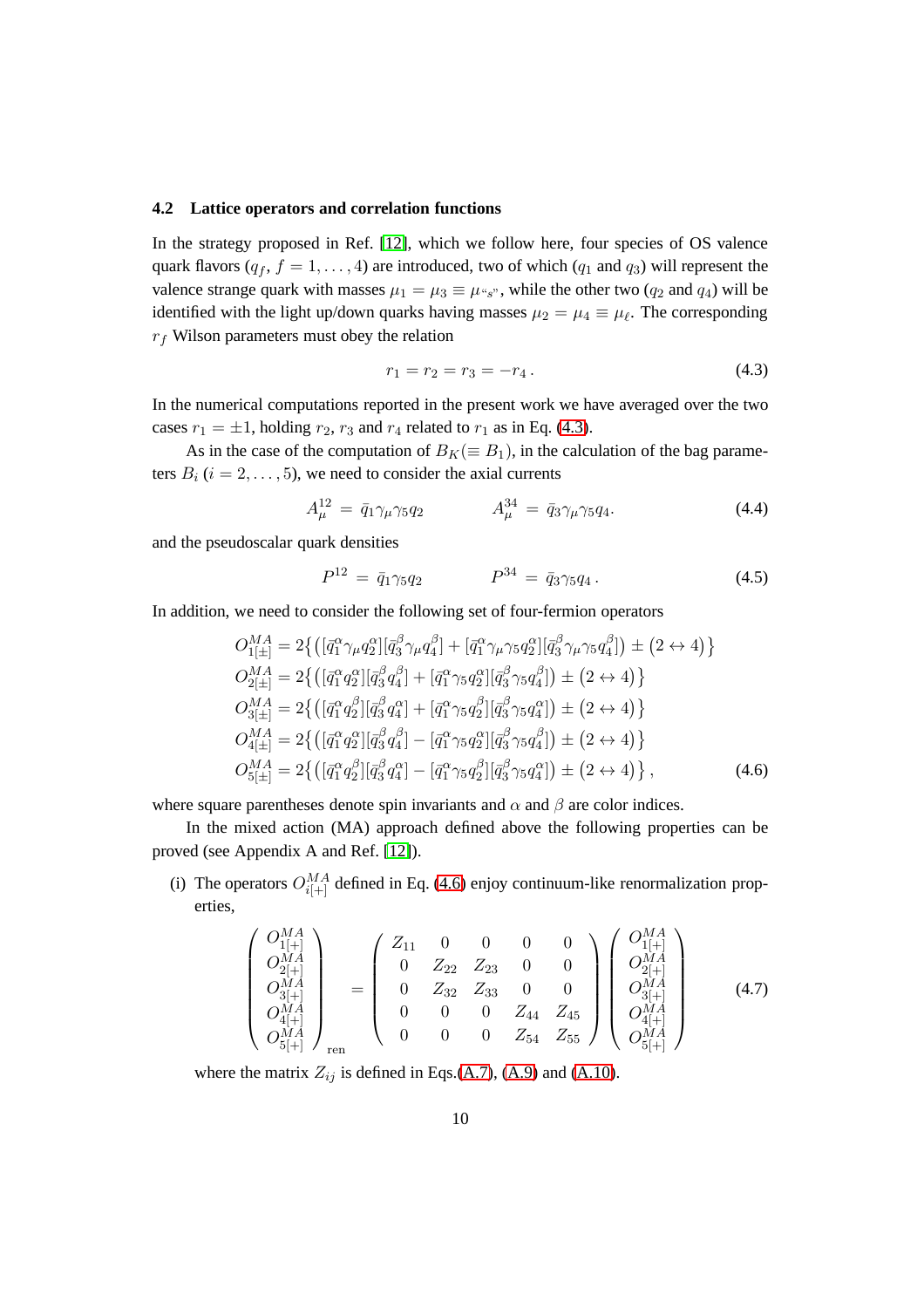#### **4.2 Lattice operators and correlation functions**

In the strategy proposed in Ref. [\[12\]](#page-61-8), which we follow here, four species of OS valence quark flavors ( $q_f$ ,  $f = 1, \ldots, 4$ ) are introduced, two of which ( $q_1$  and  $q_3$ ) will represent the valence strange quark with masses  $\mu_1 = \mu_3 \equiv \mu_{s_3}$ , while the other two  $(q_2 \text{ and } q_4)$  will be identified with the light up/down quarks having masses  $\mu_2 = \mu_4 \equiv \mu_\ell$ . The corresponding  $r_f$  Wilson parameters must obey the relation

<span id="page-11-0"></span>
$$
r_1 = r_2 = r_3 = -r_4. \t\t(4.3)
$$

In the numerical computations reported in the present work we have averaged over the two cases  $r_1 = \pm 1$ , holding  $r_2$ ,  $r_3$  and  $r_4$  related to  $r_1$  as in Eq. [\(4.3\)](#page-11-0).

As in the case of the computation of  $B_K(\equiv B_1)$ , in the calculation of the bag parameters  $B_i$  ( $i = 2, \ldots, 5$ ), we need to consider the axial currents

<span id="page-11-2"></span>
$$
A_{\mu}^{12} = \bar{q}_1 \gamma_{\mu} \gamma_5 q_2 \qquad A_{\mu}^{34} = \bar{q}_3 \gamma_{\mu} \gamma_5 q_4. \tag{4.4}
$$

and the pseudoscalar quark densities

<span id="page-11-3"></span>
$$
P^{12} = \bar{q}_1 \gamma_5 q_2 \qquad P^{34} = \bar{q}_3 \gamma_5 q_4 \,. \tag{4.5}
$$

In addition, we need to consider the following set of four-fermion operators

<span id="page-11-1"></span>
$$
O_{1[\pm]}^{MA} = 2\{ \left( [\bar{q}_{1}^{\alpha}\gamma_{\mu}q_{2}^{\alpha}] [\bar{q}_{3}^{\beta}\gamma_{\mu}q_{4}^{\beta}] + [\bar{q}_{1}^{\alpha}\gamma_{\mu}\gamma_{5}q_{2}^{\alpha}] [\bar{q}_{3}^{\beta}\gamma_{\mu}\gamma_{5}q_{4}^{\beta}] \right) \pm (2 \leftrightarrow 4) \}
$$
  
\n
$$
O_{2[\pm]}^{MA} = 2\{ \left( [\bar{q}_{1}^{\alpha}q_{2}^{\alpha}] [\bar{q}_{3}^{\beta}q_{4}^{\beta}] + [\bar{q}_{1}^{\alpha}\gamma_{5}q_{2}^{\alpha}] [\bar{q}_{3}^{\beta}\gamma_{5}q_{4}^{\beta}] \right) \pm (2 \leftrightarrow 4) \}
$$
  
\n
$$
O_{3[\pm]}^{MA} = 2\{ \left( [\bar{q}_{1}^{\alpha}q_{2}^{\beta}] [\bar{q}_{3}^{\beta}q_{4}^{\alpha}] + [\bar{q}_{1}^{\alpha}\gamma_{5}q_{2}^{\beta}] [\bar{q}_{3}^{\beta}\gamma_{5}q_{4}^{\alpha}] \right) \pm (2 \leftrightarrow 4) \}
$$
  
\n
$$
O_{4[\pm]}^{MA} = 2\{ \left( [\bar{q}_{1}^{\alpha}q_{2}^{\alpha}] [\bar{q}_{3}^{\beta}q_{4}^{\beta}] - [\bar{q}_{1}^{\alpha}\gamma_{5}q_{2}^{\alpha}] [\bar{q}_{3}^{\beta}\gamma_{5}q_{4}^{\beta}] \right) \pm (2 \leftrightarrow 4) \}
$$
  
\n
$$
O_{5[\pm]}^{MA} = 2\{ \left( [\bar{q}_{1}^{\alpha}q_{2}^{\beta}] [\bar{q}_{3}^{\beta}q_{4}^{\alpha}] - [\bar{q}_{1}^{\alpha}\gamma_{5}q_{2}^{\beta}] [\bar{q}_{3}^{\beta}\gamma_{5}q_{4}^{\alpha}] \right) \pm (2 \leftrightarrow 4) \},
$$
\n(4.6)

where square parentheses denote spin invariants and  $\alpha$  and  $\beta$  are color indices.

In the mixed action (MA) approach defined above the following properties can be proved (see Appendix A and Ref. [\[12\]](#page-61-8)).

(i) The operators  $O_{i[+]}^{MA}$  defined in Eq. [\(4.6\)](#page-11-1) enjoy continuum-like renormalization properties,

<span id="page-11-4"></span>
$$
\begin{pmatrix}\nO_{1[+]}^{MA} \\
O_{2[+]}^{MA} \\
O_{3[+]}^{MA} \\
O_{4[+]}^{MA} \\
O_{5[+]}^{MA}\n\end{pmatrix}_{\text{ren}} = \begin{pmatrix}\nZ_{11} & 0 & 0 & 0 & 0 \\
0 & Z_{22} & Z_{23} & 0 & 0 \\
0 & Z_{32} & Z_{33} & 0 & 0 \\
0 & 0 & 0 & Z_{44} & Z_{45} \\
0 & 0 & 0 & Z_{54} & Z_{55}\n\end{pmatrix}\n\begin{pmatrix}\nO_{1[+]}^{MA} \\
O_{2[+]}^{MA} \\
O_{3[+]}^{MA} \\
O_{4[+]}^{MA} \\
O_{5[+]}^{MA}\n\end{pmatrix}
$$
\n(4.7)

where the matrix  $Z_{ij}$  is defined in Eqs.[\(A.7\)](#page-27-0), [\(A.9\)](#page-28-0) and [\(A.10\)](#page-28-1).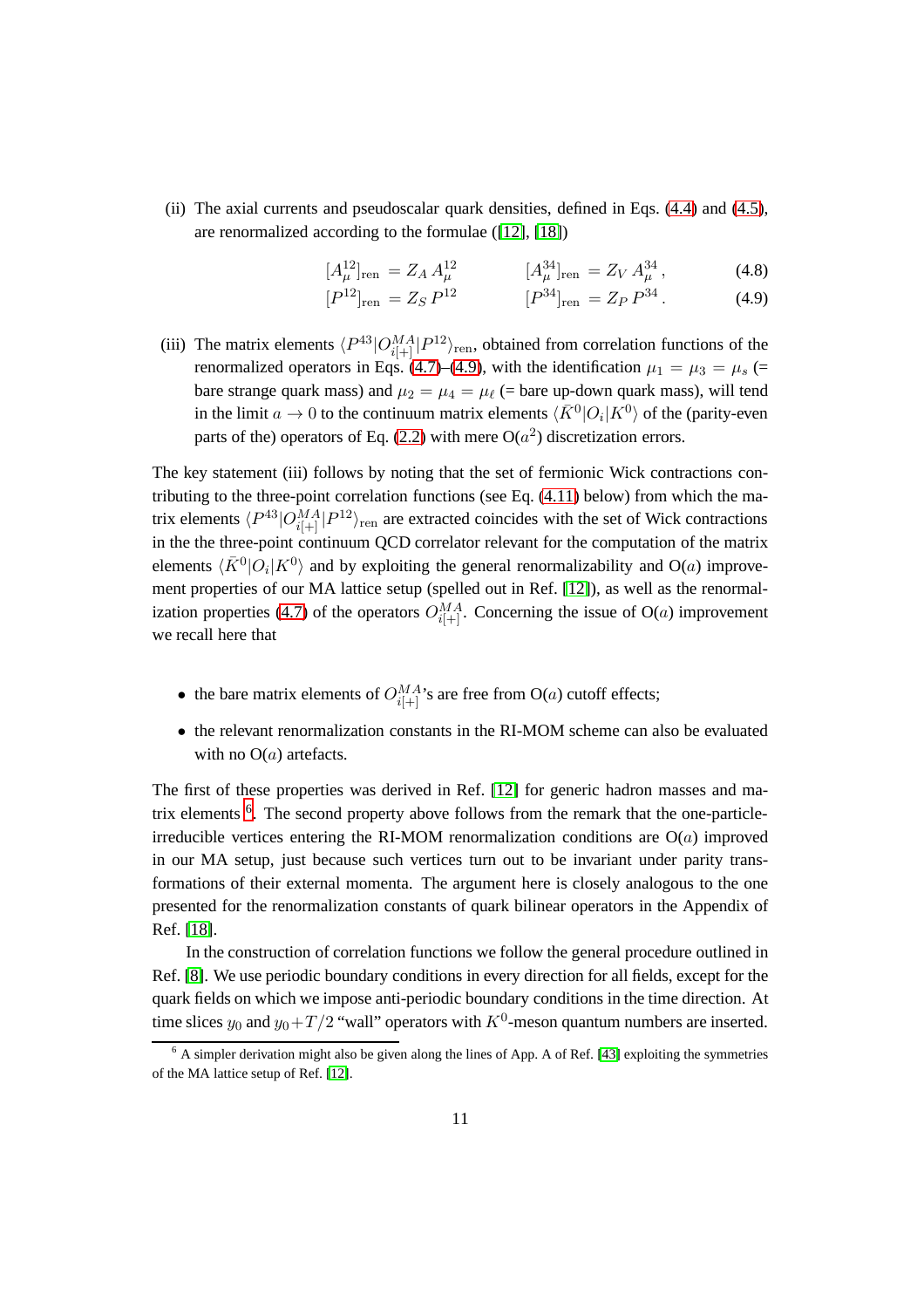(ii) The axial currents and pseudoscalar quark densities, defined in Eqs. [\(4.4\)](#page-11-2) and [\(4.5\)](#page-11-3), are renormalized according to the formulae ([\[12\]](#page-61-8), [\[18\]](#page-62-5))

<span id="page-12-0"></span>
$$
[A_{\mu}^{12}]_{\text{ren}} = Z_A A_{\mu}^{12} \qquad [A_{\mu}^{34}]_{\text{ren}} = Z_V A_{\mu}^{34}, \qquad (4.8)
$$

$$
[P^{12}]_{\text{ren}} = Z_S P^{12} \qquad [P^{34}]_{\text{ren}} = Z_P P^{34}. \qquad (4.9)
$$

(iii) The matrix elements  $\langle P^{43}|O_{i[+]}^{MA} |P^{12}\rangle_{\text{ren}}$ , obtained from correlation functions of the renormalized operators in Eqs. [\(4.7\)](#page-11-4)–[\(4.9\)](#page-12-0), with the identification  $\mu_1 = \mu_3 = \mu_s$  (= bare strange quark mass) and  $\mu_2 = \mu_4 = \mu_\ell$  (= bare up-down quark mass), will tend in the limit  $a \to 0$  to the continuum matrix elements  $\langle \bar{K}^0 | O_i | K^0 \rangle$  of the (parity-even parts of the) operators of Eq. [\(2.2\)](#page-3-2) with mere  $O(a^2)$  discretization errors.

The key statement (iii) follows by noting that the set of fermionic Wick contractions contributing to the three-point correlation functions (see Eq.  $(4.11)$  below) from which the matrix elements  $\langle P^{43}|O^{MA}_{i|+|} |P^{12}\rangle_{\text{ren}}$  are extracted coincides with the set of Wick contractions in the three-point continuum QCD correlator relevant for the computation of the matrix elements  $\langle \bar{K}^0 | O_i | K^0 \rangle$  and by exploiting the general renormalizability and O(a) improvement properties of our MA lattice setup (spelled out in Ref. [\[12\]](#page-61-8)), as well as the renormal-ization properties [\(4.7\)](#page-11-4) of the operators  $O_{i[+]}^{MA}$ . Concerning the issue of O(*a*) improvement we recall here that

- the bare matrix elements of  $O_{i[+]}^{MA}$ 's are free from O(*a*) cutoff effects;
- the relevant renormalization constants in the RI-MOM scheme can also be evaluated with no  $O(a)$  artefacts.

The first of these properties was derived in Ref. [\[12\]](#page-61-8) for generic hadron masses and ma-trix elements <sup>[6](#page-12-1)</sup>. The second property above follows from the remark that the one-particleirreducible vertices entering the RI-MOM renormalization conditions are  $O(a)$  improved in our MA setup, just because such vertices turn out to be invariant under parity transformations of their external momenta. The argument here is closely analogous to the one presented for the renormalization constants of quark bilinear operators in the Appendix of Ref. [\[18\]](#page-62-5).

In the construction of correlation functions we follow the general procedure outlined in Ref. [\[8\]](#page-61-4). We use periodic boundary conditions in every direction for all fields, except for the quark fields on which we impose anti-periodic boundary conditions in the time direction. At time slices  $y_0$  and  $y_0+T/2$  "wall" operators with  $K^0$ -meson quantum numbers are inserted.

<span id="page-12-1"></span> $6$  A simpler derivation might also be given along the lines of App. A of Ref. [\[43\]](#page-64-6) exploiting the symmetries of the MA lattice setup of Ref. [\[12\]](#page-61-8).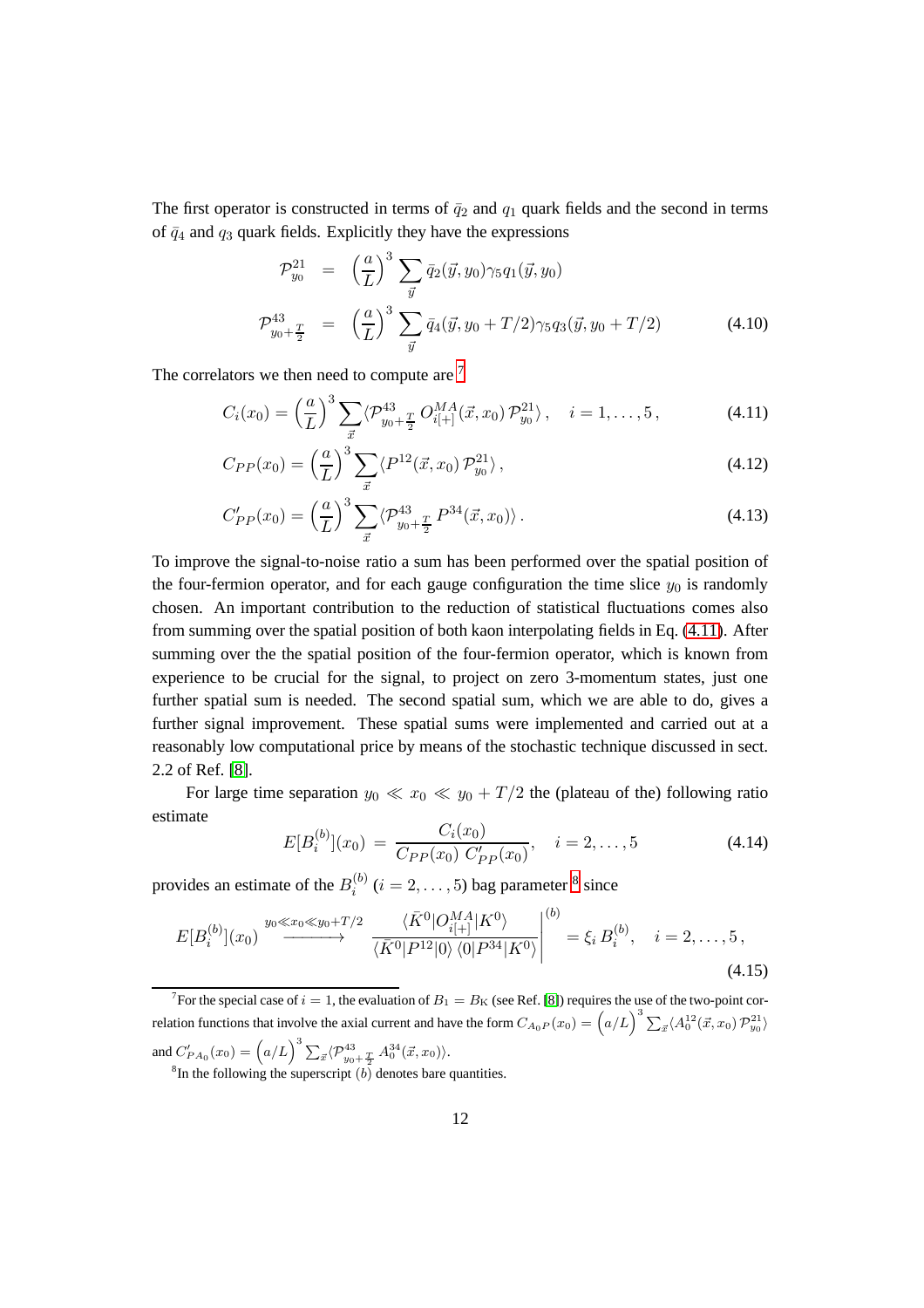The first operator is constructed in terms of  $\bar{q}_2$  and  $q_1$  quark fields and the second in terms of  $\bar{q}_4$  and  $q_3$  quark fields. Explicitly they have the expressions

$$
\mathcal{P}_{y_0}^{21} = \left(\frac{a}{L}\right)^3 \sum_{\vec{y}} \bar{q}_2(\vec{y}, y_0) \gamma_5 q_1(\vec{y}, y_0)
$$
\n
$$
\mathcal{P}_{y_0 + \frac{T}{2}}^{43} = \left(\frac{a}{L}\right)^3 \sum_{\vec{y}} \bar{q}_4(\vec{y}, y_0 + T/2) \gamma_5 q_3(\vec{y}, y_0 + T/2) \tag{4.10}
$$

The correlators we then need to compute are <sup>[7](#page-13-1)</sup>

<span id="page-13-0"></span>
$$
C_i(x_0) = \left(\frac{a}{L}\right)^3 \sum_{\vec{x}} \langle \mathcal{P}_{y_0 + \frac{T}{2}}^{43} O_{i[+]}^{MA}(\vec{x}, x_0) \mathcal{P}_{y_0}^{21} \rangle, \quad i = 1, ..., 5, \tag{4.11}
$$

$$
C_{PP}(x_0) = \left(\frac{a}{L}\right)^3 \sum_{\vec{x}} \langle P^{12}(\vec{x}, x_0) \mathcal{P}_{y_0}^{21} \rangle, \qquad (4.12)
$$

$$
C'_{PP}(x_0) = \left(\frac{a}{L}\right)^3 \sum_{\vec{x}} \langle \mathcal{P}_{y_0 + \frac{T}{2}}^{43} P^{34}(\vec{x}, x_0) \rangle.
$$
 (4.13)

To improve the signal-to-noise ratio a sum has been performed over the spatial position of the four-fermion operator, and for each gauge configuration the time slice  $y_0$  is randomly chosen. An important contribution to the reduction of statistical fluctuations comes also from summing over the spatial position of both kaon interpolating fields in Eq. [\(4.11\)](#page-13-0). After summing over the the spatial position of the four-fermion operator, which is known from experience to be crucial for the signal, to project on zero 3-momentum states, just one further spatial sum is needed. The second spatial sum, which we are able to do, gives a further signal improvement. These spatial sums were implemented and carried out at a reasonably low computational price by means of the stochastic technique discussed in sect. 2.2 of Ref. [\[8\]](#page-61-4).

For large time separation  $y_0 \ll x_0 \ll y_0 + T/2$  the (plateau of the) following ratio estimate

<span id="page-13-3"></span>
$$
E[B_i^{(b)}](x_0) = \frac{C_i(x_0)}{C_{PP}(x_0) C'_{PP}(x_0)}, \quad i = 2, ..., 5
$$
 (4.14)

provides an estimate of the  $B_i^{(b)}$  $i_i^{(b)}$   $(i = 2, \ldots, 5)$  bag parameter <sup>[8](#page-13-2)</sup> since

<span id="page-13-4"></span>
$$
E[B_i^{(b)}](x_0) \xrightarrow{y_0 \ll x_0 \ll y_0 + T/2} \frac{\langle \bar{K}^0 | O_{i[+]}^{MA} | K^0 \rangle}{\langle \bar{K}^0 | P^{12} | 0 \rangle \langle 0 | P^{34} | K^0 \rangle} \Big|^{(b)} = \xi_i B_i^{(b)}, \quad i = 2, \dots, 5,
$$
\n(4.15)

<span id="page-13-2"></span><span id="page-13-1"></span><sup>7</sup> For the special case of  $i = 1$ , the evaluation of  $B_1 = B_K$  (see Ref. [\[8\]](#page-61-4)) requires the use of the two-point correlation functions that involve the axial current and have the form  $C_{A_0P}(x_0) = (\alpha/L)^3 \sum_{\vec{x}} \langle A_0^{12}(\vec{x}, x_0) \mathcal{P}_{y_0}^{21} \rangle$ and  $C'_{PA_0}(x_0) = (\alpha/L)^3 \sum_{\vec{x}} \langle \mathcal{P}^{43}_{y_0 + \frac{T}{2}} \, A_0^{34}(\vec{x}, x_0) \rangle.$ <sup>8</sup>In the following the superscript  $(b)$  denotes bare quantities.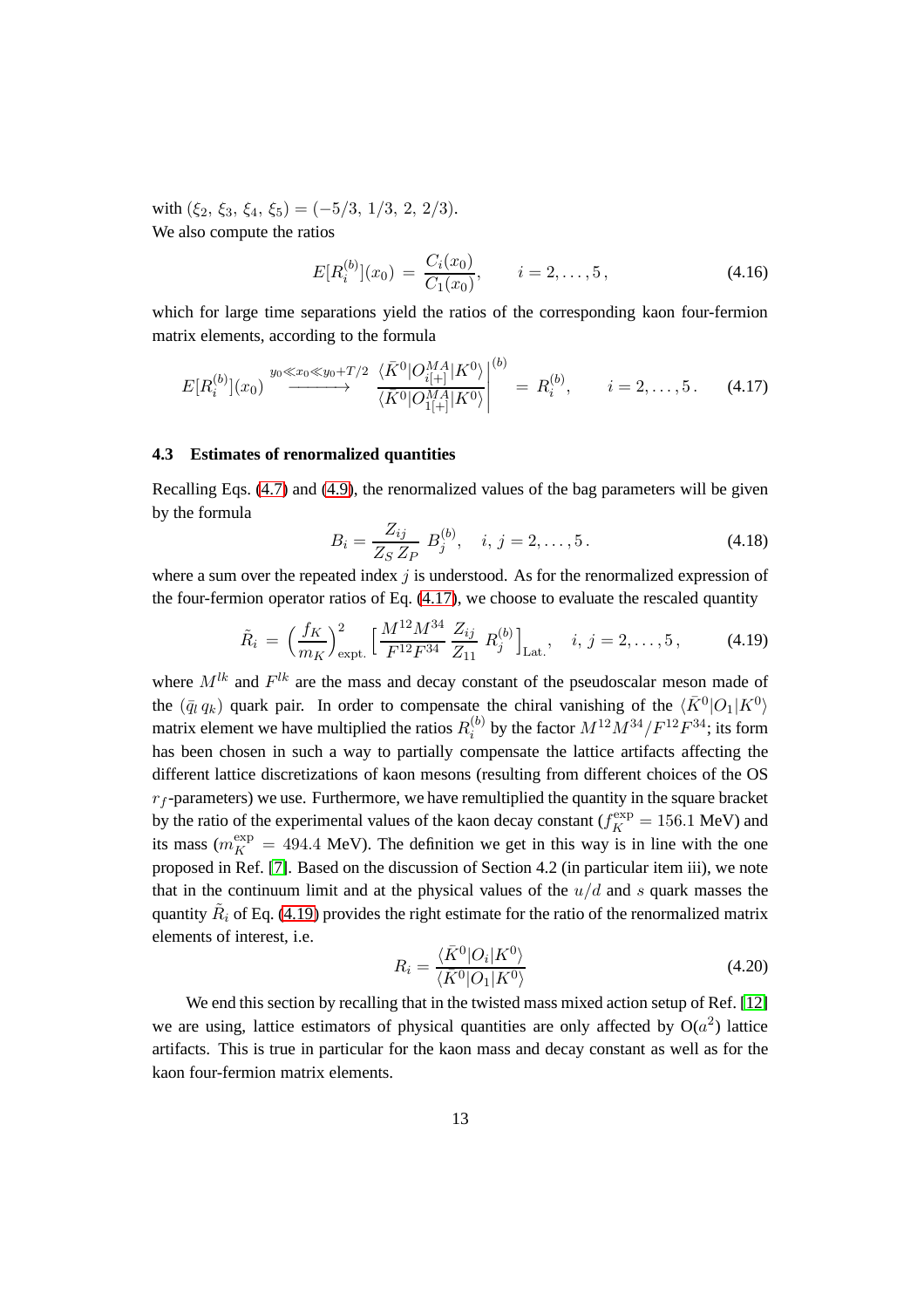with  $(\xi_2, \xi_3, \xi_4, \xi_5) = (-5/3, 1/3, 2, 2/3).$ We also compute the ratios

<span id="page-14-2"></span>
$$
E[R_i^{(b)}](x_0) = \frac{C_i(x_0)}{C_1(x_0)}, \qquad i = 2, ..., 5,
$$
\n(4.16)

which for large time separations yield the ratios of the corresponding kaon four-fermion matrix elements, according to the formula

<span id="page-14-1"></span>
$$
E[R_i^{(b)}](x_0) \xrightarrow{y_0 \ll x_0 \ll y_0 + T/2} \frac{\langle \bar{K}^0 | O_{i[+]}^{MA} | K^0 \rangle}{\langle \bar{K}^0 | O_{1[+]}^{MA} | K^0 \rangle} \Big|^{(b)} = R_i^{(b)}, \qquad i = 2, \dots, 5. \tag{4.17}
$$

### **4.3 Estimates of renormalized quantities**

Recalling Eqs. [\(4.7\)](#page-11-4) and [\(4.9\)](#page-12-0), the renormalized values of the bag parameters will be given by the formula

<span id="page-14-4"></span>
$$
B_i = \frac{Z_{ij}}{Z_S Z_P} B_j^{(b)}, \quad i, j = 2, ..., 5.
$$
 (4.18)

where a sum over the repeated index  $j$  is understood. As for the renormalized expression of the four-fermion operator ratios of Eq.  $(4.17)$ , we choose to evaluate the rescaled quantity

<span id="page-14-0"></span>
$$
\tilde{R}_i = \left(\frac{f_K}{m_K}\right)_{\text{expt.}}^2 \left[\frac{M^{12}M^{34}}{F^{12}F^{34}} \frac{Z_{ij}}{Z_{11}} R_j^{(b)}\right]_{\text{Lat.}}, \quad i, j = 2, \dots, 5, \tag{4.19}
$$

where  $M^{lk}$  and  $F^{lk}$  are the mass and decay constant of the pseudoscalar meson made of the  $(\bar{q}_l q_k)$  quark pair. In order to compensate the chiral vanishing of the  $\langle \bar{K}^0 | O_1 | K^0 \rangle$ matrix element we have multiplied the ratios  $R_i^{(b)}$  $i^{(b)}_i$  by the factor  $M^{12}M^{34}/F^{12}F^{34}$ ; its form has been chosen in such a way to partially compensate the lattice artifacts affecting the different lattice discretizations of kaon mesons (resulting from different choices of the OS  $r_f$ -parameters) we use. Furthermore, we have remultiplied the quantity in the square bracket by the ratio of the experimental values of the kaon decay constant ( $f_K^{\text{exp}} = 156.1 \text{ MeV}$ ) and its mass ( $m_K^{\text{exp}} = 494.4 \text{ MeV}$ ). The definition we get in this way is in line with the one proposed in Ref. [\[7\]](#page-61-3). Based on the discussion of Section 4.2 (in particular item iii), we note that in the continuum limit and at the physical values of the  $u/d$  and s quark masses the quantity  $\tilde{R}_i$  of Eq. [\(4.19\)](#page-14-0) provides the right estimate for the ratio of the renormalized matrix elements of interest, i.e.

<span id="page-14-3"></span>
$$
R_i = \frac{\langle \bar{K}^0 | O_i | K^0 \rangle}{\langle \bar{K}^0 | O_1 | K^0 \rangle} \tag{4.20}
$$

We end this section by recalling that in the twisted mass mixed action setup of Ref. [\[12\]](#page-61-8) we are using, lattice estimators of physical quantities are only affected by  $O(a^2)$  lattice artifacts. This is true in particular for the kaon mass and decay constant as well as for the kaon four-fermion matrix elements.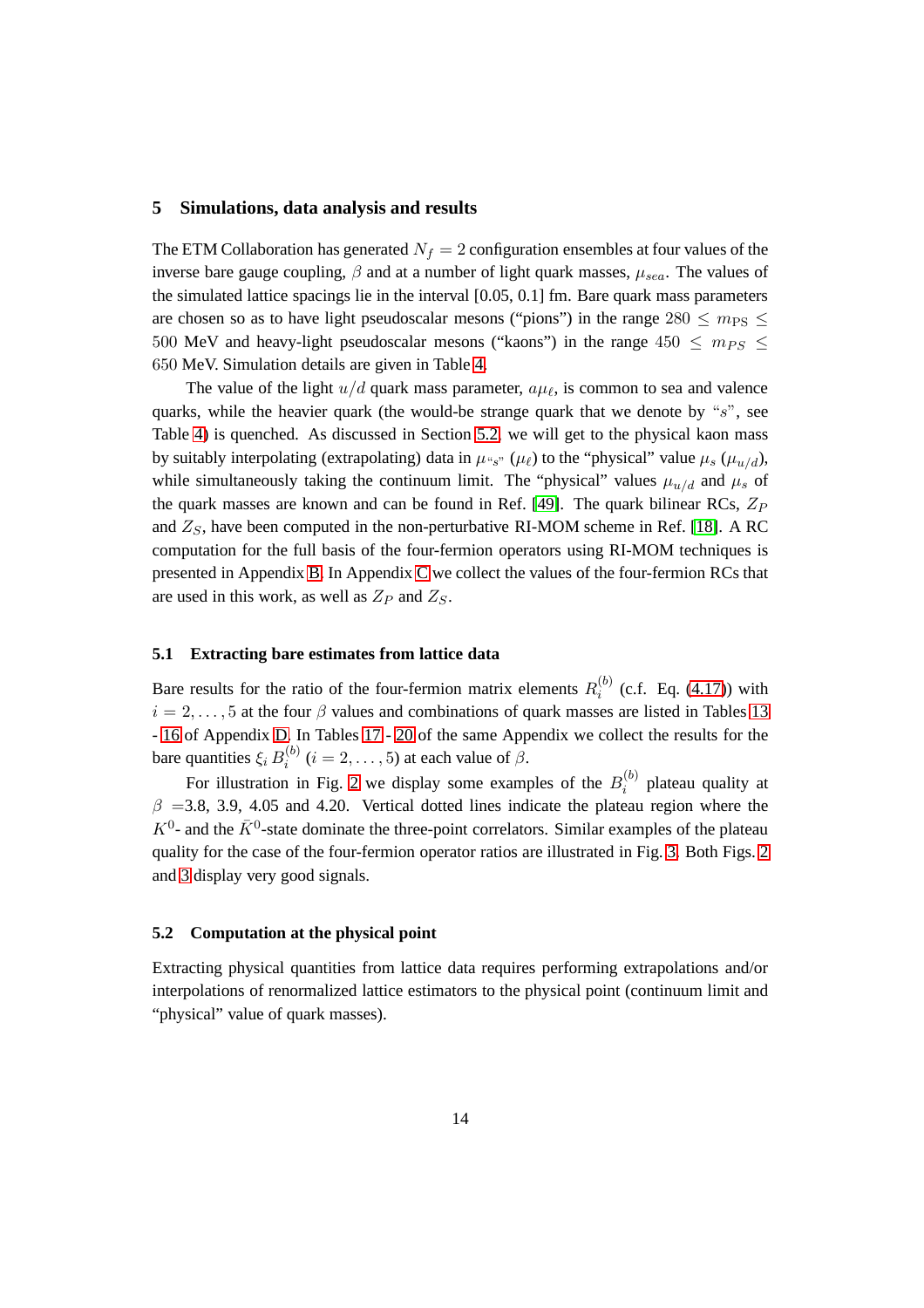#### <span id="page-15-0"></span>**5 Simulations, data analysis and results**

The ETM Collaboration has generated  $N_f = 2$  configuration ensembles at four values of the inverse bare gauge coupling,  $\beta$  and at a number of light quark masses,  $\mu_{sea}$ . The values of the simulated lattice spacings lie in the interval [0.05, 0.1] fm. Bare quark mass parameters are chosen so as to have light pseudoscalar mesons ("pions") in the range  $280 \le m_{PS} \le$ 500 MeV and heavy-light pseudoscalar mesons ("kaons") in the range 450  $\leq$  m<sub>PS</sub>  $\leq$ 650 MeV. Simulation details are given in Table [4.](#page-16-0)

The value of the light  $u/d$  quark mass parameter,  $a\mu_{\ell}$ , is common to sea and valence quarks, while the heavier quark (the would-be strange quark that we denote by " $s$ ", see Table [4\)](#page-16-0) is quenched. As discussed in Section [5.2,](#page-15-1) we will get to the physical kaon mass by suitably interpolating (extrapolating) data in  $\mu_{s}$ " ( $\mu_{\ell}$ ) to the "physical" value  $\mu_s$  ( $\mu_{u/d}$ ), while simultaneously taking the continuum limit. The "physical" values  $\mu_{u/d}$  and  $\mu_s$  of the quark masses are known and can be found in Ref. [\[49\]](#page-65-0). The quark bilinear RCs,  $Z_P$ and  $Z<sub>S</sub>$ , have been computed in the non-perturbative RI-MOM scheme in Ref. [\[18\]](#page-62-5). A RC computation for the full basis of the four-fermion operators using RI-MOM techniques is presented in Appendix [B.](#page-29-0) In Appendix [C](#page-41-0) we collect the values of the four-fermion RCs that are used in this work, as well as  $Z_P$  and  $Z_S$ .

### **5.1 Extracting bare estimates from lattice data**

Bare results for the ratio of the four-fermion matrix elements  $R_i^{(b)}$  $i_i^{(0)}$  (c.f. Eq. [\(4.17\)](#page-14-1)) with  $i = 2, \ldots, 5$  at the four  $\beta$  values and combinations of quark masses are listed in Tables [13](#page-49-0) - [16](#page-51-0) of Appendix [D.](#page-46-0) In Tables [17](#page-52-0) - [20](#page-54-0) of the same Appendix we collect the results for the bare quantities  $\xi_i B_i^{(b)}$  $i_i^{(0)}$   $(i = 2, ..., 5)$  at each value of  $\beta$ .

For illustration in Fig. [2](#page-17-0) we display some examples of the  $B_i^{(b)}$  $i^{(0)}$  plateau quality at  $\beta = 3.8, 3.9, 4.05$  and 4.20. Vertical dotted lines indicate the plateau region where the  $K^0$ - and the  $\bar{K}^0$ -state dominate the three-point correlators. Similar examples of the plateau quality for the case of the four-fermion operator ratios are illustrated in Fig. [3.](#page-18-0) Both Figs. [2](#page-17-0) and [3](#page-18-0) display very good signals.

#### <span id="page-15-1"></span>**5.2 Computation at the physical point**

Extracting physical quantities from lattice data requires performing extrapolations and/or interpolations of renormalized lattice estimators to the physical point (continuum limit and "physical" value of quark masses).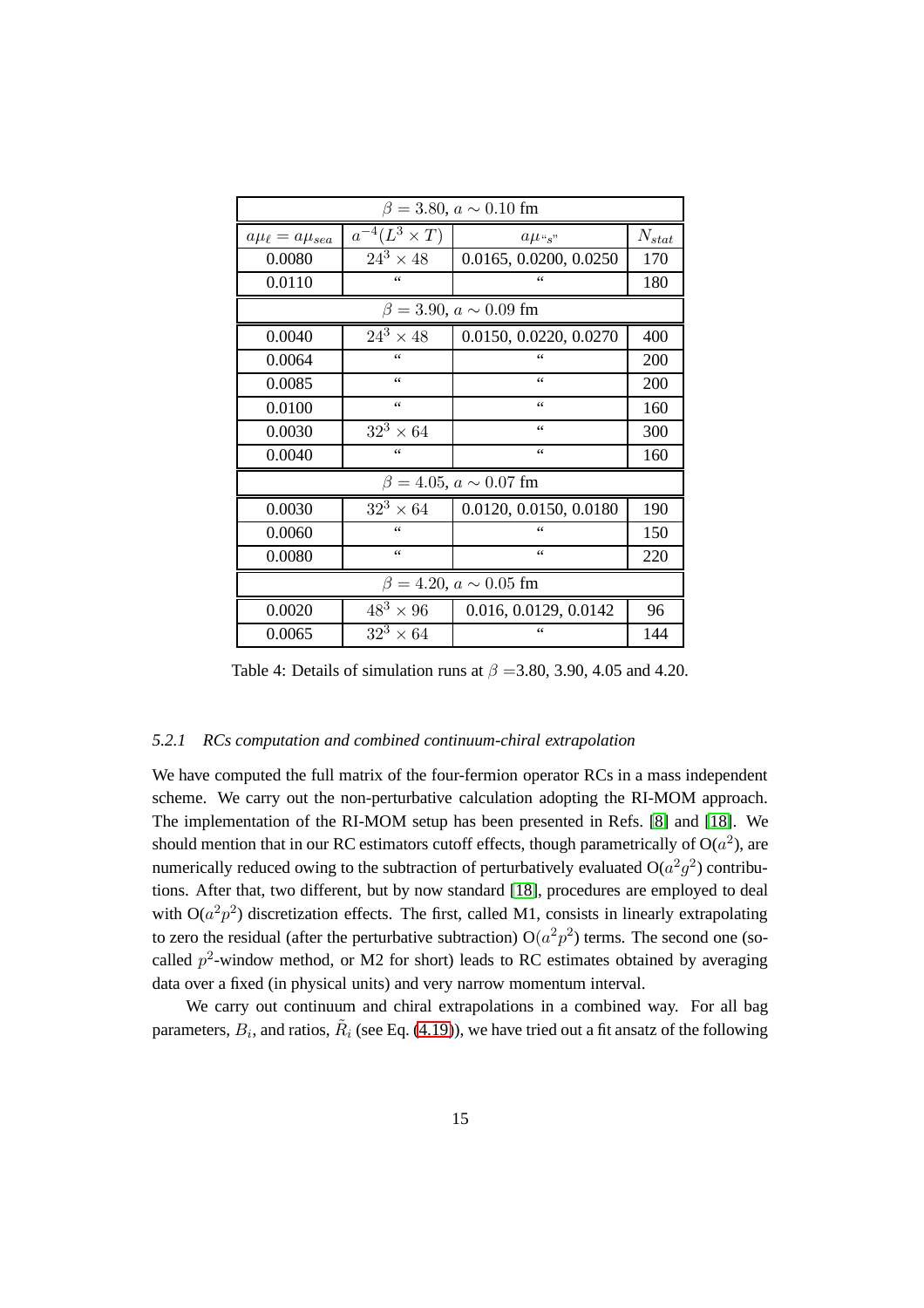| $\beta = 3.80, a \sim 0.10$ fm |                                   |                                   |            |  |
|--------------------------------|-----------------------------------|-----------------------------------|------------|--|
| $a\mu_{\ell} = a\mu_{sea}$     | $\overline{a}^{-4}(L^3 \times T)$ | $a\mu$ "s"                        | $N_{stat}$ |  |
| 0.0080                         | $24^3 \times 48$                  | 0.0165, 0.0200, 0.0250            | 170        |  |
| 0.0110                         | $\leq$ $\leq$                     | $\zeta$ $\zeta$                   | 180        |  |
|                                |                                   | $\beta = 3.90, a \sim 0.09$ fm    |            |  |
| 0.0040                         | $24^3 \times 48$                  | 0.0150, 0.0220, 0.0270            | 400        |  |
| 0.0064                         | $\leq$                            | $\leq$                            | 200        |  |
| 0.0085                         | $\zeta$ $\zeta$                   | 66                                | 200        |  |
| 0.0100                         | $\zeta$ $\zeta$                   | 66                                | 160        |  |
| 0.0030                         | $32^3 \times 64$                  | 66                                | 300        |  |
| 0.0040                         | $\zeta$ $\zeta$                   | 66                                | 160        |  |
|                                |                                   | $\beta = 4.05$ , $a \sim 0.07$ fm |            |  |
| 0.0030                         | $32^3\times 64$                   | 0.0120, 0.0150, 0.0180            | 190        |  |
| 0.0060                         | $\leq$                            | 66                                | 150        |  |
| 0.0080                         | 66                                | $\leq$                            | 220        |  |
| $\beta = 4.20, a \sim 0.05$ fm |                                   |                                   |            |  |
| 0.0020                         | $\overline{48}^3 \times 96$       | 0.016, 0.0129, 0.0142             | 96         |  |
| 0.0065                         | $32^3 \times 64$                  | 66                                | 144        |  |

<span id="page-16-0"></span>Table 4: Details of simulation runs at  $\beta = 3.80, 3.90, 4.05$  and 4.20.

# *5.2.1 RCs computation and combined continuum-chiral extrapolation*

We have computed the full matrix of the four-fermion operator RCs in a mass independent scheme. We carry out the non-perturbative calculation adopting the RI-MOM approach. The implementation of the RI-MOM setup has been presented in Refs. [\[8\]](#page-61-4) and [\[18\]](#page-62-5). We should mention that in our RC estimators cutoff effects, though parametrically of  $O(a^2)$ , are numerically reduced owing to the subtraction of perturbatively evaluated  $O(a^2g^2)$  contributions. After that, two different, but by now standard [\[18\]](#page-62-5), procedures are employed to deal with  $O(a^2p^2)$  discretization effects. The first, called M1, consists in linearly extrapolating to zero the residual (after the perturbative subtraction)  $O(a^2p^2)$  terms. The second one (socalled  $p^2$ -window method, or M2 for short) leads to RC estimates obtained by averaging data over a fixed (in physical units) and very narrow momentum interval.

We carry out continuum and chiral extrapolations in a combined way. For all bag parameters,  $B_i$ , and ratios,  $\tilde{R}_i$  (see Eq. [\(4.19\)](#page-14-0)), we have tried out a fit ansatz of the following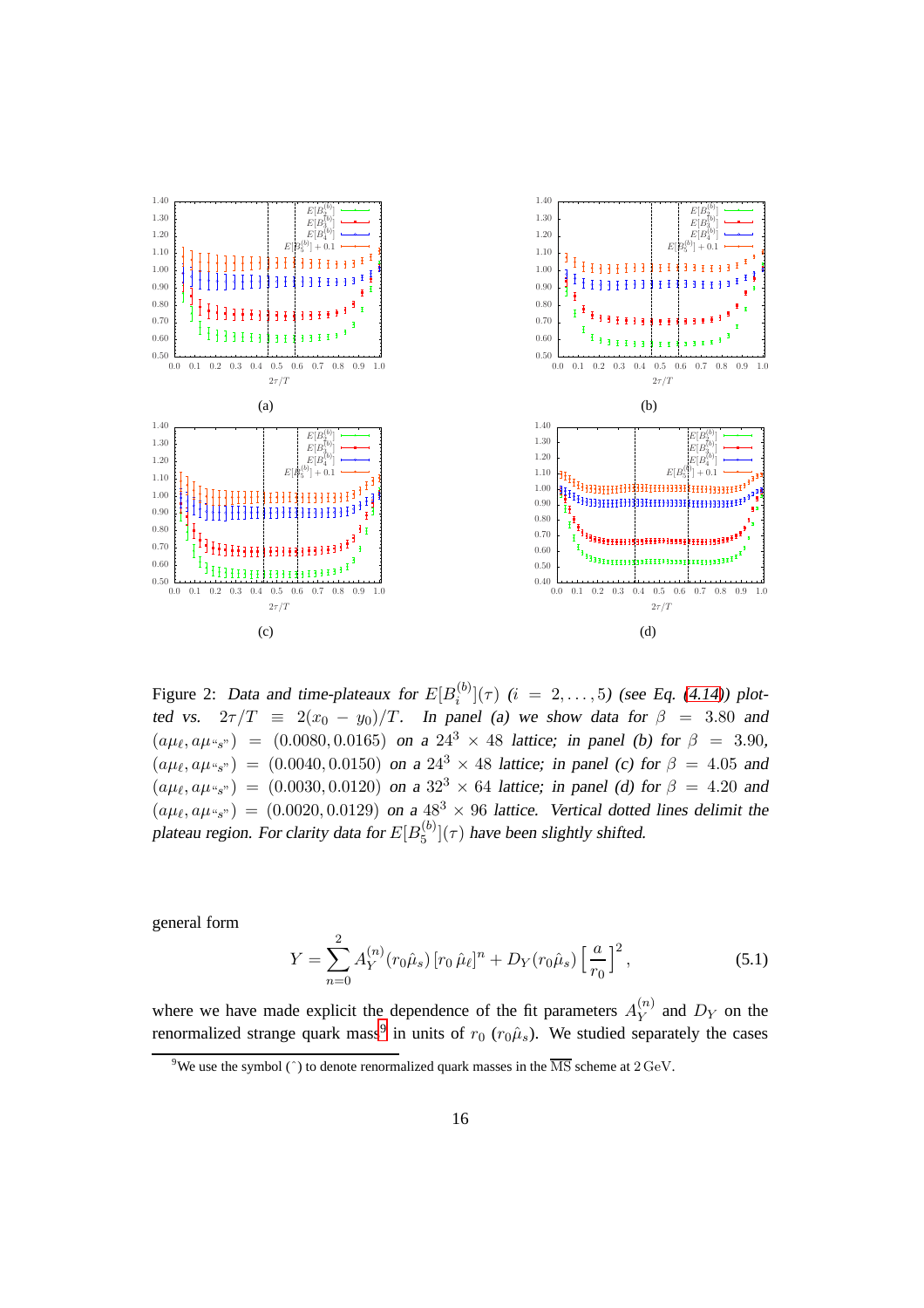

<span id="page-17-0"></span>Figure 2: Data and time-plateaux for  $E[B_i^{(b)}]$  $\binom{[0]}{i}(\tau)$  (i = 2,..., 5) (see Eq. [\(4.14\)](#page-13-3)) plotted vs.  $2\tau/T \equiv 2(x_0 - y_0)/T$ . In panel (a) we show data for  $\beta = 3.80$  and  $(a\mu_{\ell}, a\mu_{\gamma_{s}}) = (0.0080, 0.0165)$  on a  $24^{3} \times 48$  lattice; in panel (b) for  $\beta = 3.90$ ,  $(a\mu_{\ell}, a\mu_{\gamma_{s}}) = (0.0040, 0.0150)$  on a  $24^{3} \times 48$  lattice; in panel (c) for  $\beta = 4.05$  and  $(a\mu_{\ell}, a\mu_{\gamma_{s}}) = (0.0030, 0.0120)$  on a  $32^{3} \times 64$  lattice; in panel (d) for  $\beta = 4.20$  and  $(a\mu_{\ell}, a\mu_{\gamma_{s}}) = (0.0020, 0.0129)$  on a  $48^{3} \times 96$  lattice. Vertical dotted lines delimit the plateau region. For clarity data for  $E[B_5^{(b)}]$  $\binom{10}{5}$   $(\tau)$  have been slightly shifted.

general form

<span id="page-17-2"></span>
$$
Y = \sum_{n=0}^{2} A_Y^{(n)}(r_0\hat{\mu}_s) [r_0 \hat{\mu}_\ell]^n + D_Y(r_0\hat{\mu}_s) \left[\frac{a}{r_0}\right]^2, \tag{5.1}
$$

where we have made explicit the dependence of the fit parameters  $A_Y^{(n)}$  $Y^{(n)}$  and  $D_Y$  on the renormalized strange quark mass<sup>[9](#page-17-1)</sup> in units of  $r_0$  ( $r_0\hat{\mu}_s$ ). We studied separately the cases

<span id="page-17-1"></span><sup>&</sup>lt;sup>9</sup>We use the symbol ( $\hat{\ }$ ) to denote renormalized quark masses in the  $\overline{\text{MS}}$  scheme at  $2 \text{ GeV}$ .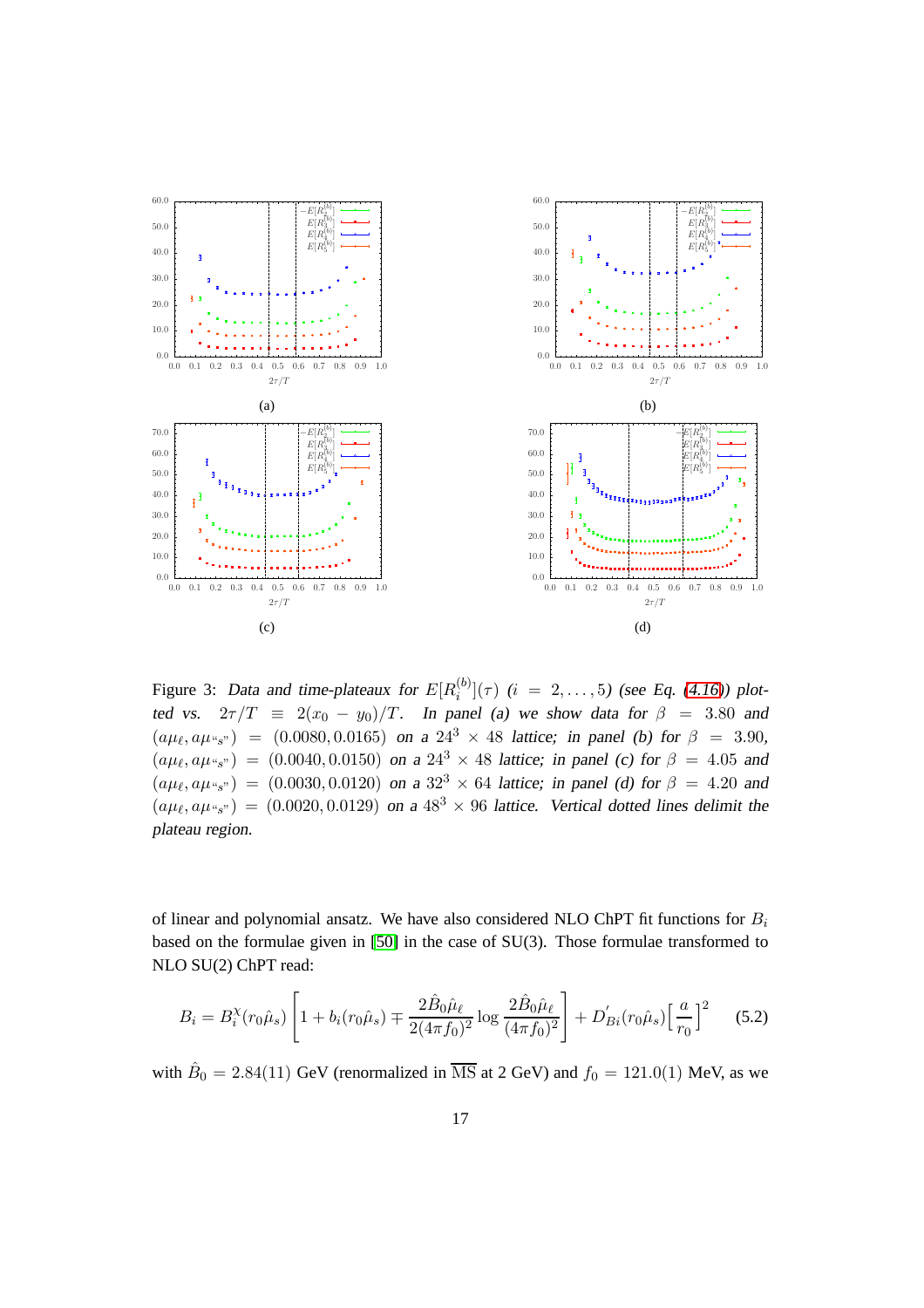

<span id="page-18-0"></span>Figure 3: Data and time-plateaux for  $E[R_i^{(b)}]$  $\binom{[0]}{i}(\tau)$  (i = 2,..., 5) (see Eq. [\(4.16\)](#page-14-2)) plotted vs.  $2\tau/T \equiv 2(x_0 - y_0)/T$ . In panel (a) we show data for  $\beta = 3.80$  and  $(a\mu_{\ell}, a\mu_{\ell s^{n}}) = (0.0080, 0.0165)$  on a  $24^{3} \times 48$  lattice; in panel (b) for  $\beta = 3.90$ ,  $(a\mu_{\ell}, a\mu_{\gamma_{s}}) = (0.0040, 0.0150)$  on a  $24^{3} \times 48$  lattice; in panel (c) for  $\beta = 4.05$  and  $(a\mu_{\ell}, a\mu_{\gamma_{s}}) = (0.0030, 0.0120)$  on a  $32^{3} \times 64$  lattice; in panel (d) for  $\beta = 4.20$  and  $(a\mu_{\ell}, a\mu_{\gamma_{s}}) = (0.0020, 0.0129)$  on a  $48^{3} \times 96$  lattice. Vertical dotted lines delimit the plateau region.

of linear and polynomial ansatz. We have also considered NLO ChPT fit functions for  $B_i$ based on the formulae given in [\[50\]](#page-65-1) in the case of SU(3). Those formulae transformed to NLO SU(2) ChPT read:

<span id="page-18-1"></span>
$$
B_i = B_i^{\chi}(r_0\hat{\mu}_s) \left[ 1 + b_i(r_0\hat{\mu}_s) \mp \frac{2\hat{B}_0\hat{\mu}_\ell}{2(4\pi f_0)^2} \log \frac{2\hat{B}_0\hat{\mu}_\ell}{(4\pi f_0)^2} \right] + D'_{Bi}(r_0\hat{\mu}_s) \left[ \frac{a}{r_0} \right]^2 \tag{5.2}
$$

with  $\hat{B}_0 = 2.84(11)$  GeV (renormalized in  $\overline{\text{MS}}$  at 2 GeV) and  $f_0 = 121.0(1)$  MeV, as we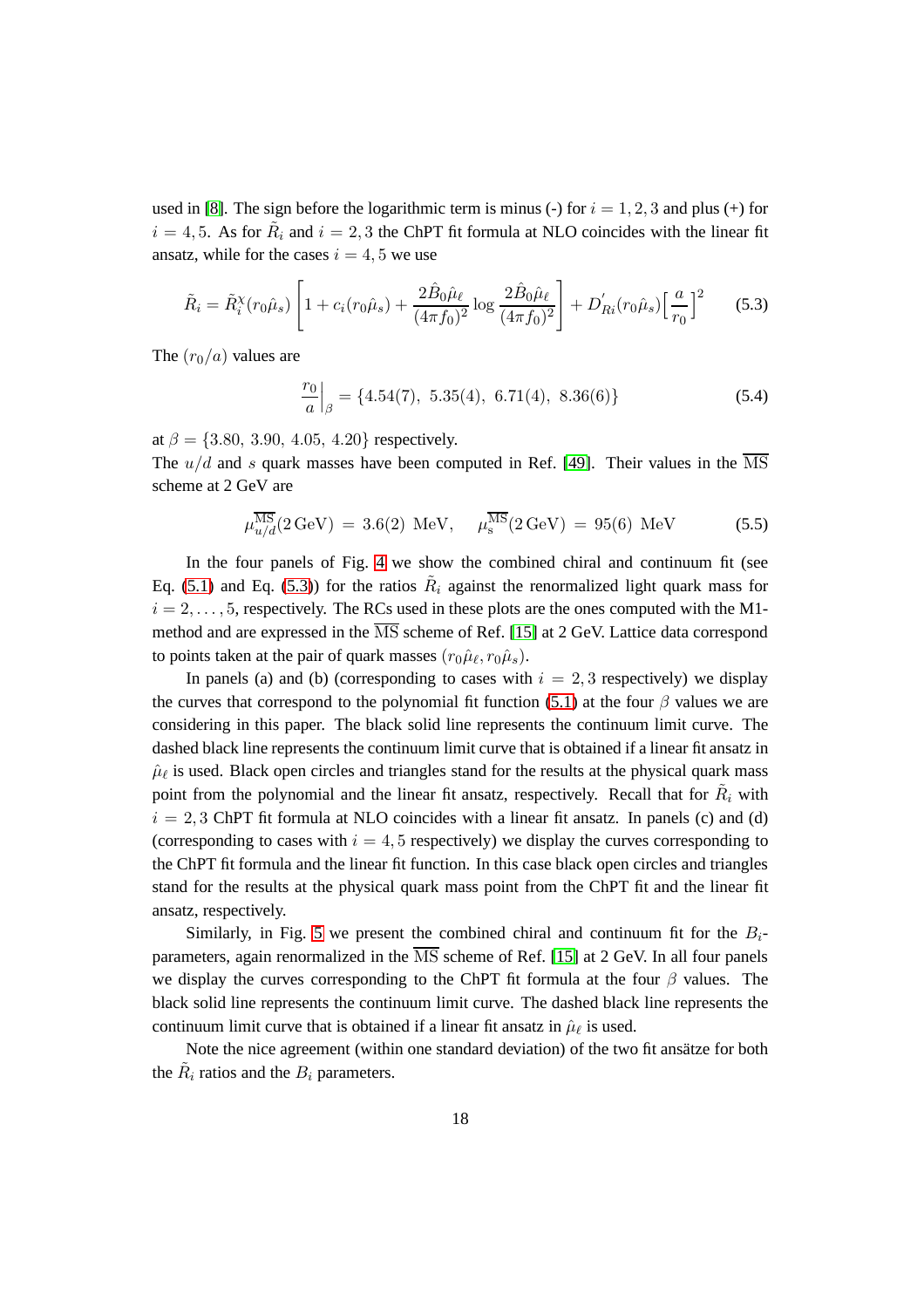used in [\[8\]](#page-61-4). The sign before the logarithmic term is minus (-) for  $i = 1, 2, 3$  and plus (+) for  $i = 4, 5$ . As for  $\tilde{R}_i$  and  $i = 2, 3$  the ChPT fit formula at NLO coincides with the linear fit ansatz, while for the cases  $i = 4, 5$  we use

<span id="page-19-0"></span>
$$
\tilde{R}_i = \tilde{R}_i^{\chi}(r_0\hat{\mu}_s) \left[ 1 + c_i(r_0\hat{\mu}_s) + \frac{2\hat{B}_0\hat{\mu}_\ell}{(4\pi f_0)^2} \log \frac{2\hat{B}_0\hat{\mu}_\ell}{(4\pi f_0)^2} \right] + D'_{Ri}(r_0\hat{\mu}_s) \left[ \frac{a}{r_0} \right]^2 \tag{5.3}
$$

The  $(r_0/a)$  values are

$$
\left. \frac{r_0}{a} \right|_{\beta} = \{4.54(7), \ 5.35(4), \ 6.71(4), \ 8.36(6) \} \tag{5.4}
$$

at  $\beta = \{3.80, 3.90, 4.05, 4.20\}$  respectively.

The  $u/d$  and s quark masses have been computed in Ref. [\[49\]](#page-65-0). Their values in the  $\overline{\text{MS}}$ scheme at 2 GeV are

$$
\mu_{u/d}^{\overline{\rm MS}}(2\,\text{GeV}) = 3.6(2) \text{ MeV}, \quad \mu_s^{\overline{\rm MS}}(2\,\text{GeV}) = 95(6) \text{ MeV} \tag{5.5}
$$

In the four panels of Fig. [4](#page-20-0) we show the combined chiral and continuum fit (see Eq. [\(5.1\)](#page-17-2) and Eq. [\(5.3\)](#page-19-0)) for the ratios  $R_i$  against the renormalized light quark mass for  $i = 2, \ldots, 5$ , respectively. The RCs used in these plots are the ones computed with the M1method and are expressed in the  $\overline{\text{MS}}$  scheme of Ref. [\[15\]](#page-62-2) at 2 GeV. Lattice data correspond to points taken at the pair of quark masses  $(r_0\hat{\mu}_{\ell}, r_0\hat{\mu}_s)$ .

In panels (a) and (b) (corresponding to cases with  $i = 2, 3$  respectively) we display the curves that correspond to the polynomial fit function [\(5.1\)](#page-17-2) at the four  $\beta$  values we are considering in this paper. The black solid line represents the continuum limit curve. The dashed black line represents the continuum limit curve that is obtained if a linear fit ansatz in  $\hat{\mu}_{\ell}$  is used. Black open circles and triangles stand for the results at the physical quark mass point from the polynomial and the linear fit ansatz, respectively. Recall that for  $\tilde{R}_i$  with  $i = 2, 3$  ChPT fit formula at NLO coincides with a linear fit ansatz. In panels (c) and (d) (corresponding to cases with  $i = 4, 5$  respectively) we display the curves corresponding to the ChPT fit formula and the linear fit function. In this case black open circles and triangles stand for the results at the physical quark mass point from the ChPT fit and the linear fit ansatz, respectively.

Similarly, in Fig. [5](#page-21-0) we present the combined chiral and continuum fit for the  $B_i$ parameters, again renormalized in the  $\overline{\text{MS}}$  scheme of Ref. [\[15\]](#page-62-2) at 2 GeV. In all four panels we display the curves corresponding to the ChPT fit formula at the four  $\beta$  values. The black solid line represents the continuum limit curve. The dashed black line represents the continuum limit curve that is obtained if a linear fit ansatz in  $\hat{\mu}_{\ell}$  is used.

Note the nice agreement (within one standard deviation) of the two fit ansätze for both the  $\tilde{R}_i$  ratios and the  $B_i$  parameters.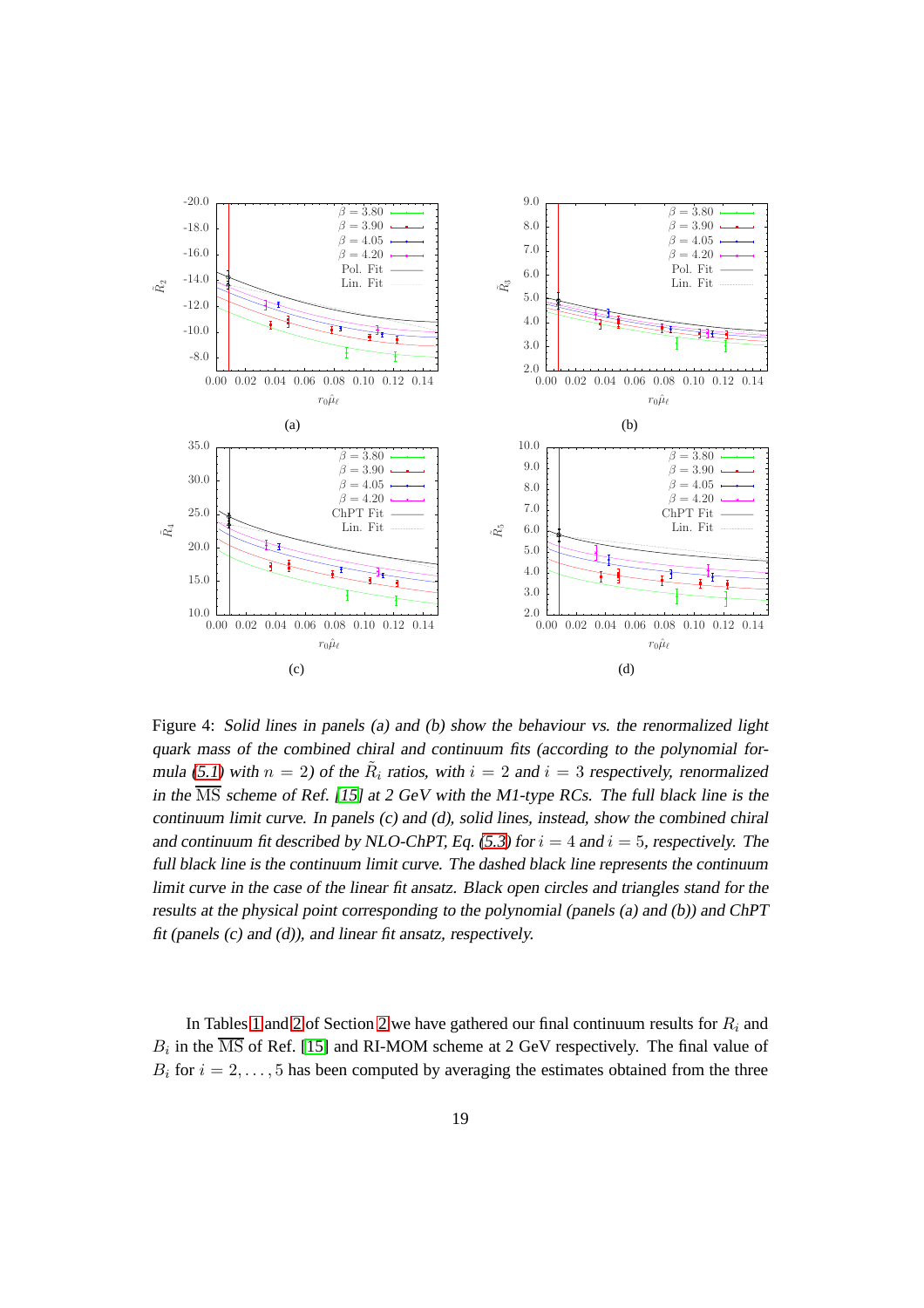

<span id="page-20-0"></span>Figure 4: Solid lines in panels (a) and (b) show the behaviour vs. the renormalized light quark mass of the combined chiral and continuum fits (according to the polynomial for-mula [\(5.1\)](#page-17-2) with  $n = 2$ ) of the  $\tilde{R}_i$  ratios, with  $i = 2$  and  $i = 3$  respectively, renormalized in the  $\overline{\text{MS}}$  scheme of Ref. [\[15\]](#page-62-2) at 2 GeV with the M1-type RCs. The full black line is the continuum limit curve. In panels (c) and (d), solid lines, instead, show the combined chiral and continuum fit described by NLO-ChPT, Eq. [\(5.3\)](#page-19-0) for  $i = 4$  and  $i = 5$ , respectively. The full black line is the continuum limit curve. The dashed black line represents the continuum limit curve in the case of the linear fit ansatz. Black open circles and triangles stand for the results at the physical point corresponding to the polynomial (panels (a) and (b)) and ChPT fit (panels (c) and (d)), and linear fit ansatz, respectively.

In Tables [1](#page-4-2) and [2](#page-3-0) of Section 2 we have gathered our final continuum results for  $R_i$  and  $B_i$  in the MS of Ref. [\[15\]](#page-62-2) and RI-MOM scheme at 2 GeV respectively. The final value of  $B_i$  for  $i = 2, \ldots, 5$  has been computed by averaging the estimates obtained from the three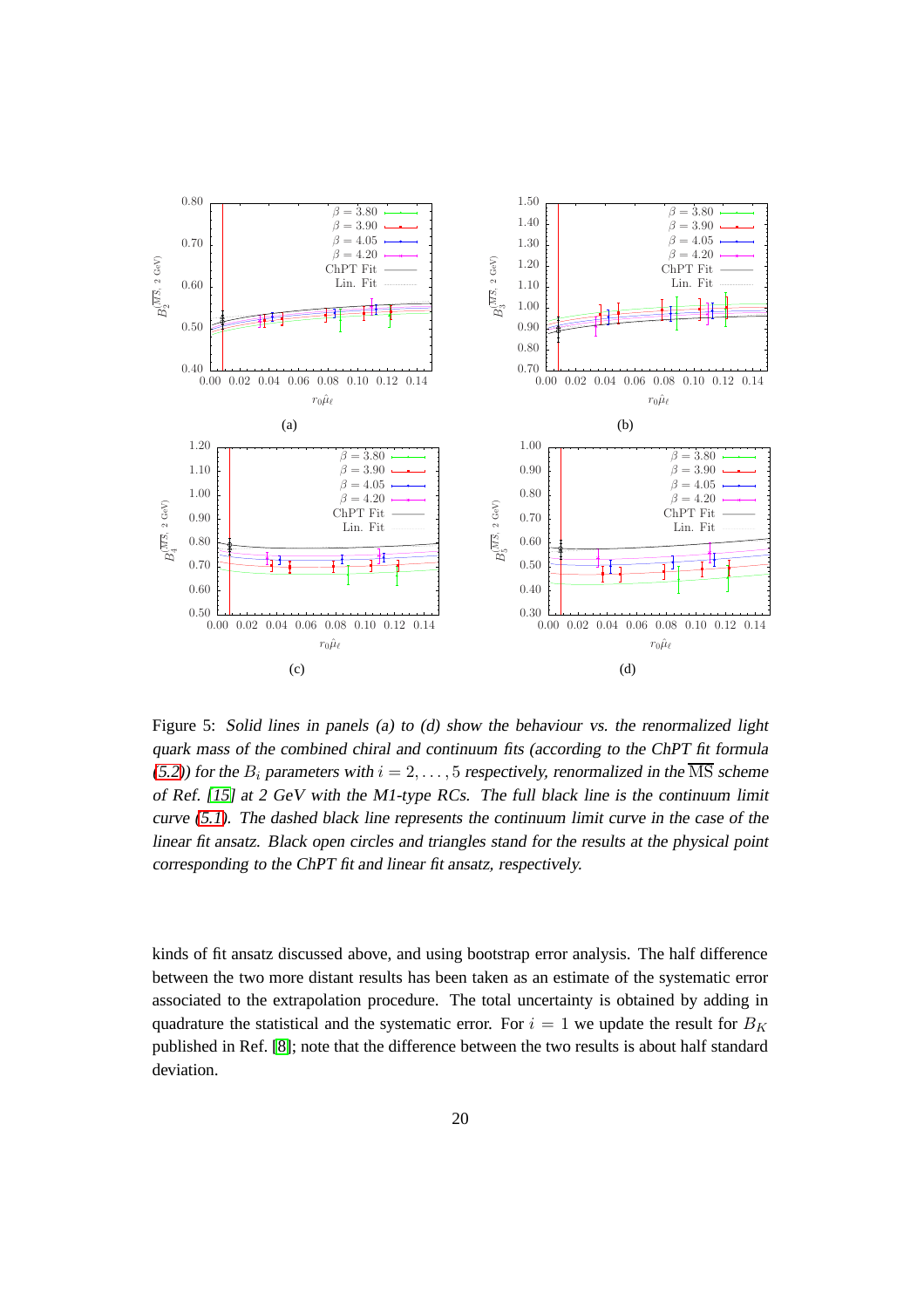

<span id="page-21-0"></span>Figure 5: Solid lines in panels (a) to (d) show the behaviour vs. the renormalized light quark mass of the combined chiral and continuum fits (according to the ChPT fit formula [\(5.2\)](#page-18-1)) for the  $B_i$  parameters with  $i = 2, \ldots, 5$  respectively, renormalized in the  $\overline{\text{MS}}$  scheme of Ref. [\[15\]](#page-62-2) at <sup>2</sup> GeV with the M1-type RCs. The full black line is the continuum limit curve [\(5.1\)](#page-17-2). The dashed black line represents the continuum limit curve in the case of the linear fit ansatz. Black open circles and triangles stand for the results at the physical point corresponding to the ChPT fit and linear fit ansatz, respectively.

kinds of fit ansatz discussed above, and using bootstrap error analysis. The half difference between the two more distant results has been taken as an estimate of the systematic error associated to the extrapolation procedure. The total uncertainty is obtained by adding in quadrature the statistical and the systematic error. For  $i = 1$  we update the result for  $B_K$ published in Ref. [\[8\]](#page-61-4); note that the difference between the two results is about half standard deviation.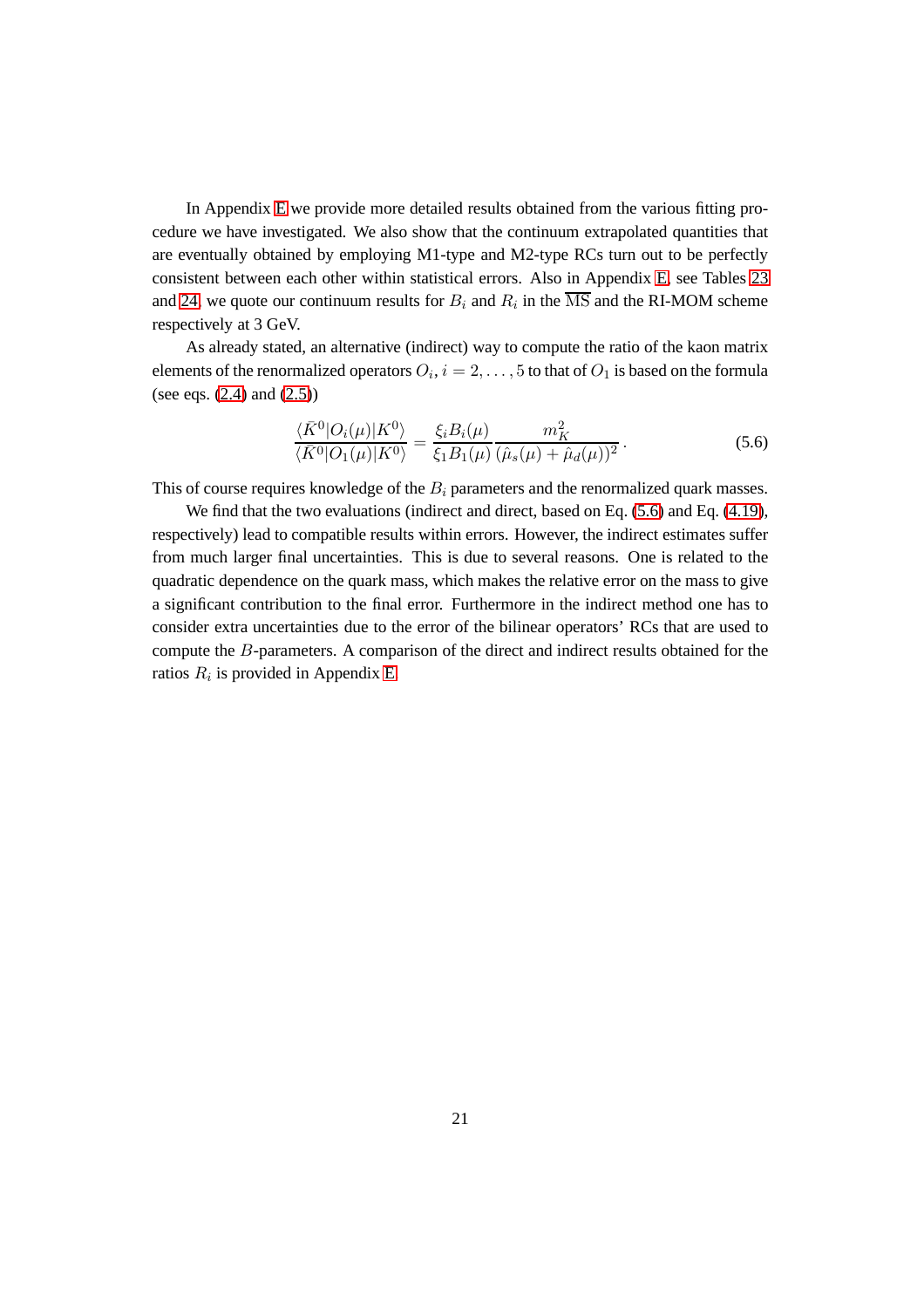In Appendix [E](#page-55-0) we provide more detailed results obtained from the various fitting procedure we have investigated. We also show that the continuum extrapolated quantities that are eventually obtained by employing M1-type and M2-type RCs turn out to be perfectly consistent between each other within statistical errors. Also in Appendix [E,](#page-55-0) see Tables [23](#page-58-0) and [24,](#page-58-1) we quote our continuum results for  $B_i$  and  $R_i$  in the MS and the RI-MOM scheme respectively at 3 GeV.

As already stated, an alternative (indirect) way to compute the ratio of the kaon matrix elements of the renormalized operators  $O_i, i=2,\ldots,5$  to that of  $O_1$  is based on the formula (see eqs. [\(2.4\)](#page-4-0) and [\(2.5\)](#page-4-0))

<span id="page-22-0"></span>
$$
\frac{\langle \bar{K}^0 | O_i(\mu) | K^0 \rangle}{\langle \bar{K}^0 | O_1(\mu) | K^0 \rangle} = \frac{\xi_i B_i(\mu)}{\xi_1 B_1(\mu)} \frac{m_K^2}{(\hat{\mu}_s(\mu) + \hat{\mu}_d(\mu))^2}.
$$
(5.6)

This of course requires knowledge of the  $B_i$  parameters and the renormalized quark masses.

We find that the two evaluations (indirect and direct, based on Eq. [\(5.6\)](#page-22-0) and Eq. [\(4.19\)](#page-14-0), respectively) lead to compatible results within errors. However, the indirect estimates suffer from much larger final uncertainties. This is due to several reasons. One is related to the quadratic dependence on the quark mass, which makes the relative error on the mass to give a significant contribution to the final error. Furthermore in the indirect method one has to consider extra uncertainties due to the error of the bilinear operators' RCs that are used to compute the B-parameters. A comparison of the direct and indirect results obtained for the ratios  $R_i$  is provided in Appendix [E.](#page-55-0)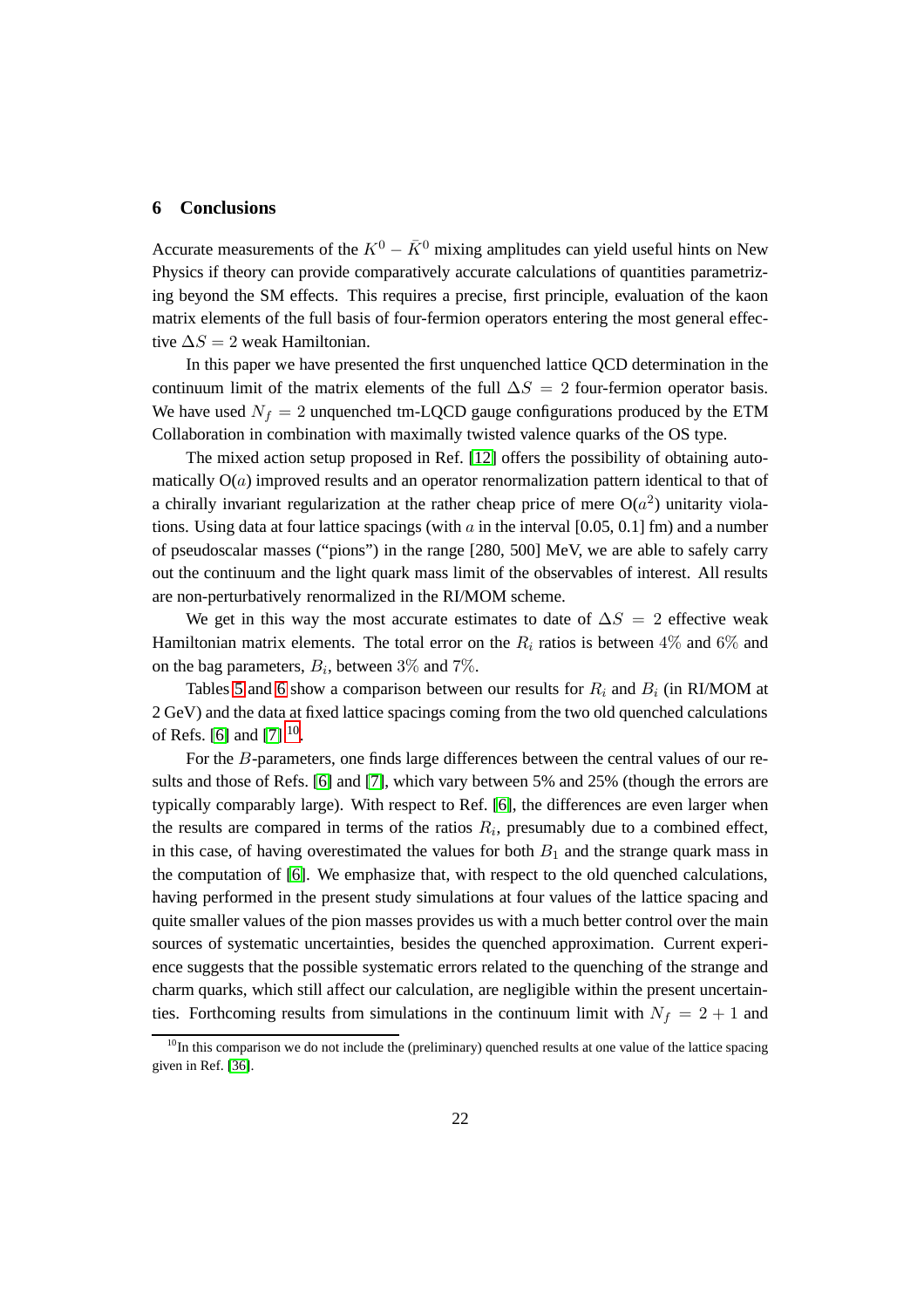#### <span id="page-23-0"></span>**6 Conclusions**

Accurate measurements of the  $K^0 - \bar{K}^0$  mixing amplitudes can yield useful hints on New Physics if theory can provide comparatively accurate calculations of quantities parametrizing beyond the SM effects. This requires a precise, first principle, evaluation of the kaon matrix elements of the full basis of four-fermion operators entering the most general effective  $\Delta S = 2$  weak Hamiltonian.

In this paper we have presented the first unquenched lattice QCD determination in the continuum limit of the matrix elements of the full  $\Delta S = 2$  four-fermion operator basis. We have used  $N_f = 2$  unquenched tm-LQCD gauge configurations produced by the ETM Collaboration in combination with maximally twisted valence quarks of the OS type.

The mixed action setup proposed in Ref. [\[12\]](#page-61-8) offers the possibility of obtaining automatically  $O(a)$  improved results and an operator renormalization pattern identical to that of a chirally invariant regularization at the rather cheap price of mere  $O(a^2)$  unitarity violations. Using data at four lattice spacings (with  $a$  in the interval [0.05, 0.1] fm) and a number of pseudoscalar masses ("pions") in the range [280, 500] MeV, we are able to safely carry out the continuum and the light quark mass limit of the observables of interest. All results are non-perturbatively renormalized in the RI/MOM scheme.

We get in this way the most accurate estimates to date of  $\Delta S = 2$  effective weak Hamiltonian matrix elements. The total error on the  $R_i$  ratios is between 4% and 6% and on the bag parameters,  $B_i$ , between  $3\%$  and  $7\%$ .

Tables [5](#page-24-0) and [6](#page-24-1) show a comparison between our results for  $R_i$  and  $B_i$  (in RI/MOM at 2 GeV) and the data at fixed lattice spacings coming from the two old quenched calculations of Refs. [\[6\]](#page-61-2) and [\[7\]](#page-61-3)  $^{10}$  $^{10}$  $^{10}$ .

For the B-parameters, one finds large differences between the central values of our results and those of Refs. [\[6\]](#page-61-2) and [\[7\]](#page-61-3), which vary between 5% and 25% (though the errors are typically comparably large). With respect to Ref. [\[6\]](#page-61-2), the differences are even larger when the results are compared in terms of the ratios  $R_i$ , presumably due to a combined effect, in this case, of having overestimated the values for both  $B_1$  and the strange quark mass in the computation of [\[6\]](#page-61-2). We emphasize that, with respect to the old quenched calculations, having performed in the present study simulations at four values of the lattice spacing and quite smaller values of the pion masses provides us with a much better control over the main sources of systematic uncertainties, besides the quenched approximation. Current experience suggests that the possible systematic errors related to the quenching of the strange and charm quarks, which still affect our calculation, are negligible within the present uncertainties. Forthcoming results from simulations in the continuum limit with  $N_f = 2 + 1$  and

<span id="page-23-1"></span> $10$ In this comparison we do not include the (preliminary) quenched results at one value of the lattice spacing given in Ref. [\[36\]](#page-63-6).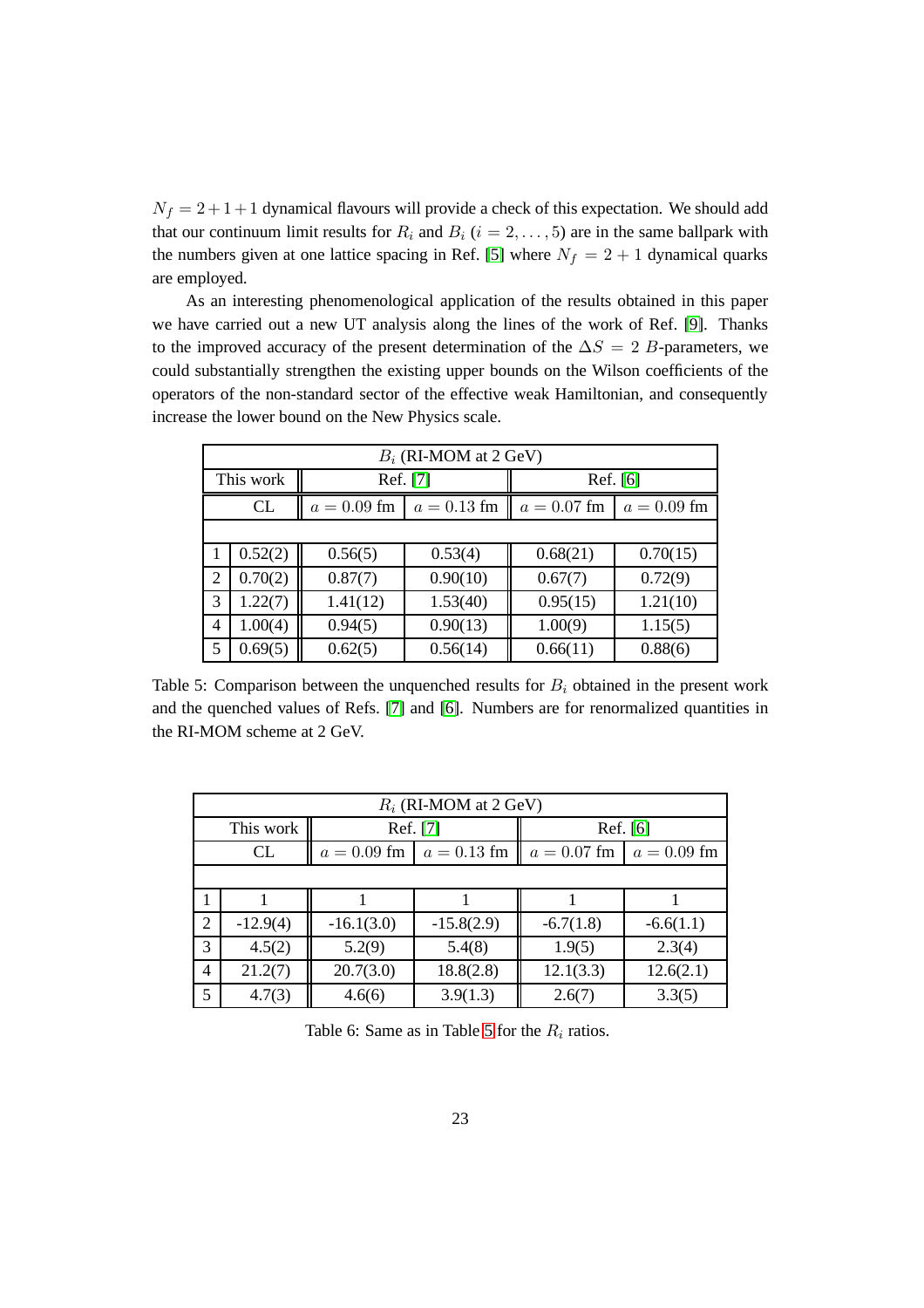$N_f = 2 + 1 + 1$  dynamical flavours will provide a check of this expectation. We should add that our continuum limit results for  $R_i$  and  $B_i$  ( $i = 2, \ldots, 5$ ) are in the same ballpark with the numbers given at one lattice spacing in Ref. [\[5\]](#page-61-9) where  $N_f = 2 + 1$  dynamical quarks are employed.

As an interesting phenomenological application of the results obtained in this paper we have carried out a new UT analysis along the lines of the work of Ref. [\[9\]](#page-61-5). Thanks to the improved accuracy of the present determination of the  $\Delta S = 2$  B-parameters, we could substantially strengthen the existing upper bounds on the Wilson coefficients of the operators of the non-standard sector of the effective weak Hamiltonian, and consequently increase the lower bound on the New Physics scale.

| $B_i$ (RI-MOM at 2 GeV) |           |               |               |               |               |  |  |
|-------------------------|-----------|---------------|---------------|---------------|---------------|--|--|
|                         | This work | Ref. [7]      |               | Ref. [6]      |               |  |  |
|                         | CL        | $a = 0.09$ fm | $a = 0.13$ fm | $a = 0.07$ fm | $a = 0.09$ fm |  |  |
|                         |           |               |               |               |               |  |  |
|                         | 0.52(2)   | 0.56(5)       | 0.53(4)       | 0.68(21)      | 0.70(15)      |  |  |
| 2                       | 0.70(2)   | 0.87(7)       | 0.90(10)      | 0.67(7)       | 0.72(9)       |  |  |
| 3                       | 1.22(7)   | 1.41(12)      | 1.53(40)      | 0.95(15)      | 1.21(10)      |  |  |
| 4                       | 1.00(4)   | 0.94(5)       | 0.90(13)      | 1.00(9)       | 1.15(5)       |  |  |
| 5                       | 0.69(5)   | 0.62(5)       | 0.56(14)      | 0.66(11)      | 0.88(6)       |  |  |

<span id="page-24-0"></span>Table 5: Comparison between the unquenched results for  $B_i$  obtained in the present work and the quenched values of Refs. [\[7\]](#page-61-3) and [\[6\]](#page-61-2). Numbers are for renormalized quantities in the RI-MOM scheme at 2 GeV.

| $R_i$ (RI-MOM at 2 GeV) |            |               |               |               |               |  |  |
|-------------------------|------------|---------------|---------------|---------------|---------------|--|--|
|                         | This work  | Ref. [7]      |               | Ref. [6]      |               |  |  |
|                         | CL         | $a = 0.09$ fm | $a = 0.13$ fm | $a = 0.07$ fm | $a = 0.09$ fm |  |  |
|                         |            |               |               |               |               |  |  |
|                         |            |               |               |               |               |  |  |
| $\overline{2}$          | $-12.9(4)$ | $-16.1(3.0)$  | $-15.8(2.9)$  | $-6.7(1.8)$   | $-6.6(1.1)$   |  |  |
| 3                       | 4.5(2)     | 5.2(9)        | 5.4(8)        | 1.9(5)        | 2.3(4)        |  |  |
| 4                       | 21.2(7)    | 20.7(3.0)     | 18.8(2.8)     | 12.1(3.3)     | 12.6(2.1)     |  |  |
| 5                       | 4.7(3)     | 4.6(6)        | 3.9(1.3)      | 2.6(7)        | 3.3(5)        |  |  |

<span id="page-24-1"></span>Table 6: Same as in Table [5](#page-24-0) for the  $R_i$  ratios.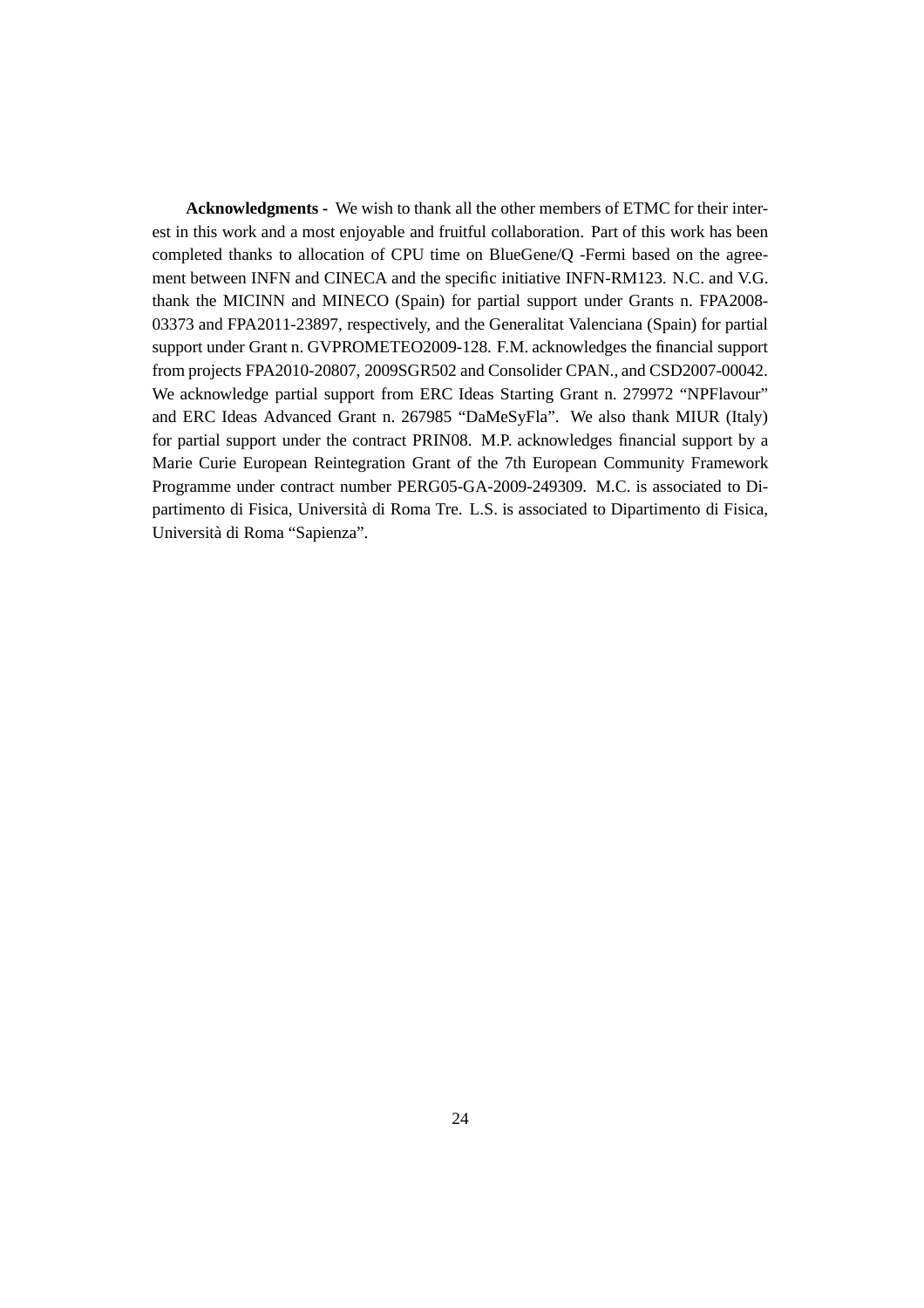**Acknowledgments -** We wish to thank all the other members of ETMC for their interest in this work and a most enjoyable and fruitful collaboration. Part of this work has been completed thanks to allocation of CPU time on BlueGene/Q -Fermi based on the agreement between INFN and CINECA and the specific initiative INFN-RM123. N.C. and V.G. thank the MICINN and MINECO (Spain) for partial support under Grants n. FPA2008- 03373 and FPA2011-23897, respectively, and the Generalitat Valenciana (Spain) for partial support under Grant n. GVPROMETEO2009-128. F.M. acknowledges the financial support from projects FPA2010-20807, 2009SGR502 and Consolider CPAN., and CSD2007-00042. We acknowledge partial support from ERC Ideas Starting Grant n. 279972 "NPFlavour" and ERC Ideas Advanced Grant n. 267985 "DaMeSyFla". We also thank MIUR (Italy) for partial support under the contract PRIN08. M.P. acknowledges financial support by a Marie Curie European Reintegration Grant of the 7th European Community Framework Programme under contract number PERG05-GA-2009-249309. M.C. is associated to Dipartimento di Fisica, Università di Roma Tre. L.S. is associated to Dipartimento di Fisica, Università di Roma "Sapienza".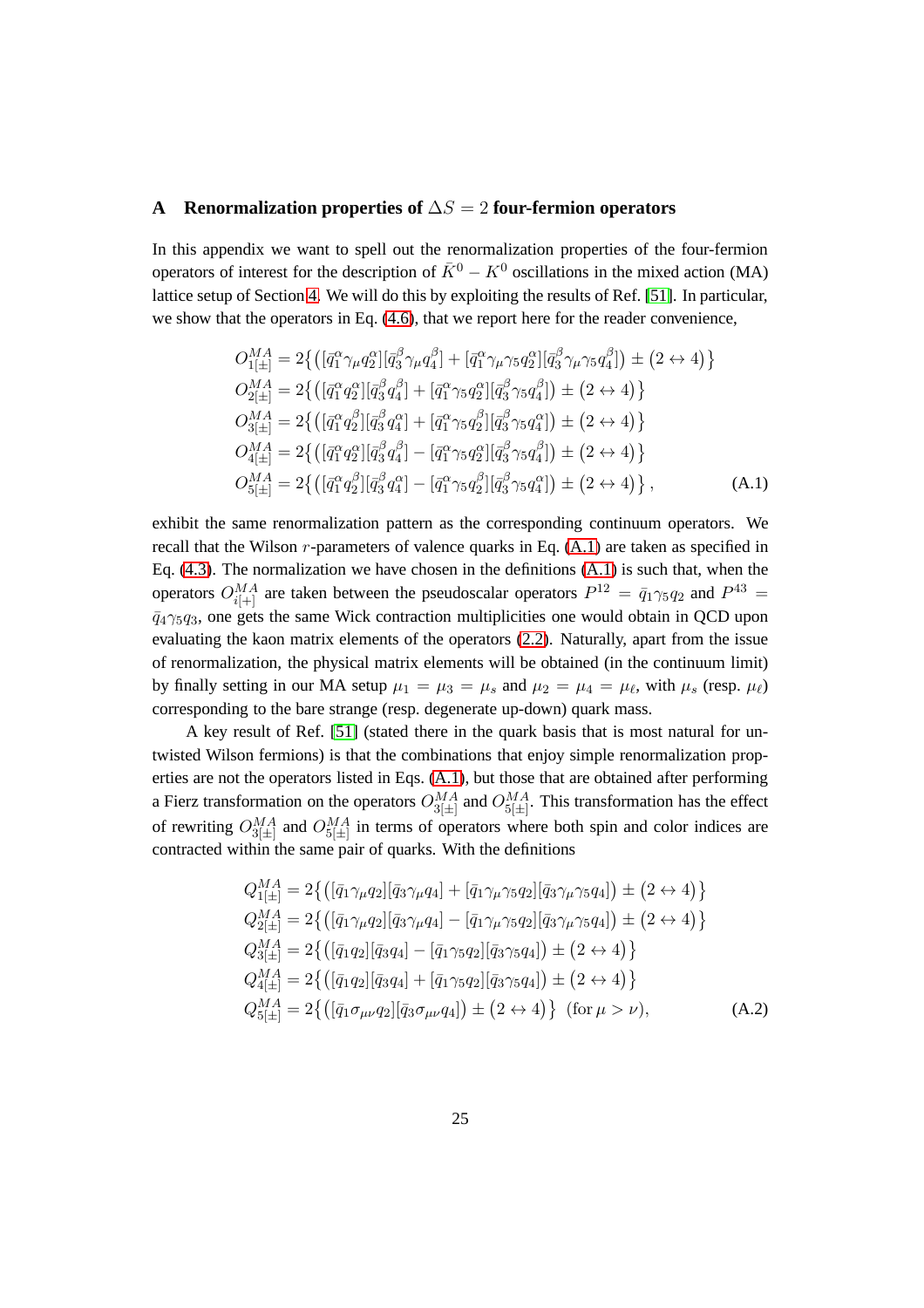#### <span id="page-26-0"></span>**A Renormalization properties of** ∆S = 2 **four-fermion operators**

In this appendix we want to spell out the renormalization properties of the four-fermion operators of interest for the description of  $\bar{K}^0 - K^0$  oscillations in the mixed action (MA) lattice setup of Section [4.](#page-8-0) We will do this by exploiting the results of Ref. [\[51\]](#page-65-2). In particular, we show that the operators in Eq. [\(4.6\)](#page-11-1), that we report here for the reader convenience,

<span id="page-26-1"></span>
$$
O_{1[\pm]}^{MA} = 2\{ \left( [\bar{q}_{1}^{\alpha}\gamma_{\mu}q_{2}^{\alpha}] [\bar{q}_{3}^{\beta}\gamma_{\mu}q_{4}^{\beta}] + [\bar{q}_{1}^{\alpha}\gamma_{\mu}\gamma_{5}q_{2}^{\alpha}] [\bar{q}_{3}^{\beta}\gamma_{\mu}\gamma_{5}q_{4}^{\beta}] \right) \pm (2 \leftrightarrow 4) \}
$$
  
\n
$$
O_{2[\pm]}^{MA} = 2\{ \left( [\bar{q}_{1}^{\alpha}q_{2}^{\alpha}] [\bar{q}_{3}^{\beta}q_{4}^{\beta}] + [\bar{q}_{1}^{\alpha}\gamma_{5}q_{2}^{\alpha}] [\bar{q}_{3}^{\beta}\gamma_{5}q_{4}^{\beta}] \right) \pm (2 \leftrightarrow 4) \}
$$
  
\n
$$
O_{3[\pm]}^{MA} = 2\{ \left( [\bar{q}_{1}^{\alpha}q_{2}^{\beta}] [\bar{q}_{3}^{\beta}q_{4}^{\alpha}] + [\bar{q}_{1}^{\alpha}\gamma_{5}q_{2}^{\beta}] [\bar{q}_{3}^{\beta}\gamma_{5}q_{4}^{\alpha}] \right) \pm (2 \leftrightarrow 4) \}
$$
  
\n
$$
O_{4[\pm]}^{MA} = 2\{ \left( [\bar{q}_{1}^{\alpha}q_{2}^{\alpha}] [\bar{q}_{3}^{\beta}q_{4}^{\beta}] - [\bar{q}_{1}^{\alpha}\gamma_{5}q_{2}^{\alpha}] [\bar{q}_{3}^{\beta}\gamma_{5}q_{4}^{\beta}] \right) \pm (2 \leftrightarrow 4) \}
$$
  
\n
$$
O_{5[\pm]}^{MA} = 2\{ \left( [\bar{q}_{1}^{\alpha}q_{2}^{\beta}] [\bar{q}_{3}^{\beta}q_{4}^{\alpha}] - [\bar{q}_{1}^{\alpha}\gamma_{5}q_{2}^{\beta}] [\bar{q}_{3}^{\beta}\gamma_{5}q_{4}^{\alpha}] \right) \pm (2 \leftrightarrow 4) \}
$$
, (A.1)

exhibit the same renormalization pattern as the corresponding continuum operators. We recall that the Wilson  $r$ -parameters of valence quarks in Eq.  $(A.1)$  are taken as specified in Eq.  $(4.3)$ . The normalization we have chosen in the definitions  $(A.1)$  is such that, when the operators  $O_{i[+]}^{MA}$  are taken between the pseudoscalar operators  $P^{12} = \bar q_1 \gamma_5 q_2$  and  $P^{43} =$  $\bar{q}_4\gamma_5q_3$ , one gets the same Wick contraction multiplicities one would obtain in QCD upon evaluating the kaon matrix elements of the operators [\(2.2\)](#page-3-2). Naturally, apart from the issue of renormalization, the physical matrix elements will be obtained (in the continuum limit) by finally setting in our MA setup  $\mu_1 = \mu_3 = \mu_s$  and  $\mu_2 = \mu_4 = \mu_{\ell}$ , with  $\mu_s$  (resp.  $\mu_{\ell}$ ) corresponding to the bare strange (resp. degenerate up-down) quark mass.

A key result of Ref. [\[51\]](#page-65-2) (stated there in the quark basis that is most natural for untwisted Wilson fermions) is that the combinations that enjoy simple renormalization properties are not the operators listed in Eqs. [\(A.1\)](#page-26-1), but those that are obtained after performing a Fierz transformation on the operators  $O_{3[\pm]}^{MA}$  and  $O_{5[\pm]}^{MA}$ . This transformation has the effect of rewriting  $O_{3[\pm]}^{MA}$  and  $O_{5[\pm]}^{MA}$  in terms of operators where both spin and color indices are contracted within the same pair of quarks. With the definitions

<span id="page-26-2"></span>
$$
Q_{1[\pm]}^{MA} = 2\{([\bar{q}_{1}\gamma_{\mu}q_{2}][\bar{q}_{3}\gamma_{\mu}q_{4}] + [\bar{q}_{1}\gamma_{\mu}\gamma_{5}q_{2}][\bar{q}_{3}\gamma_{\mu}\gamma_{5}q_{4}]) \pm (2 \leftrightarrow 4)\}
$$
  
\n
$$
Q_{2[\pm]}^{MA} = 2\{([\bar{q}_{1}\gamma_{\mu}q_{2}][\bar{q}_{3}\gamma_{\mu}q_{4}] - [\bar{q}_{1}\gamma_{\mu}\gamma_{5}q_{2}][\bar{q}_{3}\gamma_{\mu}\gamma_{5}q_{4}]) \pm (2 \leftrightarrow 4)\}
$$
  
\n
$$
Q_{3[\pm]}^{MA} = 2\{([\bar{q}_{1}q_{2}][\bar{q}_{3}q_{4}] - [\bar{q}_{1}\gamma_{5}q_{2}][\bar{q}_{3}\gamma_{5}q_{4}]) \pm (2 \leftrightarrow 4)\}
$$
  
\n
$$
Q_{4[\pm]}^{MA} = 2\{([\bar{q}_{1}q_{2}][\bar{q}_{3}q_{4}] + [\bar{q}_{1}\gamma_{5}q_{2}][\bar{q}_{3}\gamma_{5}q_{4}]) \pm (2 \leftrightarrow 4)\}
$$
  
\n
$$
Q_{5[\pm]}^{MA} = 2\{([\bar{q}_{1}\sigma_{\mu\nu}q_{2}][\bar{q}_{3}\sigma_{\mu\nu}q_{4}]) \pm (2 \leftrightarrow 4)\} \text{ (for } \mu > \nu), \text{ (A.2)}
$$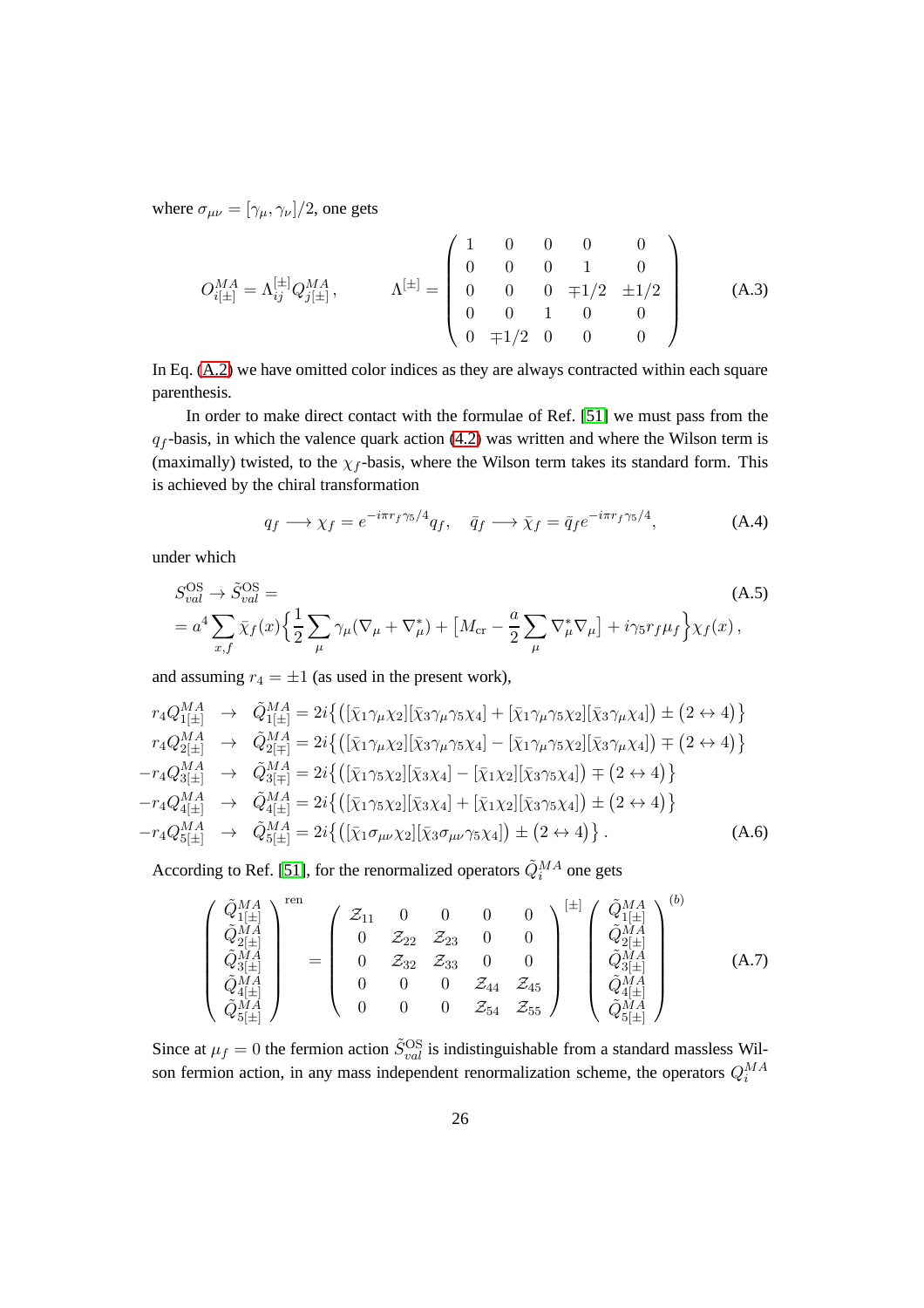where  $\sigma_{\mu\nu} = [\gamma_{\mu}, \gamma_{\nu}]/2$ , one gets

<span id="page-27-3"></span>
$$
O_{i[\pm]}^{MA} = \Lambda_{ij}^{[\pm]} Q_{j[\pm]}^{MA}, \qquad \Lambda^{[\pm]} = \begin{pmatrix} 1 & 0 & 0 & 0 & 0 \\ 0 & 0 & 0 & 1 & 0 \\ 0 & 0 & 0 & \mp 1/2 & \pm 1/2 \\ 0 & 0 & 1 & 0 & 0 \\ 0 & \mp 1/2 & 0 & 0 & 0 \end{pmatrix}
$$
 (A.3)

In Eq. [\(A.2\)](#page-26-2) we have omitted color indices as they are always contracted within each square parenthesis.

In order to make direct contact with the formulae of Ref. [\[51\]](#page-65-2) we must pass from the  $q_f$ -basis, in which the valence quark action [\(4.2\)](#page-10-1) was written and where the Wilson term is (maximally) twisted, to the  $\chi_f$ -basis, where the Wilson term takes its standard form. This is achieved by the chiral transformation

<span id="page-27-2"></span>
$$
q_f \longrightarrow \chi_f = e^{-i\pi r_f \gamma_5/4} q_f, \quad \bar{q}_f \longrightarrow \bar{\chi}_f = \bar{q}_f e^{-i\pi r_f \gamma_5/4}, \tag{A.4}
$$

under which

$$
S_{val}^{\text{OS}} \to \tilde{S}_{val}^{\text{OS}} =
$$
\n
$$
= a^4 \sum_{x,f} \bar{\chi}_f(x) \left\{ \frac{1}{2} \sum_{\mu} \gamma_{\mu} (\nabla_{\mu} + \nabla_{\mu}^*) + \left[ M_{\text{cr}} - \frac{a}{2} \sum_{\mu} \nabla_{\mu}^* \nabla_{\mu} \right] + i \gamma_5 r_f \mu_f \right\} \chi_f(x),
$$
\n(A.5)

and assuming  $r_4 = \pm 1$  (as used in the present work),

<span id="page-27-1"></span>
$$
r_{4}Q_{1[\pm]}^{MA} \rightarrow \tilde{Q}_{1[\pm]}^{MA} = 2i\{([\bar{\chi}_{1}\gamma_{\mu}\chi_{2}][\bar{\chi}_{3}\gamma_{\mu}\gamma_{5}\chi_{4}] + [\bar{\chi}_{1}\gamma_{\mu}\gamma_{5}\chi_{2}][\bar{\chi}_{3}\gamma_{\mu}\chi_{4}]) \pm (2 \leftrightarrow 4)\}
$$
  
\n
$$
r_{4}Q_{2[\pm]}^{MA} \rightarrow \tilde{Q}_{2[\mp]}^{MA} = 2i\{([\bar{\chi}_{1}\gamma_{\mu}\chi_{2}][\bar{\chi}_{3}\gamma_{\mu}\gamma_{5}\chi_{4}] - [\bar{\chi}_{1}\gamma_{\mu}\gamma_{5}\chi_{2}][\bar{\chi}_{3}\gamma_{\mu}\chi_{4}]) \mp (2 \leftrightarrow 4)\}
$$
  
\n
$$
-r_{4}Q_{3[\pm]}^{MA} \rightarrow \tilde{Q}_{3[\mp]}^{MA} = 2i\{([\bar{\chi}_{1}\gamma_{5}\chi_{2}][\bar{\chi}_{3}\chi_{4}] - [\bar{\chi}_{1}\chi_{2}][\bar{\chi}_{3}\gamma_{5}\chi_{4}]) \mp (2 \leftrightarrow 4)\}
$$
  
\n
$$
-r_{4}Q_{4[\pm]}^{MA} \rightarrow \tilde{Q}_{4[\pm]}^{MA} = 2i\{([\bar{\chi}_{1}\gamma_{5}\chi_{2}][\bar{\chi}_{3}\chi_{4}] + [\bar{\chi}_{1}\chi_{2}][\bar{\chi}_{3}\gamma_{5}\chi_{4}]) \pm (2 \leftrightarrow 4)\}
$$
  
\n
$$
-r_{4}Q_{5[\pm]}^{MA} \rightarrow \tilde{Q}_{5[\pm]}^{MA} = 2i\{([\bar{\chi}_{1}\sigma_{\mu\nu}\chi_{2}][\bar{\chi}_{3}\sigma_{\mu\nu}\gamma_{5}\chi_{4}]) \pm (2 \leftrightarrow 4)\}.
$$
 (A.6)

According to Ref. [\[51\]](#page-65-2), for the renormalized operators  $\tilde{Q}_i^{MA}$  one gets

<span id="page-27-0"></span>
$$
\begin{pmatrix}\n\tilde{Q}_{1[\pm]}^{MA} \\
\tilde{Q}_{2[\pm]}^{MA} \\
\tilde{Q}_{3[\pm]}^{MA} \\
\tilde{Q}_{4[\pm]}^{MA}\n\end{pmatrix}^{ren} = \begin{pmatrix}\n\mathcal{Z}_{11} & 0 & 0 & 0 & 0 \\
0 & \mathcal{Z}_{22} & \mathcal{Z}_{23} & 0 & 0 \\
0 & \mathcal{Z}_{32} & \mathcal{Z}_{33} & 0 & 0 \\
0 & \mathcal{Z}_{32} & \mathcal{Z}_{33} & 0 & 0 \\
0 & 0 & 0 & \mathcal{Z}_{44} & \mathcal{Z}_{45} \\
0 & 0 & 0 & \mathcal{Z}_{54} & \mathcal{Z}_{55}\n\end{pmatrix}^{[\pm]} \begin{pmatrix}\n\tilde{Q}_{1[\pm]}^{MA} \\
\tilde{Q}_{2[\pm]}^{MA} \\
\tilde{Q}_{3[\pm]}^{MA} \\
\tilde{Q}_{4[\pm]}^{MA}\n\end{pmatrix}^{(b)} (A.7)
$$

Since at  $\mu_f = 0$  the fermion action  $\tilde{S}_{val}^{\text{OS}}$  is indistinguishable from a standard massless Wilson fermion action, in any mass independent renormalization scheme, the operators  $Q_i^{MA}$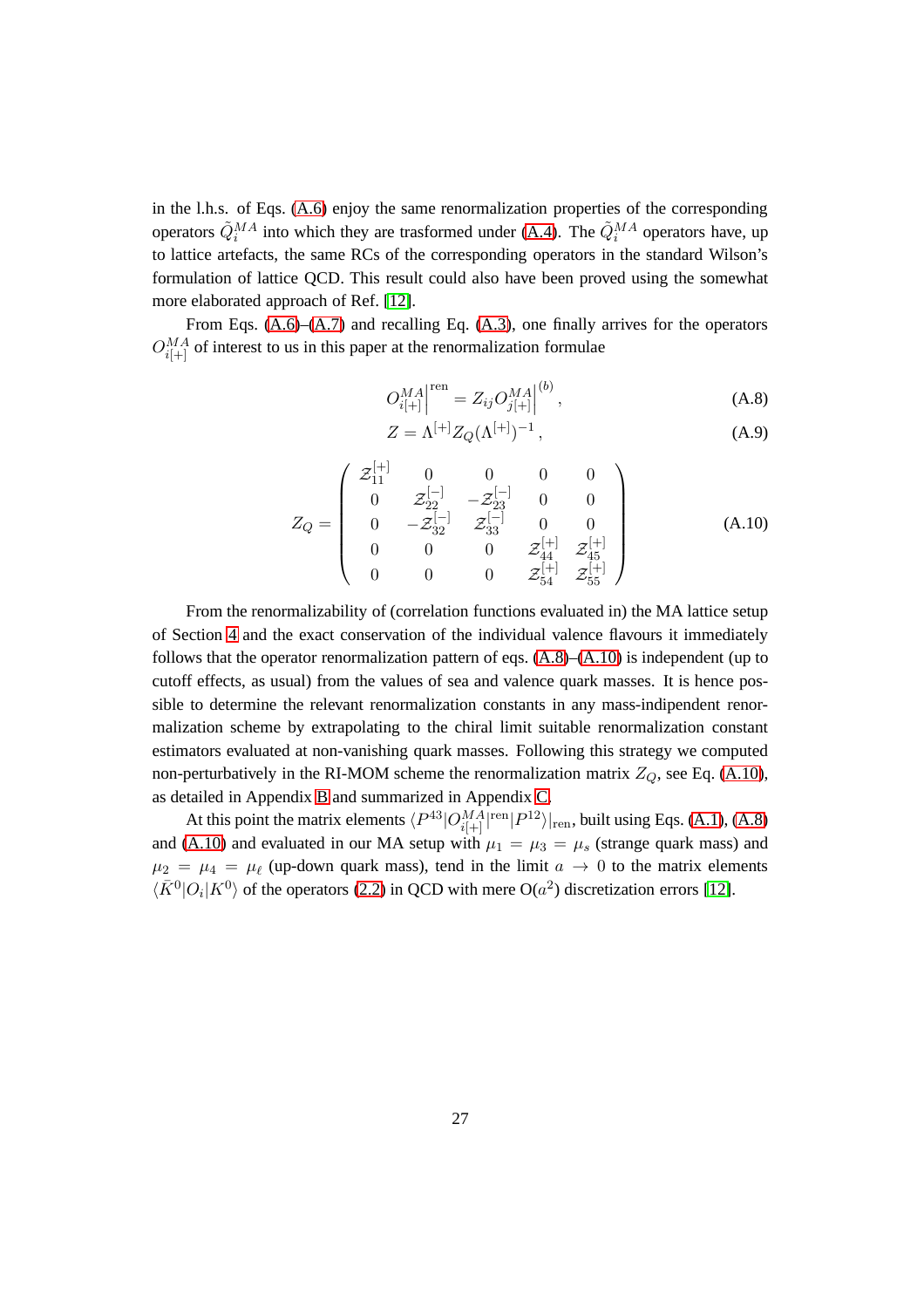in the l.h.s. of Eqs. [\(A.6\)](#page-27-1) enjoy the same renormalization properties of the corresponding operators  $\tilde{Q}_i^{MA}$  into which they are trasformed under [\(A.4\)](#page-27-2). The  $\tilde{Q}_i^{MA}$  operators have, up to lattice artefacts, the same RCs of the corresponding operators in the standard Wilson's formulation of lattice QCD. This result could also have been proved using the somewhat more elaborated approach of Ref. [\[12\]](#page-61-8).

From Eqs. [\(A.6\)](#page-27-1)–[\(A.7\)](#page-27-0) and recalling Eq. [\(A.3\)](#page-27-3), one finally arrives for the operators  $O_{i[+]}^{MA}$  of interest to us in this paper at the renormalization formulae

<span id="page-28-0"></span>
$$
O_{i[+]}^{MA}|^{\text{ren}} = Z_{ij} O_{j[+]}^{MA}|^{(b)}, \tag{A.8}
$$

$$
Z = \Lambda^{[+]} Z_Q(\Lambda^{[+]})^{-1},\tag{A.9}
$$

<span id="page-28-1"></span>
$$
Z_Q = \begin{pmatrix} \mathcal{Z}_{11}^{[+]} & 0 & 0 & 0 & 0 \\ 0 & \mathcal{Z}_{22}^{[-]} & -\mathcal{Z}_{23}^{[-]} & 0 & 0 \\ 0 & -\mathcal{Z}_{32}^{[-]} & \mathcal{Z}_{33}^{[-]} & 0 & 0 \\ 0 & 0 & 0 & \mathcal{Z}_{44}^{[+]} & \mathcal{Z}_{45}^{[+]} \\ 0 & 0 & 0 & \mathcal{Z}_{54}^{[+]} & \mathcal{Z}_{55}^{[+]} \end{pmatrix}
$$
(A.10)

From the renormalizability of (correlation functions evaluated in) the MA lattice setup of Section [4](#page-8-0) and the exact conservation of the individual valence flavours it immediately follows that the operator renormalization pattern of eqs.  $(A.8)$ – $(A.10)$  is independent (up to cutoff effects, as usual) from the values of sea and valence quark masses. It is hence possible to determine the relevant renormalization constants in any mass-indipendent renormalization scheme by extrapolating to the chiral limit suitable renormalization constant estimators evaluated at non-vanishing quark masses. Following this strategy we computed non-perturbatively in the RI-MOM scheme the renormalization matrix  $Z_Q$ , see Eq. [\(A.10\)](#page-28-1), as detailed in Appendix [B](#page-29-0) and summarized in Appendix [C.](#page-41-0)

At this point the matrix elements  $\langle P^{43}|O^{MA}_{i|+|}|^{\text{ren}}|P^{12}\rangle|_{\text{ren}}$ , built using Eqs. [\(A.1\)](#page-26-1), [\(A.8\)](#page-28-0) and [\(A.10\)](#page-28-1) and evaluated in our MA setup with  $\mu_1 = \mu_3 = \mu_s$  (strange quark mass) and  $\mu_2 = \mu_4 = \mu_\ell$  (up-down quark mass), tend in the limit  $a \to 0$  to the matrix elements  $\langle \bar{K}^0 | O_i | K^0 \rangle$  of the operators [\(2.2\)](#page-3-2) in QCD with mere O( $a^2$ ) discretization errors [\[12\]](#page-61-8).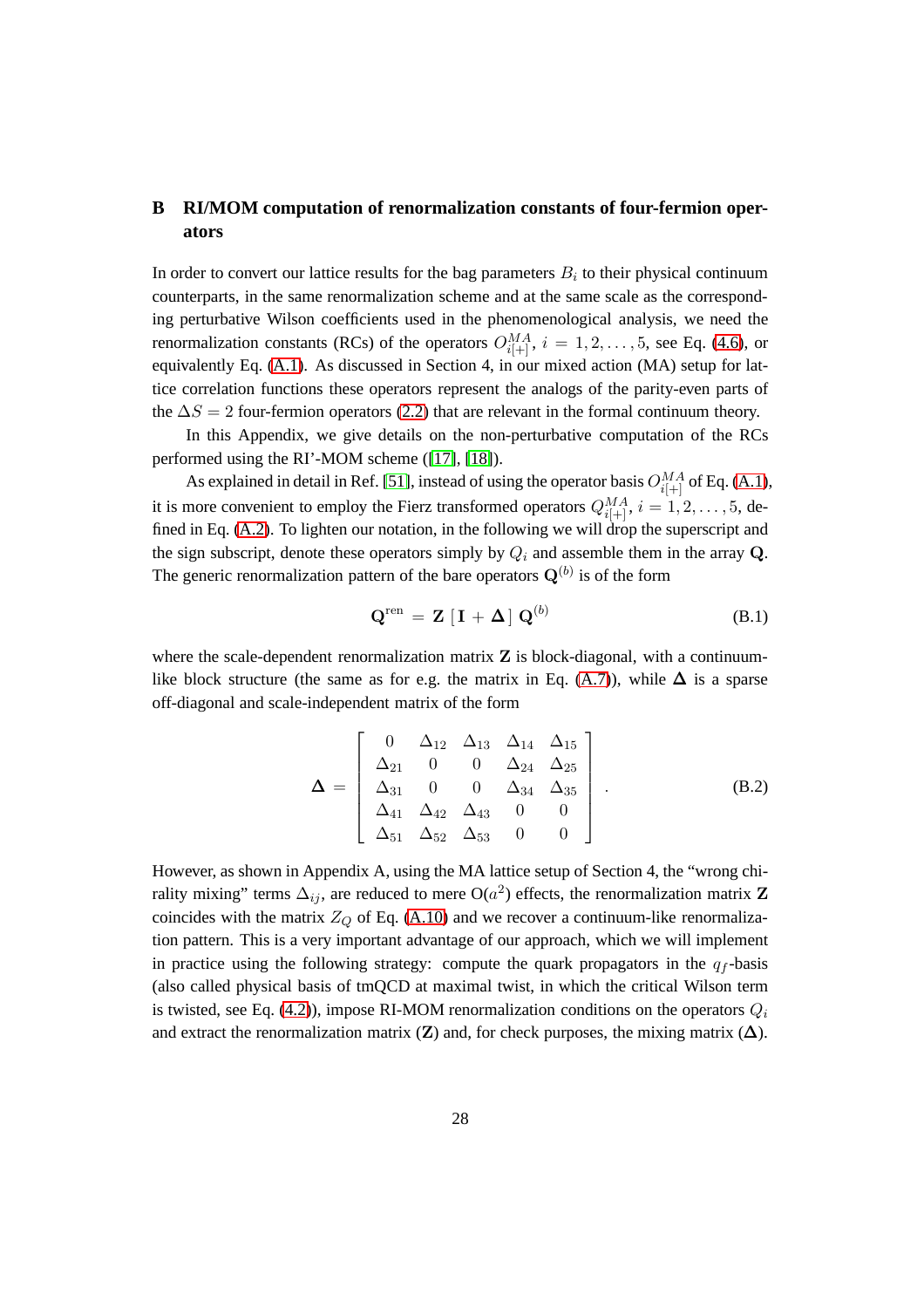# <span id="page-29-0"></span>**B RI/MOM computation of renormalization constants of four-fermion operators**

In order to convert our lattice results for the bag parameters  $B_i$  to their physical continuum counterparts, in the same renormalization scheme and at the same scale as the corresponding perturbative Wilson coefficients used in the phenomenological analysis, we need the renormalization constants (RCs) of the operators  $O_{i[+]}^{MA}$ ,  $i = 1, 2, ..., 5$ , see Eq. [\(4.6\)](#page-11-1), or equivalently Eq. [\(A.1\)](#page-26-1). As discussed in Section 4, in our mixed action (MA) setup for lattice correlation functions these operators represent the analogs of the parity-even parts of the  $\Delta S = 2$  four-fermion operators [\(2.2\)](#page-3-2) that are relevant in the formal continuum theory.

In this Appendix, we give details on the non-perturbative computation of the RCs performed using the RI'-MOM scheme ([\[17\]](#page-62-4), [\[18\]](#page-62-5)).

As explained in detail in Ref. [\[51\]](#page-65-2), instead of using the operator basis  $O_{i[+]}^{MA}$  of Eq. [\(A.1\)](#page-26-1), it is more convenient to employ the Fierz transformed operators  $Q_{i[+]}^{MA}$ ,  $i = 1, 2, \ldots, 5$ , defined in Eq. [\(A.2\)](#page-26-2). To lighten our notation, in the following we will drop the superscript and the sign subscript, denote these operators simply by  $Q_i$  and assemble them in the array Q. The generic renormalization pattern of the bare operators  $Q^{(b)}$  is of the form

<span id="page-29-1"></span>
$$
\mathbf{Q}^{\text{ren}} = \mathbf{Z} \left[ \mathbf{I} + \mathbf{\Delta} \right] \mathbf{Q}^{(b)} \tag{B.1}
$$

where the scale-dependent renormalization matrix  $Z$  is block-diagonal, with a continuum-like block structure (the same as for e.g. the matrix in Eq. [\(A.7\)](#page-27-0)), while  $\Delta$  is a sparse off-diagonal and scale-independent matrix of the form

$$
\mathbf{\Delta} = \begin{bmatrix} 0 & \Delta_{12} & \Delta_{13} & \Delta_{14} & \Delta_{15} \\ \Delta_{21} & 0 & 0 & \Delta_{24} & \Delta_{25} \\ \Delta_{31} & 0 & 0 & \Delta_{34} & \Delta_{35} \\ \Delta_{41} & \Delta_{42} & \Delta_{43} & 0 & 0 \\ \Delta_{51} & \Delta_{52} & \Delta_{53} & 0 & 0 \end{bmatrix} .
$$
 (B.2)

However, as shown in Appendix A, using the MA lattice setup of Section 4, the "wrong chirality mixing" terms  $\Delta_{ij}$ , are reduced to mere O( $a^2$ ) effects, the renormalization matrix **Z** coincides with the matrix  $Z_Q$  of Eq. [\(A.10\)](#page-28-1) and we recover a continuum-like renormalization pattern. This is a very important advantage of our approach, which we will implement in practice using the following strategy: compute the quark propagators in the  $q_f$ -basis (also called physical basis of tmQCD at maximal twist, in which the critical Wilson term is twisted, see Eq. [\(4.2\)](#page-10-1)), impose RI-MOM renormalization conditions on the operators  $Q_i$ and extract the renormalization matrix  $(Z)$  and, for check purposes, the mixing matrix  $(\Delta)$ .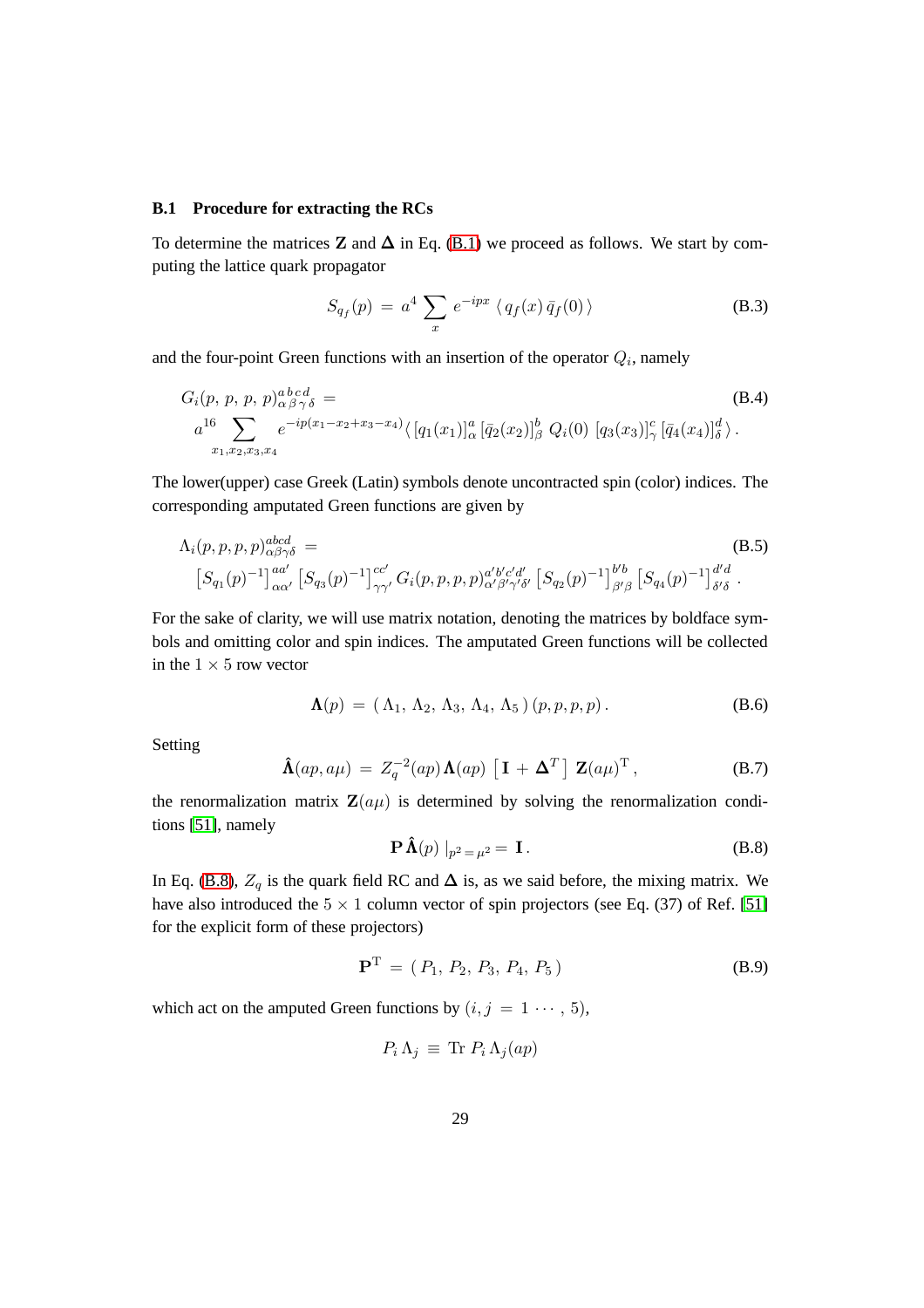#### **B.1 Procedure for extracting the RCs**

To determine the matrices Z and  $\Delta$  in Eq. [\(B.1\)](#page-29-1) we proceed as follows. We start by computing the lattice quark propagator

$$
S_{q_f}(p) = a^4 \sum_x e^{-ipx} \langle q_f(x) \bar{q}_f(0) \rangle
$$
 (B.3)

and the four-point Green functions with an insertion of the operator  $Q_i$ , namely

<span id="page-30-2"></span>
$$
G_i(p, p, p, p)_{\alpha\beta\gamma\delta}^{abcd} =
$$
\n
$$
a^{16} \sum_{x_1, x_2, x_3, x_4} e^{-ip(x_1 - x_2 + x_3 - x_4)} \langle [q_1(x_1)]_{\alpha}^a [\bar{q}_2(x_2)]_{\beta}^b Q_i(0) [q_3(x_3)]_{\gamma}^c [\bar{q}_4(x_4)]_{\delta}^d \rangle.
$$
\n(B.4)

The lower(upper) case Greek (Latin) symbols denote uncontracted spin (color) indices. The corresponding amputated Green functions are given by

<span id="page-30-3"></span>
$$
\Lambda_{i}(p, p, p, p)_{\alpha\beta\gamma\delta}^{abcd} =
$$
\n
$$
[S_{q_1}(p)^{-1}]_{\alpha\alpha'}^{acd} [S_{q_3}(p)^{-1}]_{\gamma\gamma'}^{cc'} G_i(p, p, p, p)_{\alpha'\beta'\gamma'\delta'}^{a'b'c'd'} [S_{q_2}(p)^{-1}]_{\beta'\beta}^{b'b} [S_{q_4}(p)^{-1}]_{\delta'\delta}^{d'd}.
$$
\n(B.5)

For the sake of clarity, we will use matrix notation, denoting the matrices by boldface symbols and omitting color and spin indices. The amputated Green functions will be collected in the  $1 \times 5$  row vector

$$
\mathbf{\Lambda}(p) = (\Lambda_1, \Lambda_2, \Lambda_3, \Lambda_4, \Lambda_5) (p, p, p, p). \tag{B.6}
$$

Setting

<span id="page-30-1"></span>
$$
\hat{\mathbf{\Lambda}}(ap, a\mu) = Z_q^{-2}(ap) \mathbf{\Lambda}(ap) [\mathbf{I} + \mathbf{\Delta}^T] \mathbf{Z}(a\mu)^T, \qquad (B.7)
$$

the renormalization matrix  $\mathbf{Z}(a\mu)$  is determined by solving the renormalization conditions [\[51\]](#page-65-2), namely

<span id="page-30-0"></span>
$$
\mathbf{P}\,\hat{\mathbf{\Lambda}}(p)\mid_{p^2=\mu^2}=\mathbf{I}\,. \tag{B.8}
$$

In Eq. [\(B.8\)](#page-30-0),  $Z_q$  is the quark field RC and  $\Delta$  is, as we said before, the mixing matrix. We have also introduced the  $5 \times 1$  column vector of spin projectors (see Eq. (37) of Ref. [\[51\]](#page-65-2) for the explicit form of these projectors)

$$
\mathbf{P}^{\mathrm{T}} = (P_1, P_2, P_3, P_4, P_5) \tag{B.9}
$$

which act on the amputed Green functions by  $(i, j = 1 \cdots, 5)$ ,

$$
P_i \Lambda_j \equiv \text{Tr } P_i \Lambda_j(ap)
$$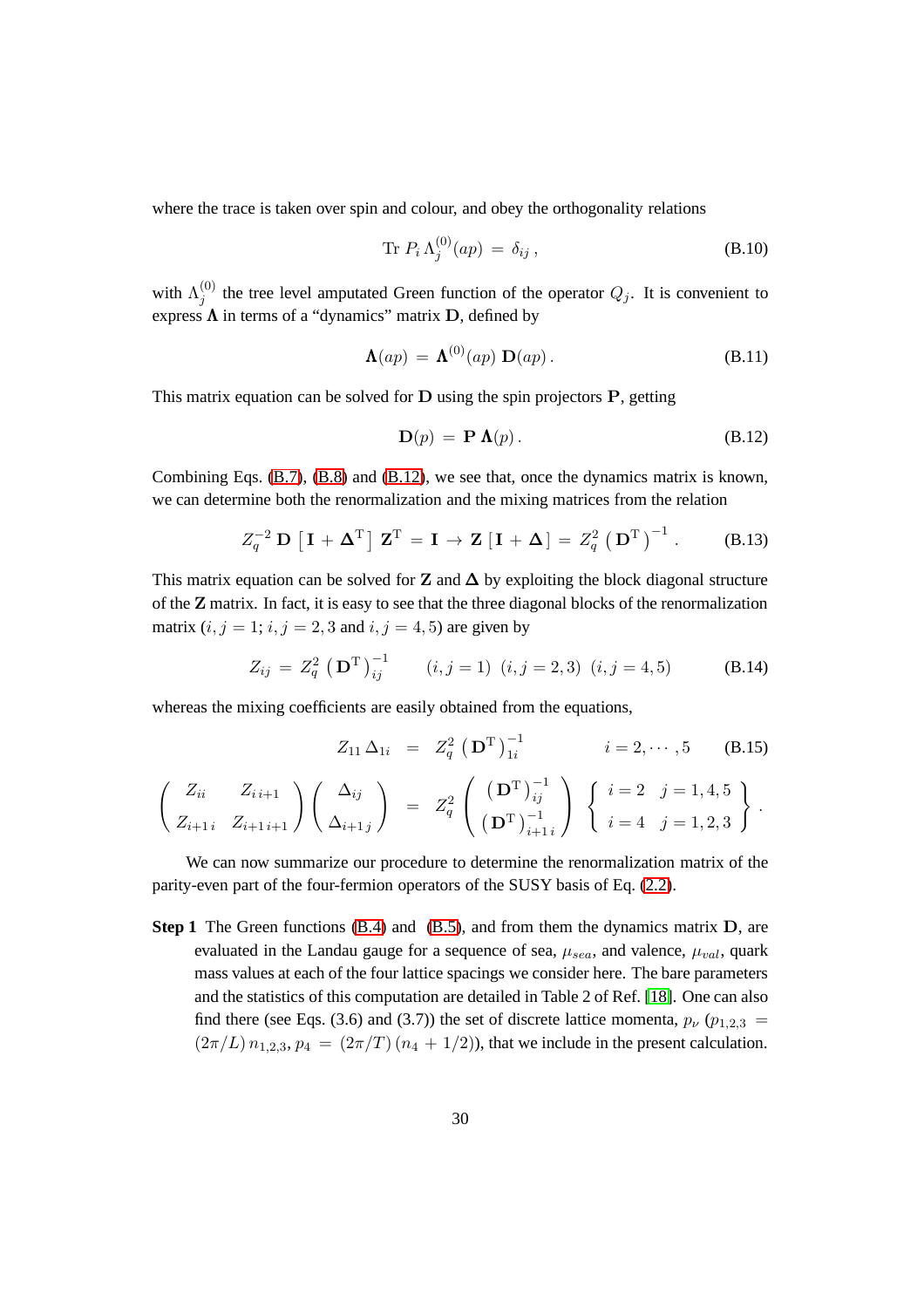where the trace is taken over spin and colour, and obey the orthogonality relations

$$
\operatorname{Tr} P_i \Lambda_j^{(0)}(ap) = \delta_{ij}, \qquad (B.10)
$$

with  $\Lambda_i^{(0)}$  $j^{(0)}$  the tree level amputated Green function of the operator  $Q_j$ . It is convenient to express  $\Lambda$  in terms of a "dynamics" matrix  $D$ , defined by

$$
\Lambda(ap) = \Lambda^{(0)}(ap) \mathbf{D}(ap). \tag{B.11}
$$

This matrix equation can be solved for  $D$  using the spin projectors  $P$ , getting

<span id="page-31-0"></span>
$$
\mathbf{D}(p) = \mathbf{P}\,\mathbf{\Lambda}(p). \tag{B.12}
$$

Combining Eqs. [\(B.7\)](#page-30-1), [\(B.8\)](#page-30-0) and [\(B.12\)](#page-31-0), we see that, once the dynamics matrix is known, we can determine both the renormalization and the mixing matrices from the relation

$$
Z_q^{-2} \mathbf{D} \left[ \mathbf{I} + \mathbf{\Delta}^{\mathrm{T}} \right] \mathbf{Z}^{\mathrm{T}} = \mathbf{I} \to \mathbf{Z} \left[ \mathbf{I} + \mathbf{\Delta} \right] = Z_q^2 \left( \mathbf{D}^{\mathrm{T}} \right)^{-1} . \tag{B.13}
$$

This matrix equation can be solved for **Z** and  $\Delta$  by exploiting the block diagonal structure of the Z matrix. In fact, it is easy to see that the three diagonal blocks of the renormalization matrix  $(i, j = 1; i, j = 2, 3$  and  $i, j = 4, 5$ ) are given by

<span id="page-31-1"></span>
$$
Z_{ij} = Z_q^2 \left( \mathbf{D}^{\mathrm{T}} \right)_{ij}^{-1} \qquad (i, j = 1) \ (i, j = 2, 3) \ (i, j = 4, 5) \tag{B.14}
$$

whereas the mixing coefficients are easily obtained from the equations,

$$
Z_{11} \Delta_{1i} = Z_q^2 (\mathbf{D}^{\mathrm{T}})_{1i}^{-1} \qquad i = 2, \cdots, 5 \quad (B.15)
$$

$$
\begin{pmatrix} Z_{ii} & Z_{i,i+1} \\ Z_{i+1i} & Z_{i+1i+1} \end{pmatrix} \begin{pmatrix} \Delta_{ij} \\ \Delta_{i+1j} \end{pmatrix} = Z_q^2 \begin{pmatrix} (\mathbf{D}^{\mathrm{T}})_{ij}^{-1} \\ (\mathbf{D}^{\mathrm{T}})_{i+1i}^{-1} \end{pmatrix} \begin{Bmatrix} i = 2 & j = 1, 4, 5 \\ i = 4 & j = 1, 2, 3 \end{Bmatrix}.
$$

We can now summarize our procedure to determine the renormalization matrix of the parity-even part of the four-fermion operators of the SUSY basis of Eq. [\(2.2\)](#page-3-2).

**Step 1** The Green functions [\(B.4\)](#page-30-2) and [\(B.5\)](#page-30-3), and from them the dynamics matrix **D**, are evaluated in the Landau gauge for a sequence of sea,  $\mu_{sea}$ , and valence,  $\mu_{val}$ , quark mass values at each of the four lattice spacings we consider here. The bare parameters and the statistics of this computation are detailed in Table 2 of Ref. [\[18\]](#page-62-5). One can also find there (see Eqs. (3.6) and (3.7)) the set of discrete lattice momenta,  $p_{\nu}$  ( $p_{1,2,3}$  =  $(2\pi/L)$   $n_{1,2,3}$ ,  $p_4 = (2\pi/T) (n_4 + 1/2)$ , that we include in the present calculation.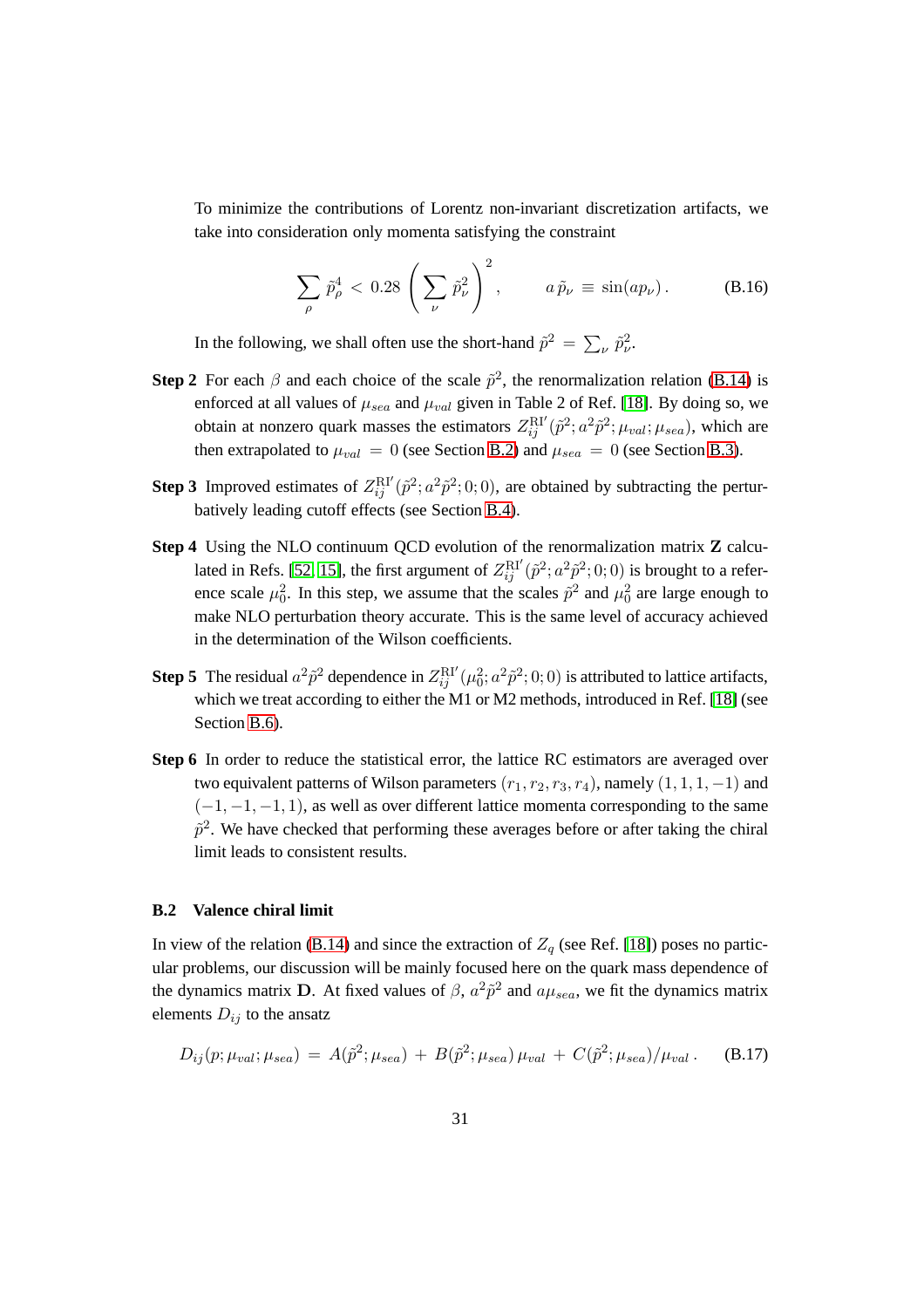To minimize the contributions of Lorentz non-invariant discretization artifacts, we take into consideration only momenta satisfying the constraint

<span id="page-32-2"></span>
$$
\sum_{\rho} \tilde{p}_{\rho}^4 < 0.28 \left( \sum_{\nu} \tilde{p}_{\nu}^2 \right)^2, \qquad a \tilde{p}_{\nu} \equiv \sin(ap_{\nu}). \tag{B.16}
$$

In the following, we shall often use the short-hand  $\tilde{p}^2 = \sum_{\nu} \tilde{p}_{\nu}^2$ .

- **Step 2** For each  $\beta$  and each choice of the scale  $\tilde{p}^2$ , the renormalization relation [\(B.14\)](#page-31-1) is enforced at all values of  $\mu_{sea}$  and  $\mu_{val}$  given in Table 2 of Ref. [\[18\]](#page-62-5). By doing so, we obtain at nonzero quark masses the estimators  $Z_{ij}^{\text{RI'}}(\tilde{p}^2; a^2\tilde{p}^2; \mu_{val}; \mu_{sea})$ , which are then extrapolated to  $\mu_{val} = 0$  (see Section [B.2\)](#page-32-0) and  $\mu_{sea} = 0$  (see Section [B.3\)](#page-34-0).
- **Step 3** Improved estimates of  $Z_{ij}^{\text{RI}'}(\tilde{p}^2; a^2\tilde{p}^2; 0; 0)$ , are obtained by subtracting the perturbatively leading cutoff effects (see Section [B.4\)](#page-36-0).
- **Step 4** Using the NLO continuum QCD evolution of the renormalization matrix Z calcu-lated in Refs. [\[52,](#page-65-3) [15\]](#page-62-2), the first argument of  $Z_{ij}^{\text{RI'}}(\tilde{p}^2; a^2\tilde{p}^2; 0; 0)$  is brought to a reference scale  $\mu_0^2$ . In this step, we assume that the scales  $\tilde{p}^2$  and  $\mu_0^2$  are large enough to make NLO perturbation theory accurate. This is the same level of accuracy achieved in the determination of the Wilson coefficients.
- **Step 5** The residual  $a^2 \tilde{p}^2$  dependence in  $Z_{ij}^{\text{RI}'}(\mu_0^2; a^2 \tilde{p}^2; 0; 0)$  is attributed to lattice artifacts, which we treat according to either the M1 or M2 methods, introduced in Ref. [\[18\]](#page-62-5) (see Section [B.6\)](#page-37-0).
- Step 6 In order to reduce the statistical error, the lattice RC estimators are averaged over two equivalent patterns of Wilson parameters  $(r_1, r_2, r_3, r_4)$ , namely  $(1, 1, 1, -1)$  and  $(-1, -1, -1, 1)$ , as well as over different lattice momenta corresponding to the same  $\tilde{p}^2$ . We have checked that performing these averages before or after taking the chiral limit leads to consistent results.

#### <span id="page-32-0"></span>**B.2 Valence chiral limit**

In view of the relation [\(B.14\)](#page-31-1) and since the extraction of  $Z_q$  (see Ref. [\[18\]](#page-62-5)) poses no particular problems, our discussion will be mainly focused here on the quark mass dependence of the dynamics matrix D. At fixed values of  $\beta$ ,  $a^2 \tilde{p}^2$  and  $a\mu_{sea}$ , we fit the dynamics matrix elements  $D_{ij}$  to the ansatz

<span id="page-32-1"></span>
$$
D_{ij}(p; \mu_{val}; \mu_{sea}) = A(\tilde{p}^2; \mu_{sea}) + B(\tilde{p}^2; \mu_{sea}) \mu_{val} + C(\tilde{p}^2; \mu_{sea})/\mu_{val}.
$$
 (B.17)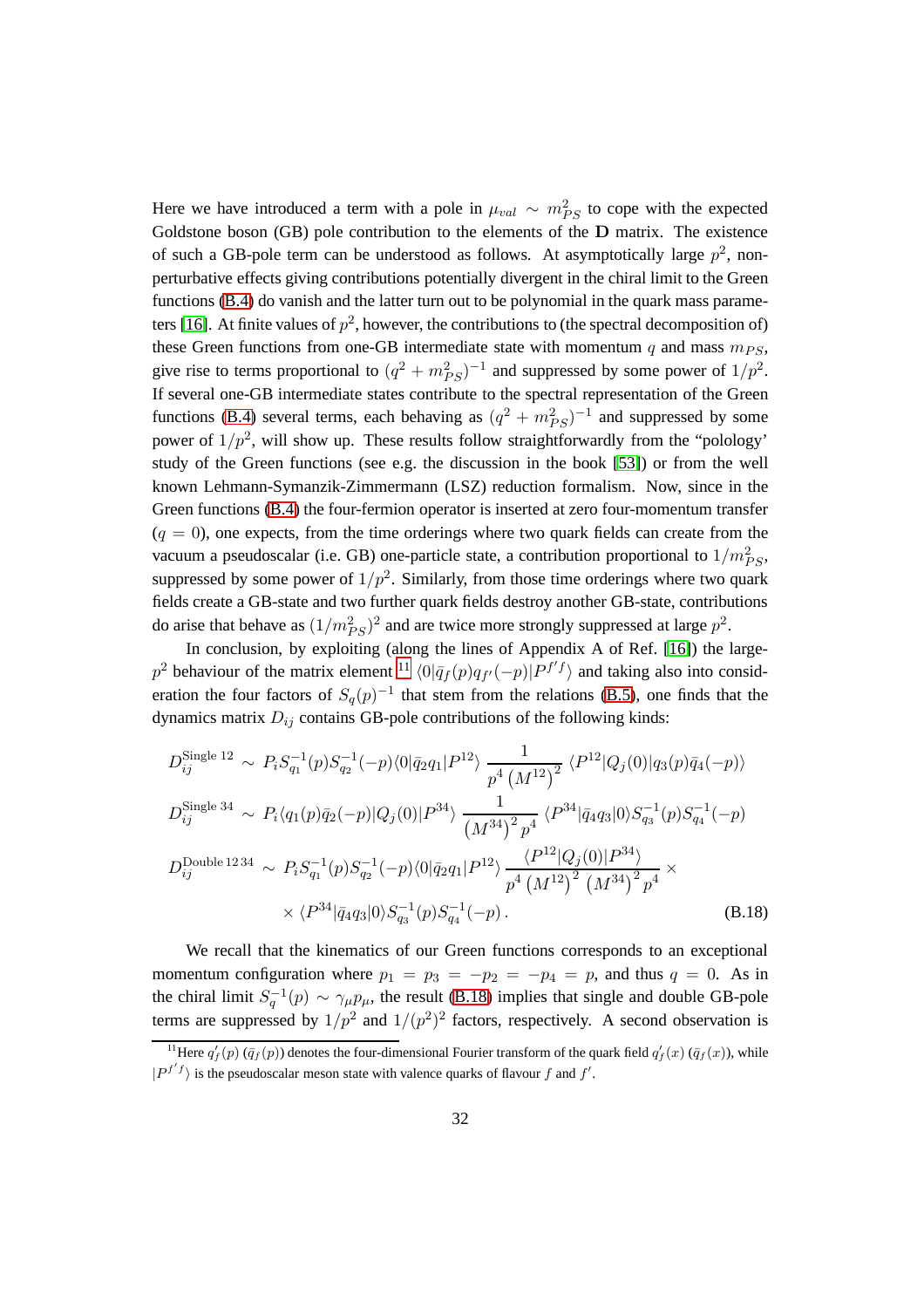Here we have introduced a term with a pole in  $\mu_{val} \sim m_{PS}^2$  to cope with the expected Goldstone boson (GB) pole contribution to the elements of the D matrix. The existence of such a GB-pole term can be understood as follows. At asymptotically large  $p^2$ , nonperturbative effects giving contributions potentially divergent in the chiral limit to the Green functions [\(B.4\)](#page-30-2) do vanish and the latter turn out to be polynomial in the quark mass parame-ters [\[16\]](#page-62-3). At finite values of  $p^2$ , however, the contributions to (the spectral decomposition of) these Green functions from one-GB intermediate state with momentum q and mass  $m_{PS}$ , give rise to terms proportional to  $(q^2 + m_{PS}^2)^{-1}$  and suppressed by some power of  $1/p^2$ . If several one-GB intermediate states contribute to the spectral representation of the Green functions [\(B.4\)](#page-30-2) several terms, each behaving as  $(q^2 + m_{PS}^2)^{-1}$  and suppressed by some power of  $1/p^2$ , will show up. These results follow straightforwardly from the "polology" study of the Green functions (see e.g. the discussion in the book [\[53\]](#page-65-4)) or from the well known Lehmann-Symanzik-Zimmermann (LSZ) reduction formalism. Now, since in the Green functions [\(B.4\)](#page-30-2) the four-fermion operator is inserted at zero four-momentum transfer  $(q = 0)$ , one expects, from the time orderings where two quark fields can create from the vacuum a pseudoscalar (i.e. GB) one-particle state, a contribution proportional to  $1/m_{PS}^2$ , suppressed by some power of  $1/p^2$ . Similarly, from those time orderings where two quark fields create a GB-state and two further quark fields destroy another GB-state, contributions do arise that behave as  $(1/m_{PS}^2)^2$  and are twice more strongly suppressed at large  $p^2$ .

In conclusion, by exploiting (along the lines of Appendix A of Ref. [\[16\]](#page-62-3)) the large-p<sup>2</sup> behaviour of the matrix element <sup>[11](#page-33-0)</sup>  $\langle 0|\bar{q}_f(p)q_{f'}(-p)|P^{f'f}\rangle$  and taking also into consideration the four factors of  $S_q(p)^{-1}$  that stem from the relations [\(B.5\)](#page-30-3), one finds that the dynamics matrix  $D_{ij}$  contains GB-pole contributions of the following kinds:

<span id="page-33-1"></span>
$$
D_{ij}^{\text{Single 12}} \sim P_i S_{q_1}^{-1}(p) S_{q_2}^{-1}(-p) \langle 0 | \bar{q}_2 q_1 | P^{12} \rangle \frac{1}{p^4 \left(M^{12}\right)^2} \langle P^{12} | Q_j(0) | q_3(p) \bar{q}_4(-p) \rangle
$$
  
\n
$$
D_{ij}^{\text{Single 34}} \sim P_i \langle q_1(p) \bar{q}_2(-p) | Q_j(0) | P^{34} \rangle \frac{1}{\left(M^{34}\right)^2 p^4} \langle P^{34} | \bar{q}_4 q_3 | 0 \rangle S_{q_3}^{-1}(p) S_{q_4}^{-1}(-p)
$$
  
\n
$$
D_{ij}^{\text{Double 1234}} \sim P_i S_{q_1}^{-1}(p) S_{q_2}^{-1}(-p) \langle 0 | \bar{q}_2 q_1 | P^{12} \rangle \frac{\langle P^{12} | Q_j(0) | P^{34} \rangle}{p^4 \left(M^{12}\right)^2 \left(M^{34}\right)^2 p^4} \times \langle P^{34} | \bar{q}_4 q_3 | 0 \rangle S_{q_3}^{-1}(p) S_{q_4}^{-1}(-p) .
$$
\n(B.18)

We recall that the kinematics of our Green functions corresponds to an exceptional momentum configuration where  $p_1 = p_3 = -p_2 = -p_4 = p$ , and thus  $q = 0$ . As in the chiral limit  $S_q^{-1}(p) \sim \gamma_\mu p_\mu$ , the result [\(B.18\)](#page-33-1) implies that single and double GB-pole terms are suppressed by  $1/p^2$  and  $1/(p^2)^2$  factors, respectively. A second observation is

<span id="page-33-0"></span><sup>&</sup>lt;sup>11</sup>Here  $q'_f(p)$  ( $\bar{q}_f(p)$ ) denotes the four-dimensional Fourier transform of the quark field  $q'_f(x)$  ( $\bar{q}_f(x)$ ), while  $|P^{f'}f\rangle$  is the pseudoscalar meson state with valence quarks of flavour f and f'.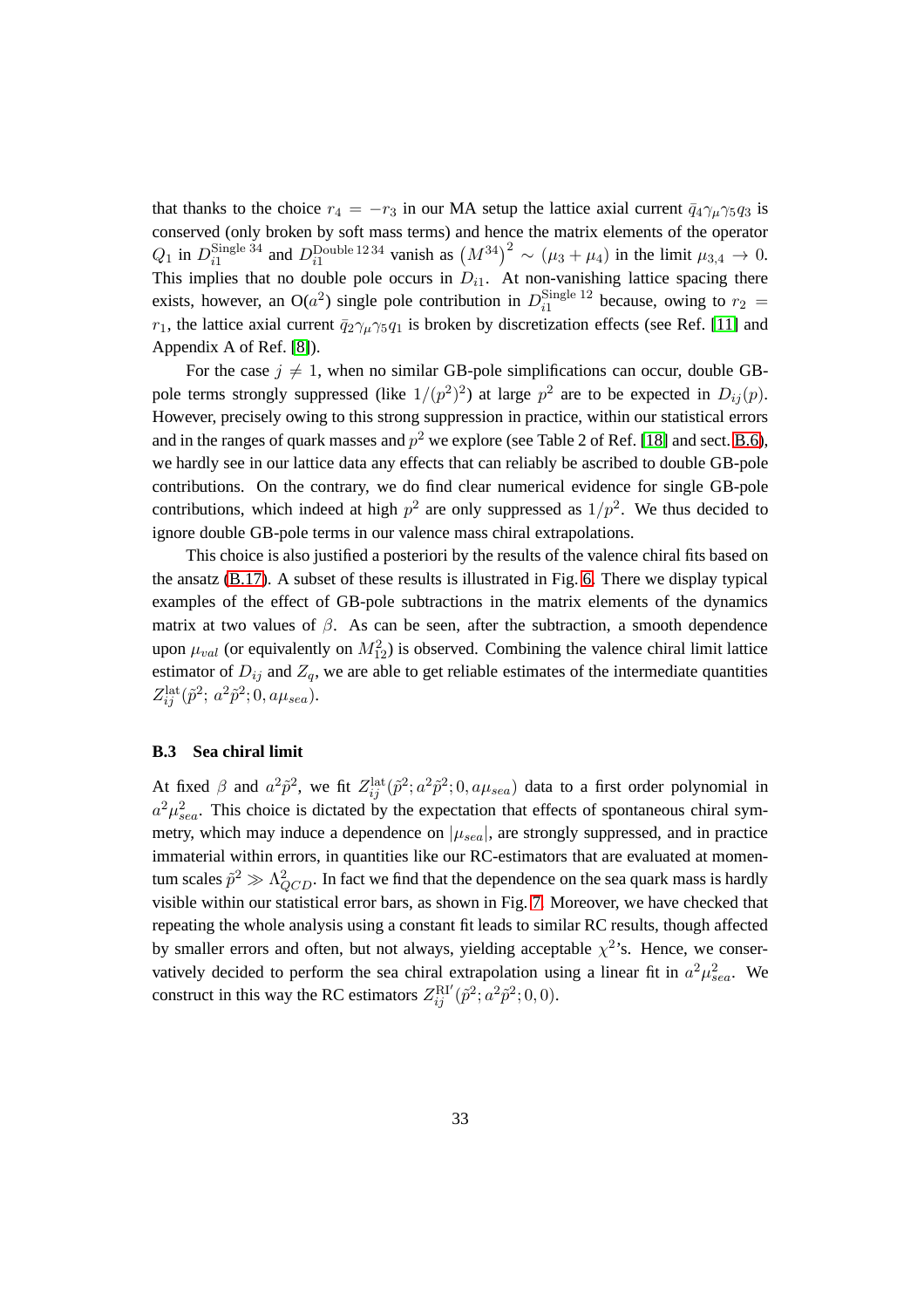that thanks to the choice  $r_4 = -r_3$  in our MA setup the lattice axial current  $\bar{q}_4\gamma_\mu\gamma_5q_3$  is conserved (only broken by soft mass terms) and hence the matrix elements of the operator  $Q_1$  in  $D_{i1}^{\text{Single 34}}$ Single 34 and D<sub>i</sub><sub>1</sub><sup>Double 1234</sup> vanish as  $(M^{34})^2$  ∼  $(\mu_3 + \mu_4)$  in the limit  $\mu_{3,4} \to 0$ . This implies that no double pole occurs in  $D_{i1}$ . At non-vanishing lattice spacing there exists, however, an O( $a^2$ ) single pole contribution in  $D_{i1}^{\text{Single 12}}$  $\frac{\text{single }12}{\text{at}}$  because, owing to  $r_2 =$  $r_1$ , the lattice axial current  $\bar{q}_2\gamma_\mu\gamma_5q_1$  is broken by discretization effects (see Ref. [\[11\]](#page-61-7) and Appendix A of Ref. [\[8\]](#page-61-4)).

For the case  $j \neq 1$ , when no similar GB-pole simplifications can occur, double GBpole terms strongly suppressed (like  $1/(p^2)^2$ ) at large  $p^2$  are to be expected in  $D_{ij}(p)$ . However, precisely owing to this strong suppression in practice, within our statistical errors and in the ranges of quark masses and  $p^2$  we explore (see Table 2 of Ref. [\[18\]](#page-62-5) and sect. [B.6\)](#page-37-0), we hardly see in our lattice data any effects that can reliably be ascribed to double GB-pole contributions. On the contrary, we do find clear numerical evidence for single GB-pole contributions, which indeed at high  $p^2$  are only suppressed as  $1/p^2$ . We thus decided to ignore double GB-pole terms in our valence mass chiral extrapolations.

This choice is also justified a posteriori by the results of the valence chiral fits based on the ansatz [\(B.17\)](#page-32-1). A subset of these results is illustrated in Fig. [6.](#page-35-0) There we display typical examples of the effect of GB-pole subtractions in the matrix elements of the dynamics matrix at two values of  $\beta$ . As can be seen, after the subtraction, a smooth dependence upon  $\mu_{val}$  (or equivalently on  $M_{12}^2$ ) is observed. Combining the valence chiral limit lattice estimator of  $D_{ij}$  and  $Z_q$ , we are able to get reliable estimates of the intermediate quantities  $Z_{ij}^{\text{lat}}(\tilde{p}^2; a^2\tilde{p}^2; 0, a\mu_{sea}).$ 

#### <span id="page-34-0"></span>**B.3 Sea chiral limit**

At fixed  $\beta$  and  $a^2\tilde{p}^2$ , we fit  $Z_{ij}^{\text{lat}}(\tilde{p}^2; a^2\tilde{p}^2; 0, a\mu_{sea})$  data to a first order polynomial in  $a^2 \mu_{sea}^2$ . This choice is dictated by the expectation that effects of spontaneous chiral symmetry, which may induce a dependence on  $|\mu_{sea}|$ , are strongly suppressed, and in practice immaterial within errors, in quantities like our RC-estimators that are evaluated at momentum scales  $\tilde{p}^2 \gg \Lambda_{QCD}^2$ . In fact we find that the dependence on the sea quark mass is hardly visible within our statistical error bars, as shown in Fig. [7.](#page-36-1) Moreover, we have checked that repeating the whole analysis using a constant fit leads to similar RC results, though affected by smaller errors and often, but not always, yielding acceptable  $\chi^2$ 's. Hence, we conservatively decided to perform the sea chiral extrapolation using a linear fit in  $a^2\mu_{sea}^2$ . We construct in this way the RC estimators  $Z_{ij}^{\text{RI}'}(\tilde{p}^2; a^2 \tilde{p}^2; 0, 0)$ .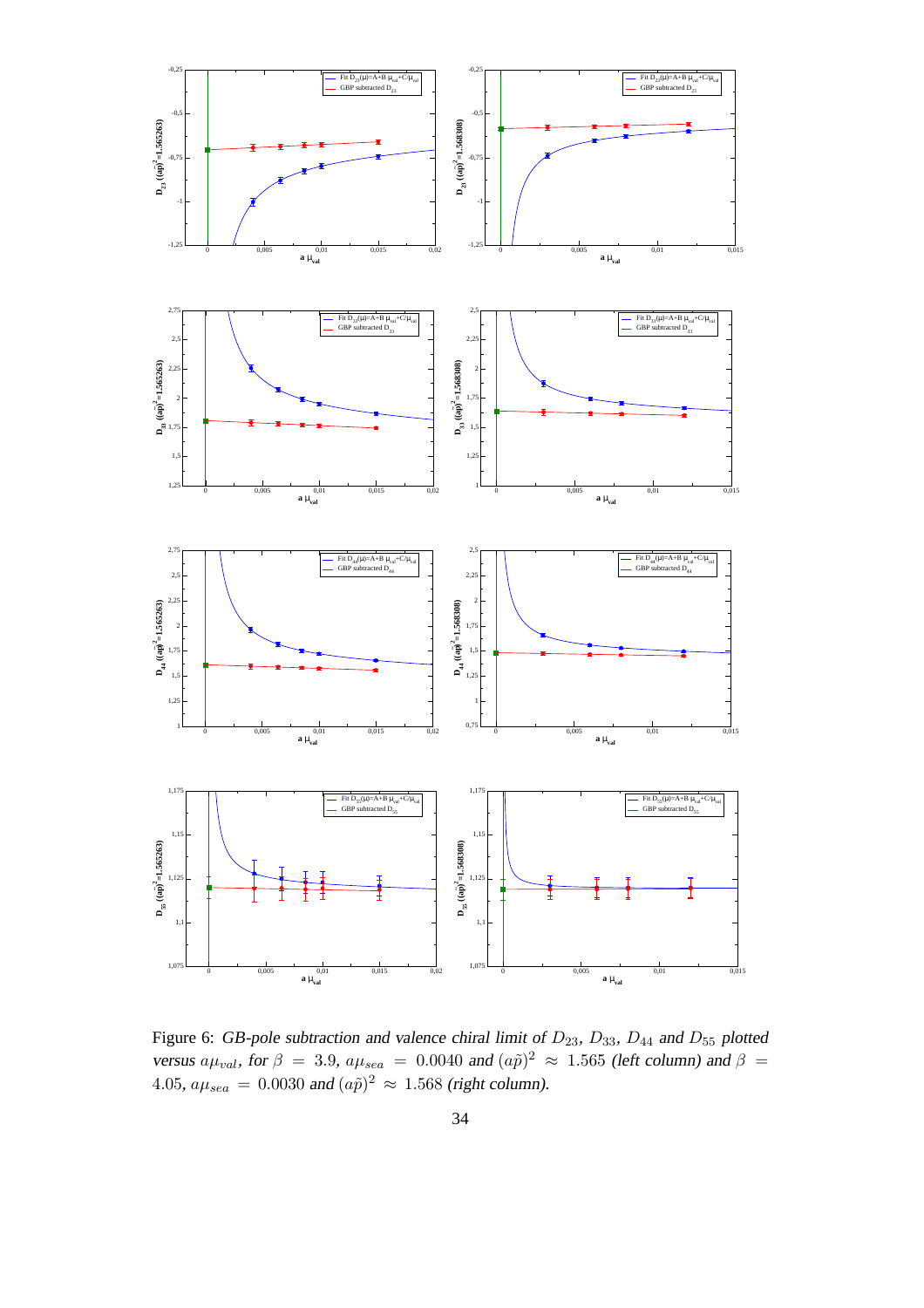

<span id="page-35-0"></span>Figure 6: GB-pole subtraction and valence chiral limit of  $D_{23}$ ,  $D_{33}$ ,  $D_{44}$  and  $D_{55}$  plotted versus  $a\mu_{val}$ , for  $\beta = 3.9$ ,  $a\mu_{sea} = 0.0040$  and  $(a\tilde{p})^2 \approx 1.565$  (left column) and  $\beta =$ 4.05,  $a\mu_{sea} = 0.0030$  and  $(a\tilde{p})^2 \approx 1.568$  (right column).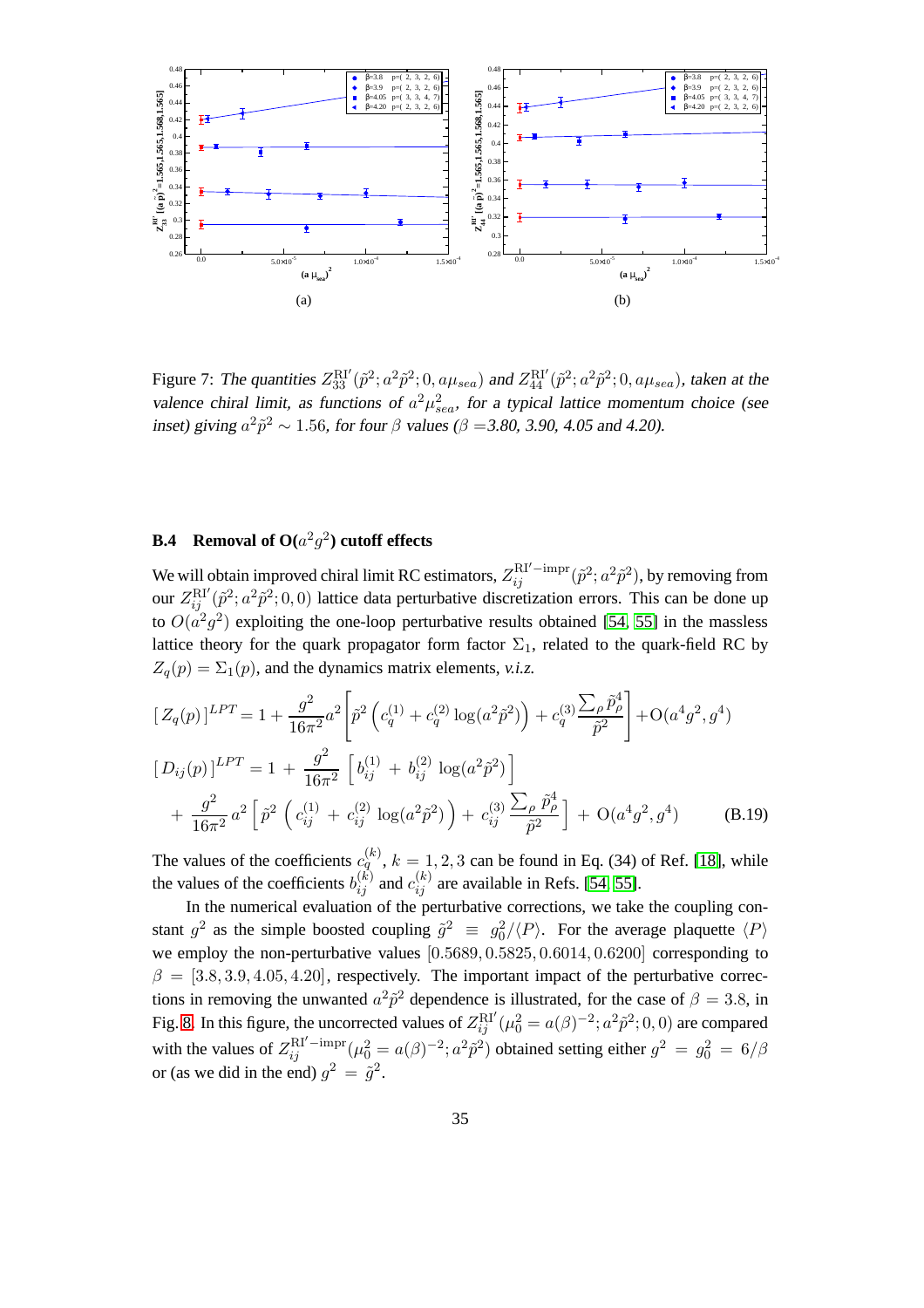

<span id="page-36-1"></span>Figure 7: The quantities  $Z_{33}^{\text{RI}'}(\tilde{p}^2; a^2\tilde{p}^2; 0, a\mu_{sea})$  and  $Z_{44}^{\text{RI}'}(\tilde{p}^2; a^2\tilde{p}^2; 0, a\mu_{sea})$ , taken at the valence chiral limit, as functions of  $a^2\mu_{sea}^2$ , for a typical lattice momentum choice (see inset) giving  $a^2 \tilde{p}^2 \sim 1.56$ , for four  $\beta$  values ( $\beta = 3.80$ , 3.90, 4.05 and 4.20).

# <span id="page-36-0"></span>**B.4 Removal of O(**a 2 g 2 **) cutoff effects**

We will obtain improved chiral limit RC estimators,  $Z_{ij}^{\text{RI}'-\text{impr}}(\tilde{p}^2; a^2\tilde{p}^2)$ , by removing from our  $Z_{ij}^{\text{RI}'}(\tilde{p}^2; a^2\tilde{p}^2; 0, 0)$  lattice data perturbative discretization errors. This can be done up to  $O(a^2g^2)$  exploiting the one-loop perturbative results obtained [\[54,](#page-65-5) [55\]](#page-65-6) in the massless lattice theory for the quark propagator form factor  $\Sigma_1$ , related to the quark-field RC by  $Z_q(p) = \Sigma_1(p)$ , and the dynamics matrix elements, *v.i.z.* 

$$
\left[Z_q(p)\right]^{LPT} = 1 + \frac{g^2}{16\pi^2} a^2 \left[\tilde{p}^2 \left(c_q^{(1)} + c_q^{(2)} \log(a^2 \tilde{p}^2)\right) + c_q^{(3)} \frac{\sum_{\rho} \tilde{p}_{\rho}^4}{\tilde{p}^2}\right] + O(a^4 g^2, g^4)
$$
  
\n
$$
\left[D_{ij}(p)\right]^{LPT} = 1 + \frac{g^2}{16\pi^2} \left[b_{ij}^{(1)} + b_{ij}^{(2)} \log(a^2 \tilde{p}^2)\right]
$$
  
\n
$$
+ \frac{g^2}{16\pi^2} a^2 \left[\tilde{p}^2 \left(c_{ij}^{(1)} + c_{ij}^{(2)} \log(a^2 \tilde{p}^2)\right) + c_{ij}^{(3)} \frac{\sum_{\rho} \tilde{p}_{\rho}^4}{\tilde{p}^2}\right] + O(a^4 g^2, g^4)
$$
 (B.19)

The values of the coefficients  $c_q^{(k)}$ ,  $k = 1, 2, 3$  can be found in Eq. (34) of Ref. [\[18\]](#page-62-5), while the values of the coefficients  $b_{ij}^{(k)}$  and  $c_{ij}^{(k)}$  are available in Refs. [\[54,](#page-65-5) [55\]](#page-65-6).

In the numerical evaluation of the perturbative corrections, we take the coupling constant  $g^2$  as the simple boosted coupling  $\tilde{g}^2 \equiv g_0^2/\langle P \rangle$ . For the average plaquette  $\langle P \rangle$ we employ the non-perturbative values [0.5689, 0.5825, 0.6014, 0.6200] corresponding to  $\beta = [3.8, 3.9, 4.05, 4.20]$ , respectively. The important impact of the perturbative corrections in removing the unwanted  $a^2 \tilde{p}^2$  dependence is illustrated, for the case of  $\beta = 3.8$ , in Fig. [8.](#page-37-1) In this figure, the uncorrected values of  $Z_{ij}^{\text{RI}'}(\mu_0^2 = a(\beta)^{-2}; a^2\tilde{p}^2; 0, 0)$  are compared with the values of  $Z_{ij}^{\text{RI}'-\text{impr}}(\mu_0^2 = a(\beta)^{-2}; a^2 \tilde{p}^2)$  obtained setting either  $g^2 = g_0^2 = 6/\beta$ or (as we did in the end)  $g^2 = \tilde{g}^2$ .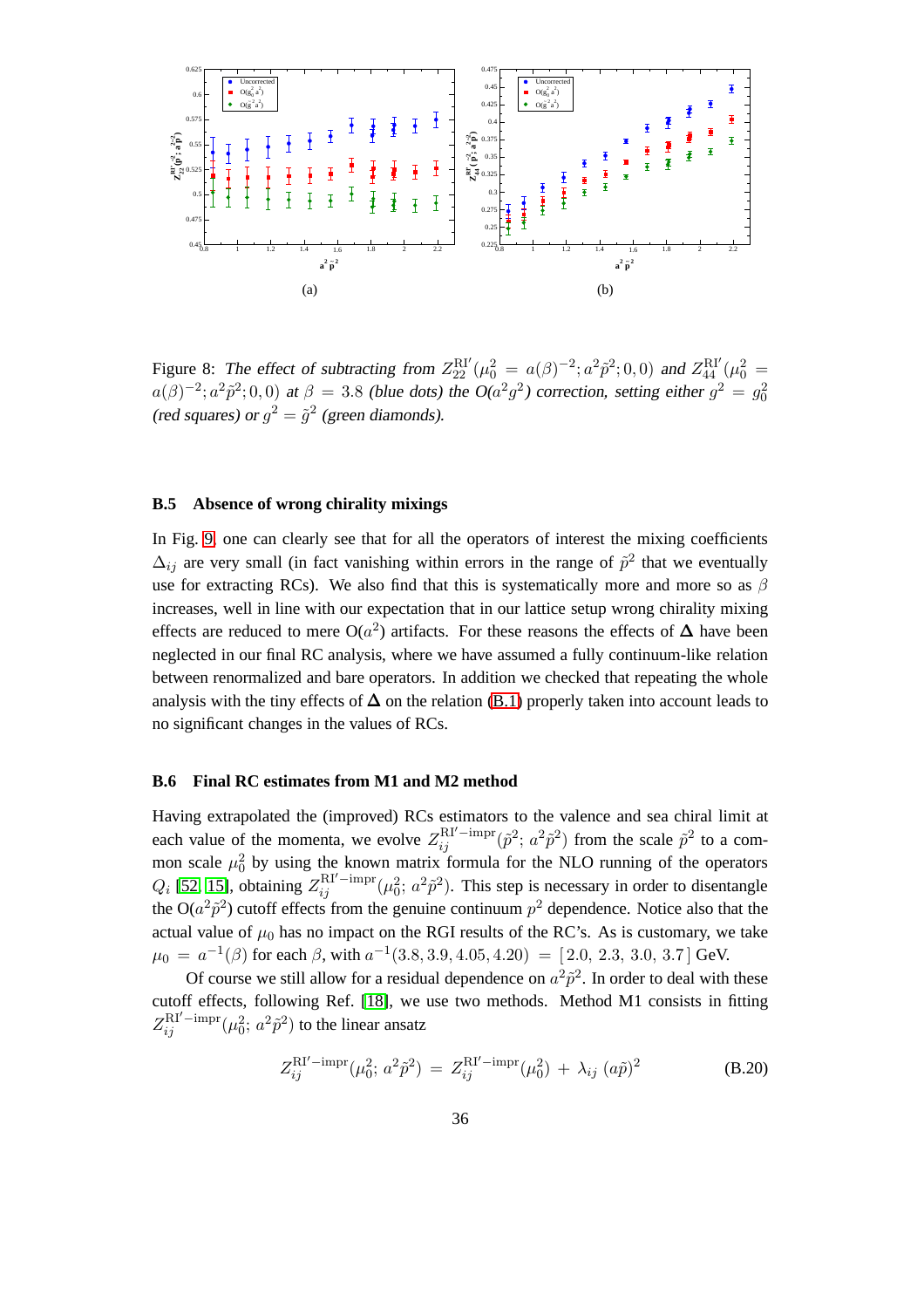

<span id="page-37-1"></span>Figure 8: The effect of subtracting from  $Z_{22}^{\text{RI}'}(\mu_0^2 = a(\beta)^{-2}; a^2 \tilde{p}^2; 0, 0)$  and  $Z_{44}^{\text{RI}'}(\mu_0^2 = a(\beta)^{-2}; a^2 \tilde{p}^2; 0, 0)$  $a(\beta)^{-2}$ ;  $a^2 \tilde{p}^2$ ; 0, 0) at  $\beta = 3.8$  (blue dots) the O( $a^2 g^2$ ) correction, setting either  $g^2 = g_0^2$ (red squares) or  $g^2 = \tilde{g}^2$  (green diamonds).

#### **B.5 Absence of wrong chirality mixings**

In Fig. [9,](#page-38-0) one can clearly see that for all the operators of interest the mixing coefficients  $\Delta_{ij}$  are very small (in fact vanishing within errors in the range of  $\tilde{p}^2$  that we eventually use for extracting RCs). We also find that this is systematically more and more so as  $\beta$ increases, well in line with our expectation that in our lattice setup wrong chirality mixing effects are reduced to mere O( $a^2$ ) artifacts. For these reasons the effects of  $\Delta$  have been neglected in our final RC analysis, where we have assumed a fully continuum-like relation between renormalized and bare operators. In addition we checked that repeating the whole analysis with the tiny effects of  $\Delta$  on the relation [\(B.1\)](#page-29-1) properly taken into account leads to no significant changes in the values of RCs.

#### <span id="page-37-0"></span>**B.6 Final RC estimates from M1 and M2 method**

Having extrapolated the (improved) RCs estimators to the valence and sea chiral limit at each value of the momenta, we evolve  $Z_{ij}^{\text{RI}'-\text{impr}}(\tilde{p}^2; a^2\tilde{p}^2)$  from the scale  $\tilde{p}^2$  to a common scale  $\mu_0^2$  by using the known matrix formula for the NLO running of the operators  $Q_i$  [\[52,](#page-65-3) [15\]](#page-62-2), obtaining  $Z_{ij}^{\text{RI}'-\text{impr}}(\mu_0^2; a^2\tilde{p}^2)$ . This step is necessary in order to disentangle the  $O(a^2\tilde{p}^2)$  cutoff effects from the genuine continuum  $p^2$  dependence. Notice also that the actual value of  $\mu_0$  has no impact on the RGI results of the RC's. As is customary, we take  $\mu_0\,=\,a^{-1}(\beta)$  for each  $\beta,$  with  $a^{-1}(3.8,3.9,4.05,4.20)\,=\,[\,2.0,\,2.3,\,3.0,\,3.7\,]\,\rm{GeV}.$ 

Of course we still allow for a residual dependence on  $a^2 \tilde{p}^2$ . In order to deal with these cutoff effects, following Ref. [\[18\]](#page-62-5), we use two methods. Method M1 consists in fitting  $Z_{ij}^{\text{RI}'-\text{impr}}(\mu_0^2; a^2\tilde{p}^2)$  to the linear ansatz

<span id="page-37-2"></span>
$$
Z_{ij}^{\text{RI}'-\text{impr}}(\mu_0^2; a^2 \tilde{p}^2) = Z_{ij}^{\text{RI}'-\text{impr}}(\mu_0^2) + \lambda_{ij} (a\tilde{p})^2
$$
 (B.20)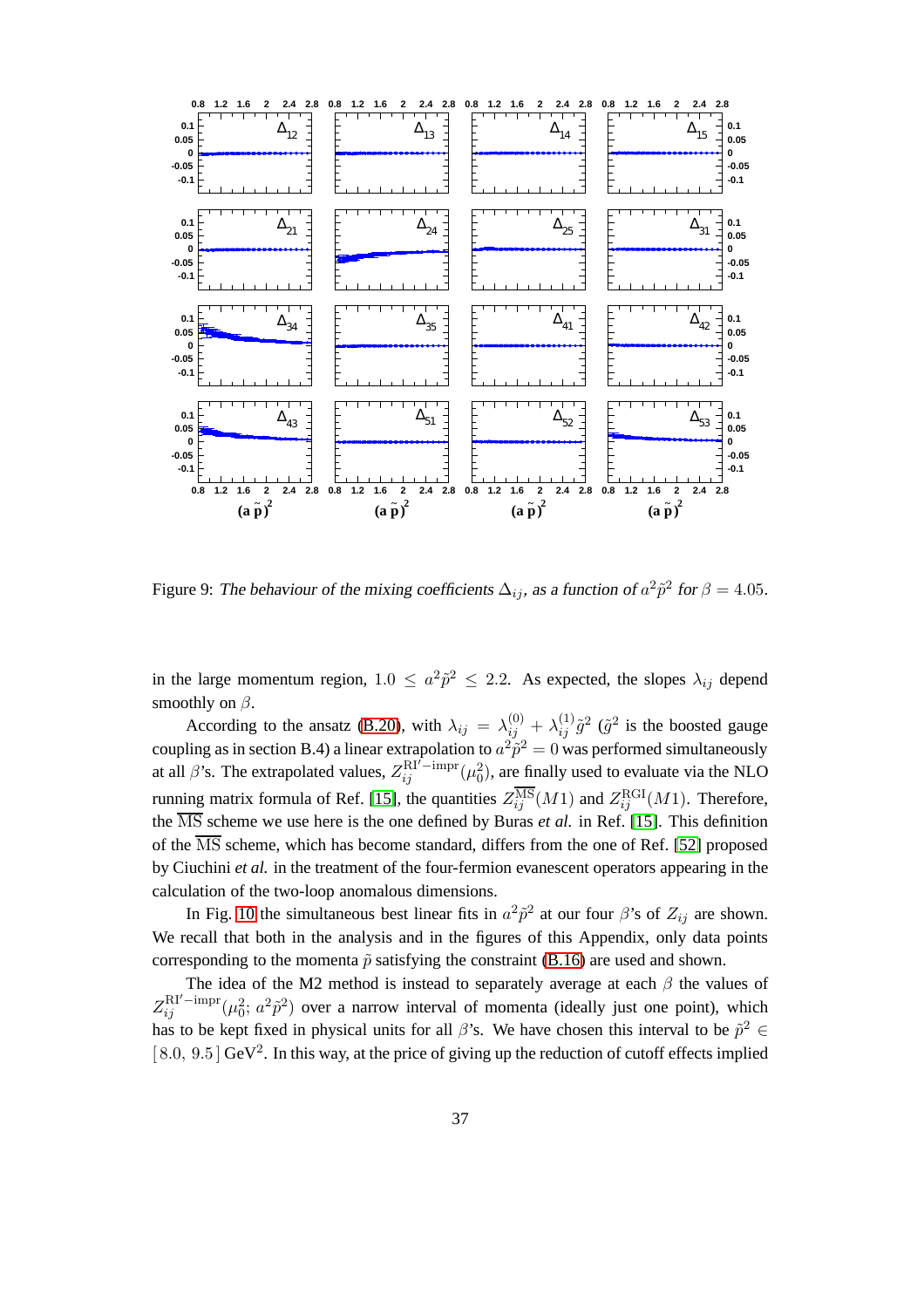

<span id="page-38-0"></span>Figure 9: The behaviour of the mixing coefficients  $\Delta_{ij}$ , as a function of  $a^2 \tilde{p}^2$  for  $\beta = 4.05$ .

in the large momentum region,  $1.0 \le a^2 \tilde{p}^2 \le 2.2$ . As expected, the slopes  $\lambda_{ij}$  depend smoothly on  $\beta$ .

According to the ansatz [\(B.20\)](#page-37-2), with  $\lambda_{ij} = \lambda_{ij}^{(0)} + \lambda_{ij}^{(1)} \tilde{g}^2$  ( $\tilde{g}^2$  is the boosted gauge coupling as in section B.4) a linear extrapolation to  $a^2 \tilde{p}^2 = 0$  was performed simultaneously at all  $\beta$ 's. The extrapolated values,  $Z_{ij}^{\text{RI'}-impr}(\mu_0^2)$ , are finally used to evaluate via the NLO running matrix formula of Ref. [\[15\]](#page-62-2), the quantities  $Z_{ij}^{\rm MS}(M1)$  and  $Z_{ij}^{\rm RGI}(M1)$ . Therefore, the  $\overline{\text{MS}}$  scheme we use here is the one defined by Buras *et al.* in Ref. [\[15\]](#page-62-2). This definition of the  $\overline{\text{MS}}$  scheme, which has become standard, differs from the one of Ref. [\[52\]](#page-65-3) proposed by Ciuchini *et al.* in the treatment of the four-fermion evanescent operators appearing in the calculation of the two-loop anomalous dimensions.

In Fig. [10](#page-40-0) the simultaneous best linear fits in  $a^2 \tilde{p}^2$  at our four  $\beta$ 's of  $Z_{ij}$  are shown. We recall that both in the analysis and in the figures of this Appendix, only data points corresponding to the momenta  $\tilde{p}$  satisfying the constraint [\(B.16\)](#page-32-2) are used and shown.

The idea of the M2 method is instead to separately average at each  $\beta$  the values of  $Z_{ij}^{\text{RI'-impr}}(\mu_0^2; a^2\tilde{p}^2)$  over a narrow interval of momenta (ideally just one point), which has to be kept fixed in physical units for all  $\beta$ 's. We have chosen this interval to be  $\tilde{p}^2 \in$  $[8.0, 9.5]$  GeV<sup>2</sup>. In this way, at the price of giving up the reduction of cutoff effects implied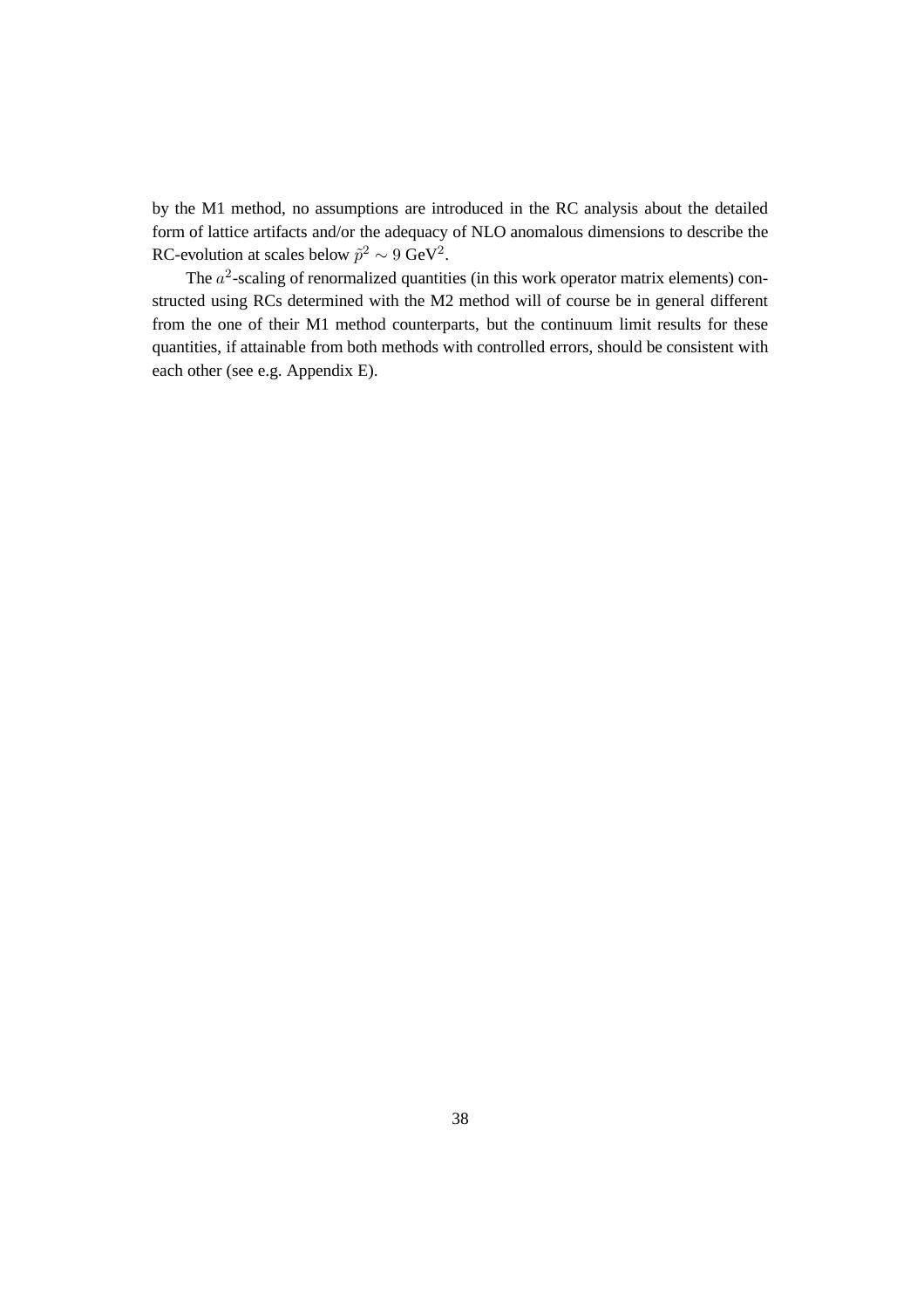by the M1 method, no assumptions are introduced in the RC analysis about the detailed form of lattice artifacts and/or the adequacy of NLO anomalous dimensions to describe the RC-evolution at scales below  $\tilde{p}^2 \sim 9 \text{ GeV}^2$ .

The  $a^2$ -scaling of renormalized quantities (in this work operator matrix elements) constructed using RCs determined with the M2 method will of course be in general different from the one of their M1 method counterparts, but the continuum limit results for these quantities, if attainable from both methods with controlled errors, should be consistent with each other (see e.g. Appendix E).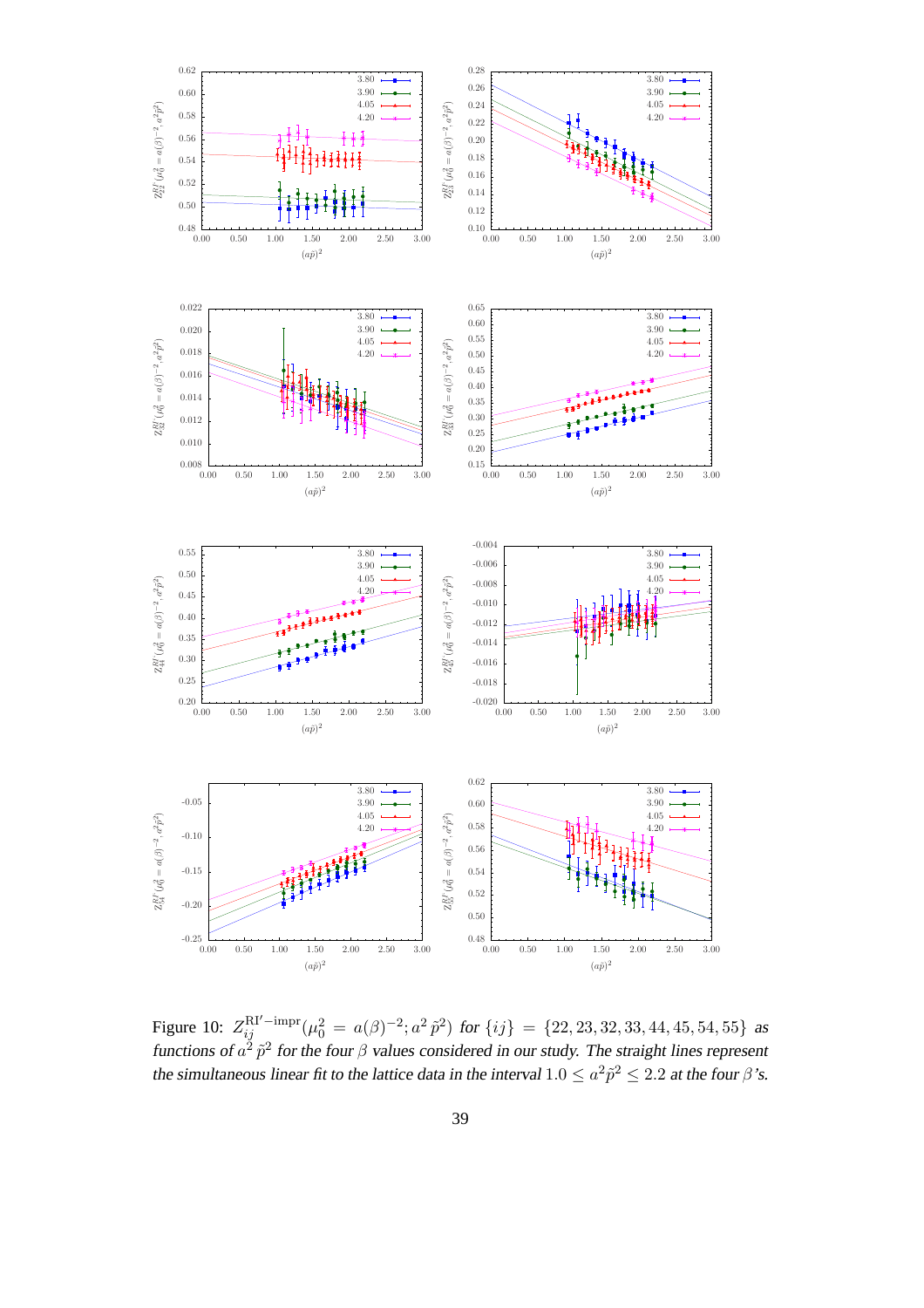

<span id="page-40-0"></span>Figure 10:  $Z_{ij}^{\text{RI}'-\text{impr}}(\mu_0^2 = a(\beta)^{-2}; a^2 \tilde{p}^2)$  for  $\{ij\} = \{22, 23, 32, 33, 44, 45, 54, 55\}$  as functions of  $a^2 \tilde{p}^2$  for the four  $\beta$  values considered in our study. The straight lines represent the simultaneous linear fit to the lattice data in the interval  $1.0 \le a^2 \tilde{p}^2 \le 2.2$  at the four  $\beta$ 's.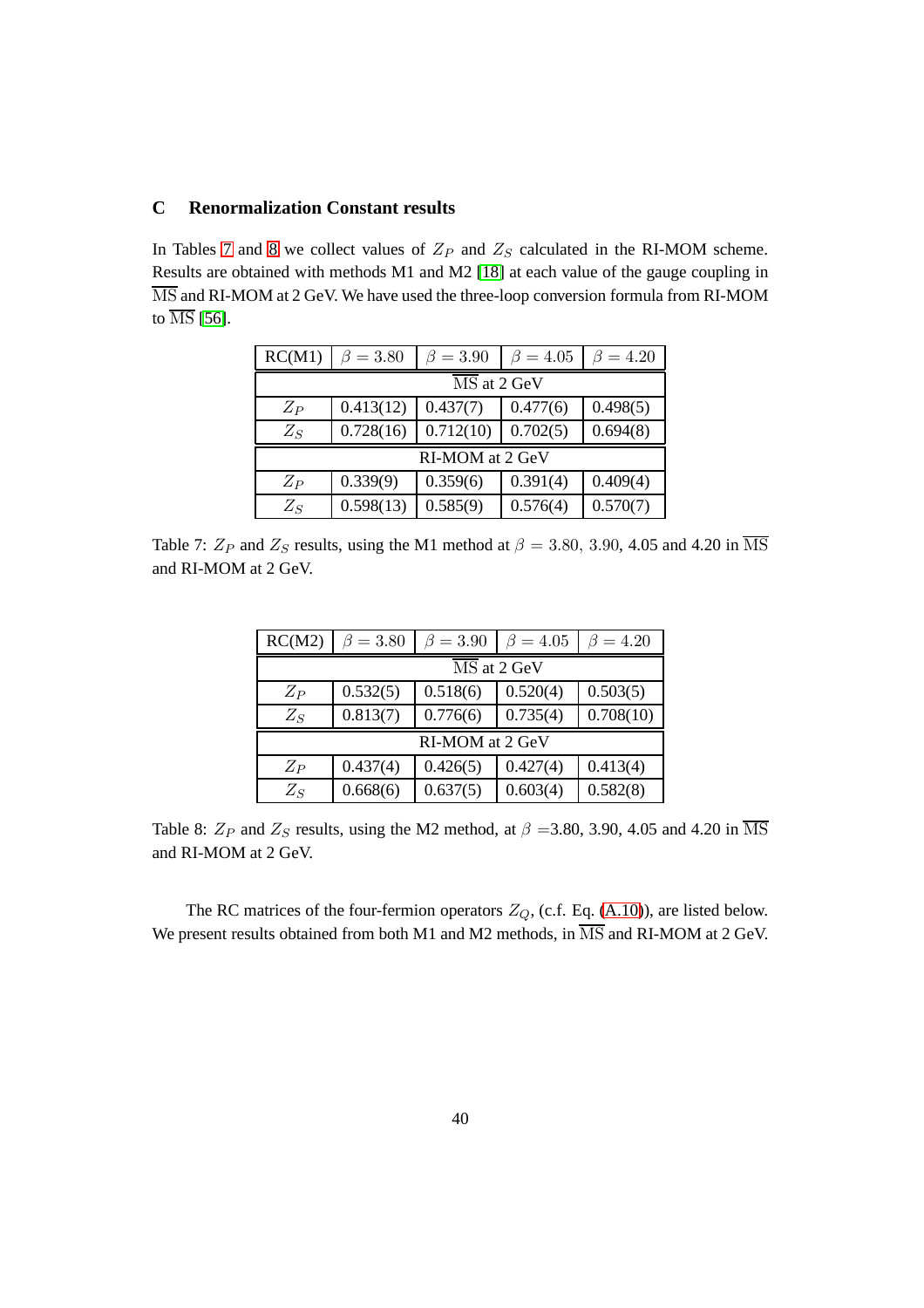### <span id="page-41-0"></span>**C Renormalization Constant results**

In Tables [7](#page-41-1) and [8](#page-41-2) we collect values of  $Z_P$  and  $Z_S$  calculated in the RI-MOM scheme. Results are obtained with methods M1 and M2 [\[18\]](#page-62-5) at each value of the gauge coupling in MS and RI-MOM at 2 GeV. We have used the three-loop conversion formula from RI-MOM to  $\overline{\text{MS}}$  [\[56\]](#page-65-7).

| RC(M1)                          | $\beta = 3.80$  | $\beta = 3.90$ | $\beta = 4.05$ | $=4.20$  |  |  |  |
|---------------------------------|-----------------|----------------|----------------|----------|--|--|--|
| $\overline{\text{MS}}$ at 2 GeV |                 |                |                |          |  |  |  |
| $Z_P$                           | 0.413(12)       | 0.437(7)       | 0.477(6)       | 0.498(5) |  |  |  |
| $Z_S$                           | 0.728(16)       | 0.712(10)      | 0.702(5)       | 0.694(8) |  |  |  |
|                                 | RI-MOM at 2 GeV |                |                |          |  |  |  |
| $Z_P$                           | 0.339(9)        | 0.359(6)       | 0.391(4)       | 0.409(4) |  |  |  |
| $Z_S$                           | 0.598(13)       | 0.585(9)       | 0.576(4)       | 0.570(7) |  |  |  |

<span id="page-41-1"></span>Table 7:  $Z_P$  and  $Z_S$  results, using the M1 method at  $\beta = 3.80, 3.90, 4.05$  and 4.20 in  $\overline{\text{MS}}$ and RI-MOM at 2 GeV.

| RC(M2)                          | $\beta = 3.80$  | $\beta = 3.90$ | $\beta = 4.05$ | $\beta = 4.20$ |  |  |  |
|---------------------------------|-----------------|----------------|----------------|----------------|--|--|--|
| $\overline{\text{MS}}$ at 2 GeV |                 |                |                |                |  |  |  |
| $Z_P$                           | 0.532(5)        | 0.518(6)       | 0.520(4)       | 0.503(5)       |  |  |  |
| $Z_S$                           | 0.813(7)        | 0.776(6)       | 0.735(4)       | 0.708(10)      |  |  |  |
|                                 | RI-MOM at 2 GeV |                |                |                |  |  |  |
| $Z_P$                           | 0.437(4)        | 0.426(5)       | 0.427(4)       | 0.413(4)       |  |  |  |
| $Z_S$                           | 0.668(6)        | 0.637(5)       | 0.603(4)       | 0.582(8)       |  |  |  |

<span id="page-41-2"></span>Table 8:  $Z_P$  and  $Z_S$  results, using the M2 method, at  $\beta = 3.80, 3.90, 4.05$  and 4.20 in  $\overline{\text{MS}}$ and RI-MOM at 2 GeV.

The RC matrices of the four-fermion operators  $Z_Q$ , (c.f. Eq. [\(A.10\)](#page-28-1)), are listed below. We present results obtained from both M1 and M2 methods, in  $\overline{\text{MS}}$  and RI-MOM at 2 GeV.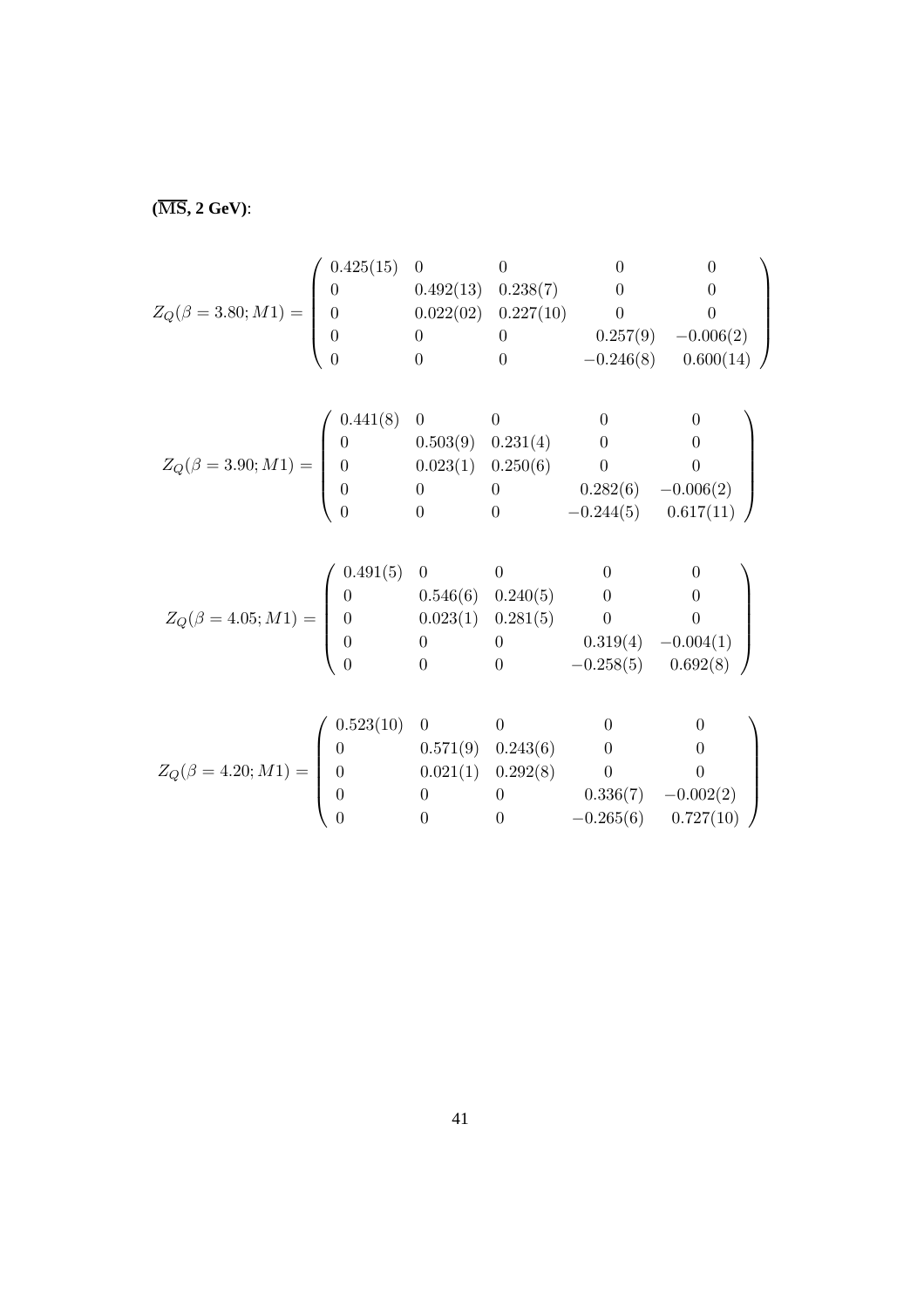**(**MS**, 2 GeV)**:

$$
Z_Q(\beta=3.80;M1)=\left(\begin{array}{cccccc} 0.425(15)&0&0&0&0\\ 0&0.492(13)&0.238(7)&0&0\\ 0&0.022(02)&0.227(10)&0&0\\ 0&0&0&0.257(9)&-0.006(2)\\ 0&0&0&-0.246(8)&0.600(14) \end{array}\right)
$$

$$
Z_Q(\beta = 3.90; M1) = \begin{pmatrix} 0.441(8) & 0 & 0 & 0 & 0 \\ 0 & 0.503(9) & 0.231(4) & 0 & 0 \\ 0 & 0.023(1) & 0.250(6) & 0 & 0 \\ 0 & 0 & 0 & 0.282(6) & -0.006(2) \\ 0 & 0 & 0 & -0.244(5) & 0.617(11) \end{pmatrix}
$$

$$
Z_Q(\beta = 4.05; M1) = \begin{pmatrix} 0.491(5) & 0 & 0 & 0 & 0 & 0 \\ 0 & 0.546(6) & 0.240(5) & 0 & 0 & 0 \\ 0 & 0.023(1) & 0.281(5) & 0 & 0 & 0 \\ 0 & 0 & 0 & 0.319(4) & -0.004(1) \\ 0 & 0 & 0 & -0.258(5) & 0.692(8) \end{pmatrix}
$$

$$
Z_Q(\beta = 4.20; M1) = \begin{pmatrix} 0.523(10) & 0 & 0 & 0 & 0 & 0 \\ 0 & 0.571(9) & 0.243(6) & 0 & 0 & 0 \\ 0 & 0.021(1) & 0.292(8) & 0 & 0 & 0 \\ 0 & 0 & 0 & 0.336(7) & -0.002(2) \\ 0 & 0 & 0 & -0.265(6) & 0.727(10) \end{pmatrix}
$$

0 0 0.336(7)  $-0.002(2)$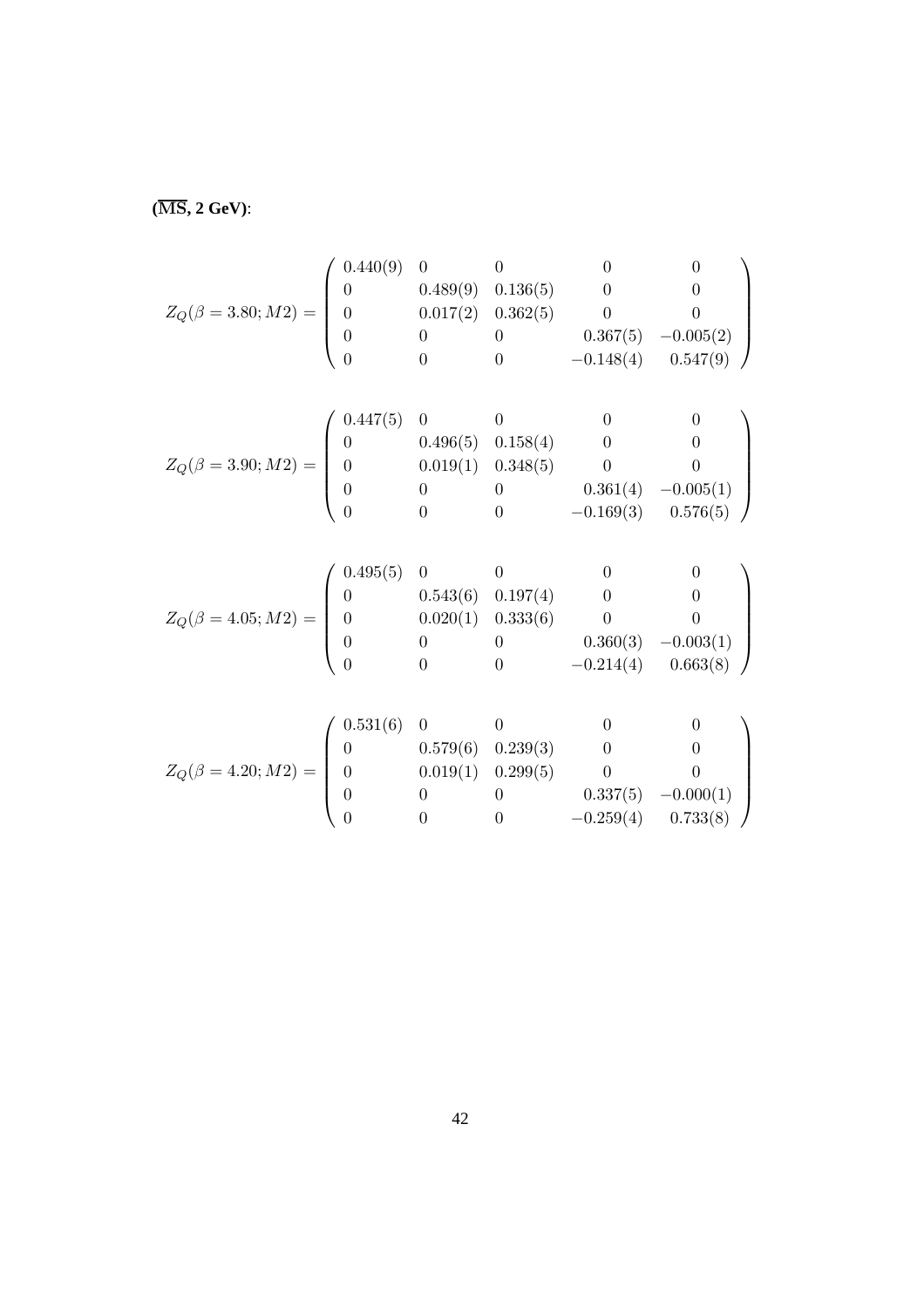**(**MS**, 2 GeV)**:

$$
Z_Q(\beta = 3.80; M2) = \begin{pmatrix} 0.440(9) & 0 & 0 & 0 & 0 \\ 0 & 0.489(9) & 0.136(5) & 0 & 0 \\ 0 & 0.017(2) & 0.362(5) & 0 & 0 \\ 0 & 0 & 0 & 0.367(5) & -0.005(2) \\ 0 & 0 & 0 & -0.148(4) & 0.547(9) \end{pmatrix}
$$

$$
Z_Q(\beta = 3.90; M2) = \begin{pmatrix} 0.447(5) & 0 & 0 & 0 & 0 \\ 0 & 0.496(5) & 0.158(4) & 0 & 0 \\ 0 & 0.019(1) & 0.348(5) & 0 & 0 \\ 0 & 0 & 0 & 0.361(4) & -0.005(1) \\ 0 & 0 & 0 & -0.169(3) & 0.576(5) \end{pmatrix}
$$

$$
Z_Q(\beta = 4.05; M2) = \begin{pmatrix} 0.495(5) & 0 & 0 & 0 & 0 \\ 0 & 0.543(6) & 0.197(4) & 0 & 0 \\ 0 & 0.020(1) & 0.333(6) & 0 & 0 \\ 0 & 0 & 0 & 0.360(3) & -0.003(1) \\ 0 & 0 & 0 & -0.214(4) & 0.663(8) \end{pmatrix}
$$

$$
Z_Q(\beta = 4.20; M2) = \begin{pmatrix} 0.531(6) & 0 & 0 & 0 & 0 \\ 0 & 0.579(6) & 0.239(3) & 0 & 0 \\ 0 & 0.019(1) & 0.299(5) & 0 & 0 \\ 0 & 0 & 0 & 0.337(5) & -0.000(1) \\ 0 & 0 & 0 & -0.259(4) & 0.733(8) \end{pmatrix}
$$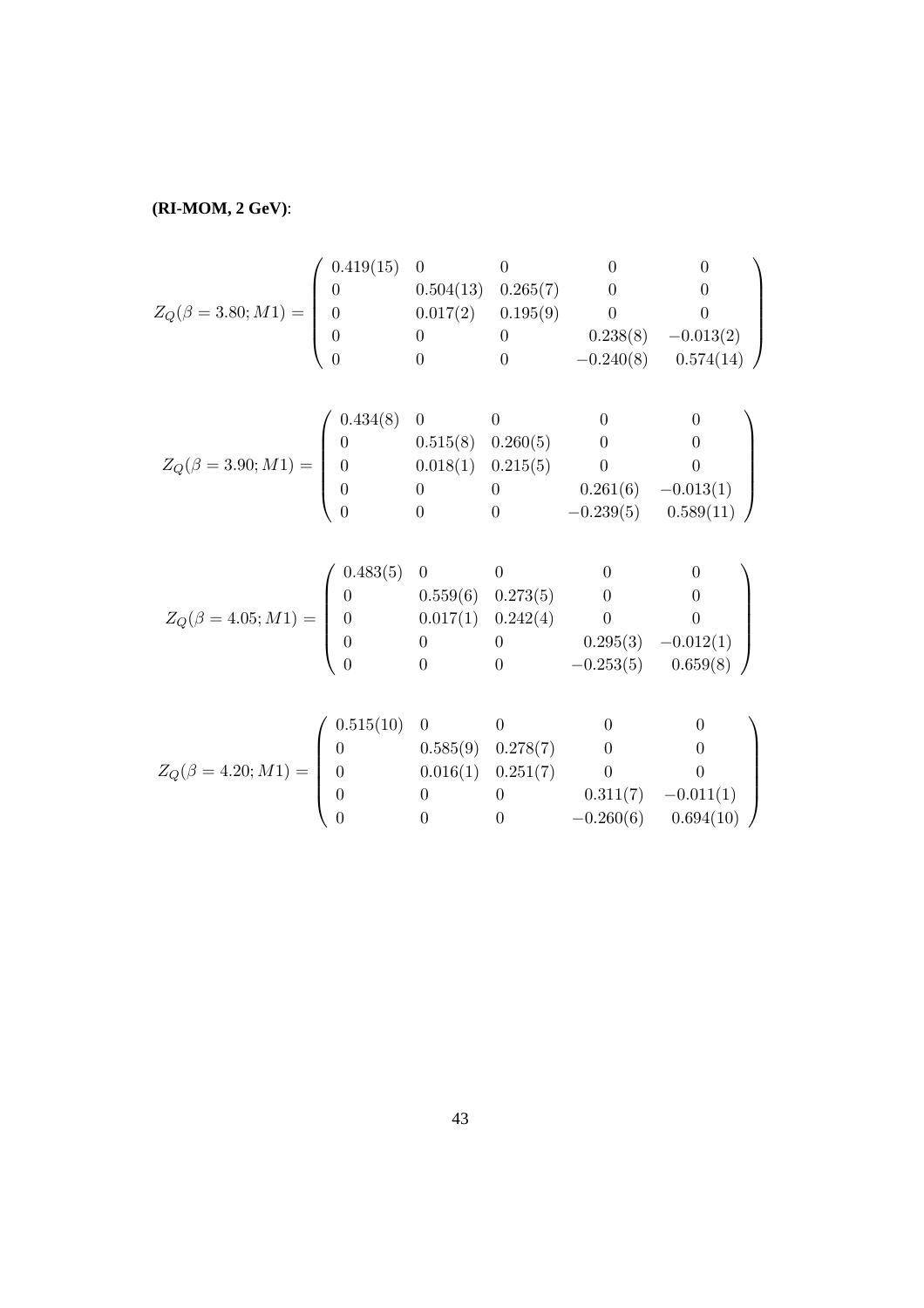**(RI-MOM, 2 GeV)**:

$$
Z_Q(\beta=3.80;M1)=\left(\begin{array}{cccccc} 0.419(15)&0&0&0&0\\ 0&0.504(13)&0.265(7)&0&0\\ 0&0.017(2)&0.195(9)&0&0\\ 0&0&0&0.238(8)&-0.013(2)\\ 0&0&0&-0.240(8)&0.574(14) \end{array}\right)
$$

$$
Z_Q(\beta = 3.90; M1) = \begin{pmatrix} 0.434(8) & 0 & 0 & 0 & 0 \\ 0 & 0.515(8) & 0.260(5) & 0 & 0 \\ 0 & 0.018(1) & 0.215(5) & 0 & 0 \\ 0 & 0 & 0 & 0.261(6) & -0.013(1) \\ 0 & 0 & 0 & -0.239(5) & 0.589(11) \end{pmatrix}
$$

$$
Z_Q(\beta = 4.05; M1) = \begin{pmatrix} 0.483(5) & 0 & 0 & 0 & 0 & 0 \\ 0 & 0.559(6) & 0.273(5) & 0 & 0 & 0 \\ 0 & 0.017(1) & 0.242(4) & 0 & 0 & 0 \\ 0 & 0 & 0 & 0.295(3) & -0.012(1) \\ 0 & 0 & 0 & -0.253(5) & 0.659(8) \end{pmatrix}
$$

$$
Z_Q(\beta = 4.20; M1) = \begin{pmatrix} 0.515(10) & 0 & 0 & 0 & 0 & 0 \\ 0 & 0.585(9) & 0.278(7) & 0 & 0 & 0 \\ 0 & 0.016(1) & 0.251(7) & 0 & 0 & 0 \\ 0 & 0 & 0 & 0.311(7) & -0.011(1) \\ 0 & 0 & 0 & -0.260(6) & 0.694(10) \end{pmatrix}
$$

$$
\left(\begin{array}{cccc} 0 & 0 & 0 & 0.311(7) & -0.011(1) \\ 0 & 0 & 0 & -0.260(6) & 0.694(10) \end{array}\right)
$$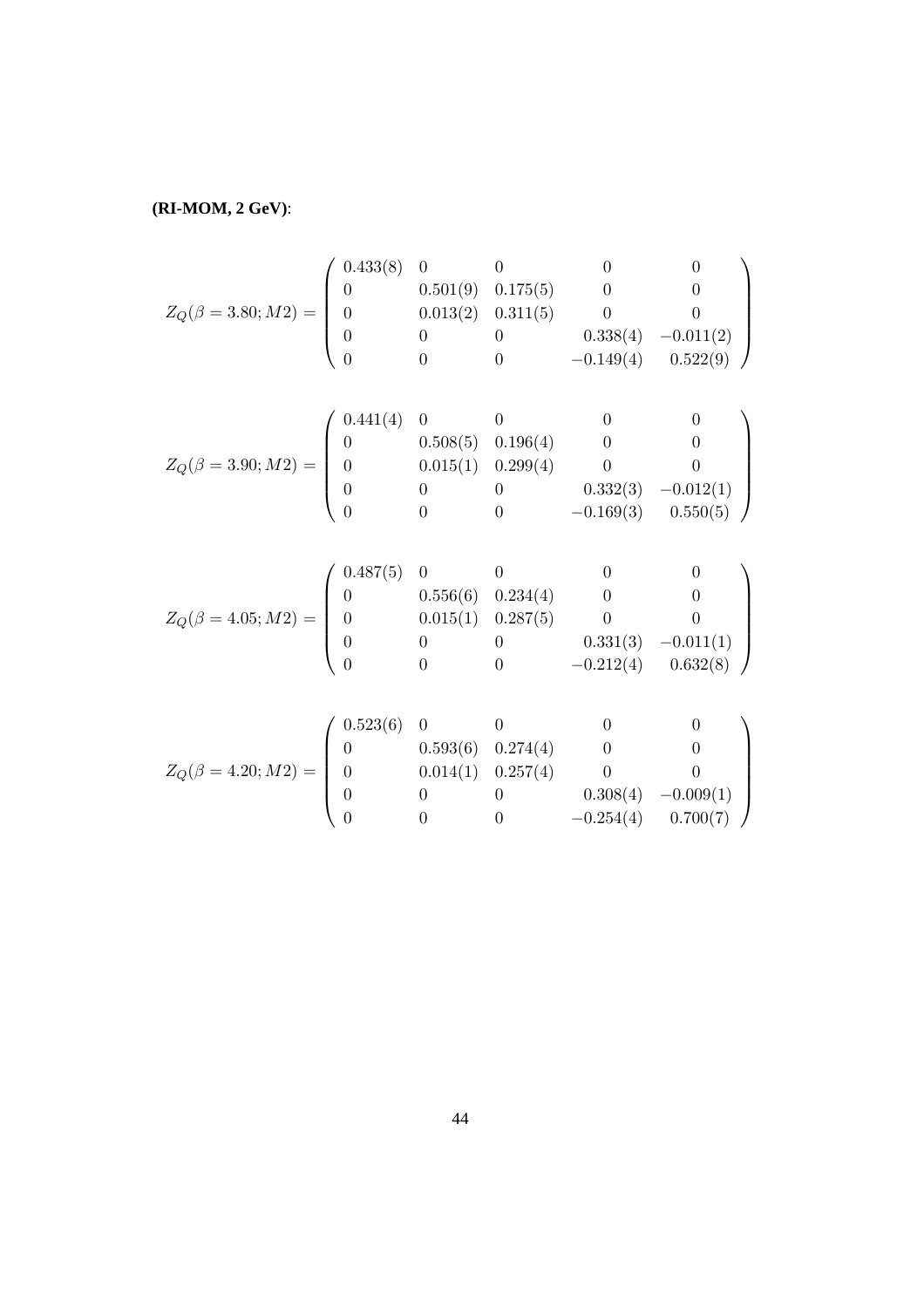**(RI-MOM, 2 GeV)**:

$$
Z_Q(\beta = 3.80; M2) = \begin{pmatrix} 0.433(8) & 0 & 0 & 0 & 0 \\ 0 & 0.501(9) & 0.175(5) & 0 & 0 \\ 0 & 0.013(2) & 0.311(5) & 0 & 0 \\ 0 & 0 & 0 & 0.338(4) & -0.011(2) \\ 0 & 0 & 0 & -0.149(4) & 0.522(9) \end{pmatrix}
$$

$$
Z_Q(\beta = 3.90; M2) = \begin{pmatrix} 0.441(4) & 0 & 0 & 0 & 0 \\ 0 & 0.508(5) & 0.196(4) & 0 & 0 \\ 0 & 0.015(1) & 0.299(4) & 0 & 0 \\ 0 & 0 & 0 & 0.332(3) & -0.012(1) \\ 0 & 0 & 0 & -0.169(3) & 0.550(5) \end{pmatrix}
$$

$$
Z_Q(\beta = 4.05; M2) = \begin{pmatrix} 0.487(5) & 0 & 0 & 0 & 0 \\ 0 & 0.556(6) & 0.234(4) & 0 & 0 \\ 0 & 0.015(1) & 0.287(5) & 0 & 0 \\ 0 & 0 & 0 & 0.331(3) & -0.011(1) \\ 0 & 0 & 0 & -0.212(4) & 0.632(8) \end{pmatrix}
$$

$$
Z_Q(\beta = 4.20; M2) = \begin{pmatrix} 0.523(6) & 0 & 0 & 0 & 0 \\ 0 & 0.593(6) & 0.274(4) & 0 & 0 \\ 0 & 0.014(1) & 0.257(4) & 0 & 0 \\ 0 & 0 & 0 & 0.308(4) & -0.009(1) \\ 0 & 0 & 0 & -0.254(4) & 0.700(7) \end{pmatrix}
$$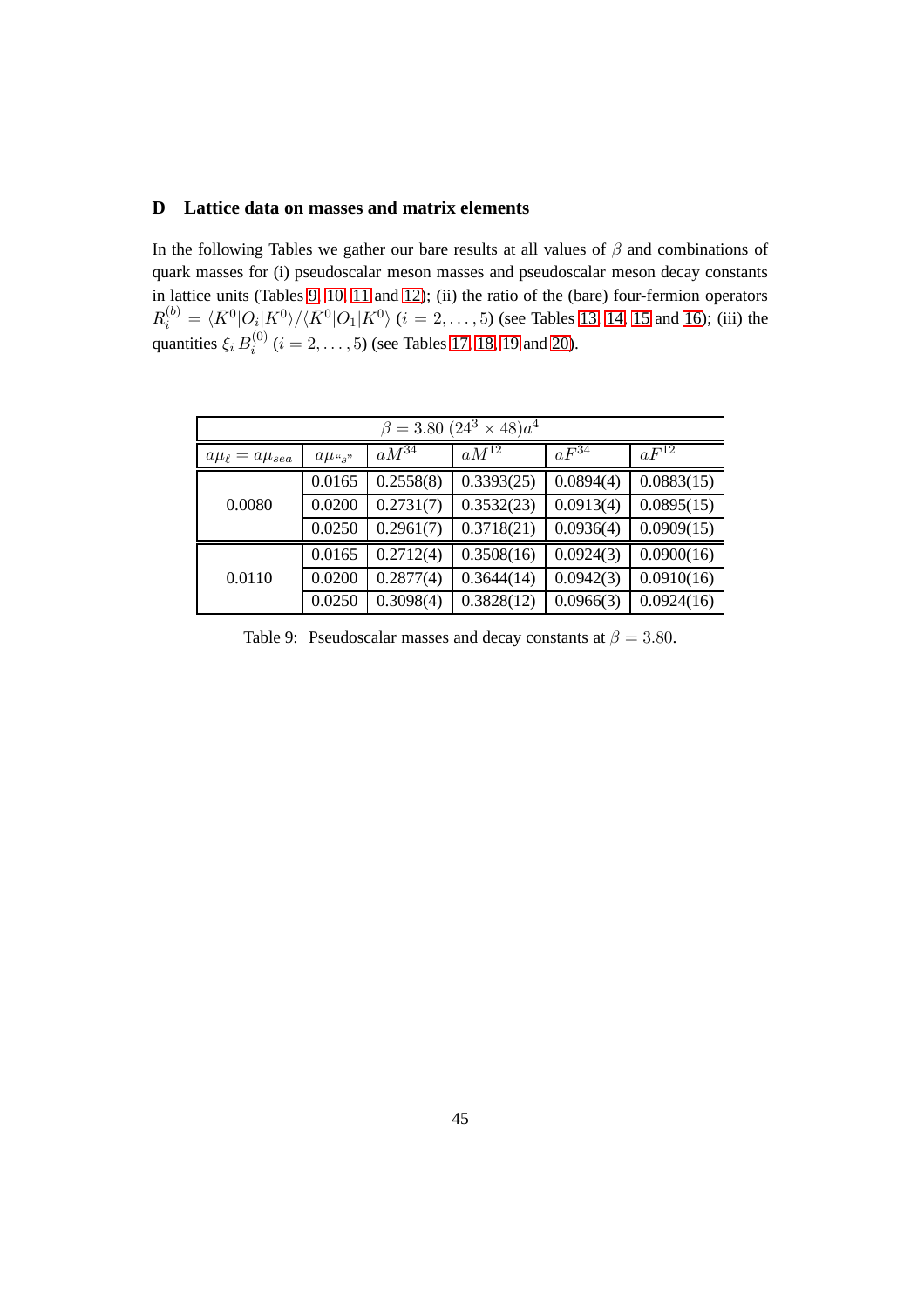### <span id="page-46-0"></span>**D Lattice data on masses and matrix elements**

In the following Tables we gather our bare results at all values of  $\beta$  and combinations of quark masses for (i) pseudoscalar meson masses and pseudoscalar meson decay constants in lattice units (Tables [9,](#page-46-1) [10,](#page-47-0) [11](#page-48-0) and [12\)](#page-48-1); (ii) the ratio of the (bare) four-fermion operators  $R_i^{(b)} = \langle \bar{K}^0 | O_i | K^0 \rangle / \langle \bar{K}^0 | O_1 | K^0 \rangle$  ( $i = 2, ..., 5$ ) (see Tables [13,](#page-49-0) [14,](#page-50-0) [15](#page-51-1) and [16\)](#page-51-0); (iii) the quantities  $\xi_i B_i^{(0)}$  $i_i^{(0)}$   $(i = 2, ..., 5)$  (see Tables [17,](#page-52-0) [18,](#page-53-0) [19](#page-54-1) and [20\)](#page-54-0).

| $\beta = 3.80~(24^3 \times 48)a^4$ |            |           |            |           |            |  |
|------------------------------------|------------|-----------|------------|-----------|------------|--|
| $a\mu_{\ell} = a\mu_{sea}$         | $a\mu$ "s" | $aM^{34}$ | $aM^{12}$  | $aF^{34}$ | $aF^{12}$  |  |
|                                    | 0.0165     | 0.2558(8) | 0.3393(25) | 0.0894(4) | 0.0883(15) |  |
| 0.0080                             | 0.0200     | 0.2731(7) | 0.3532(23) | 0.0913(4) | 0.0895(15) |  |
|                                    | 0.0250     | 0.2961(7) | 0.3718(21) | 0.0936(4) | 0.0909(15) |  |
|                                    | 0.0165     | 0.2712(4) | 0.3508(16) | 0.0924(3) | 0.0900(16) |  |
| 0.0110                             | 0.0200     | 0.2877(4) | 0.3644(14) | 0.0942(3) | 0.0910(16) |  |
|                                    | 0.0250     | 0.3098(4) | 0.3828(12) | 0.0966(3) | 0.0924(16) |  |

<span id="page-46-1"></span>Table 9: Pseudoscalar masses and decay constants at  $\beta = 3.80$ .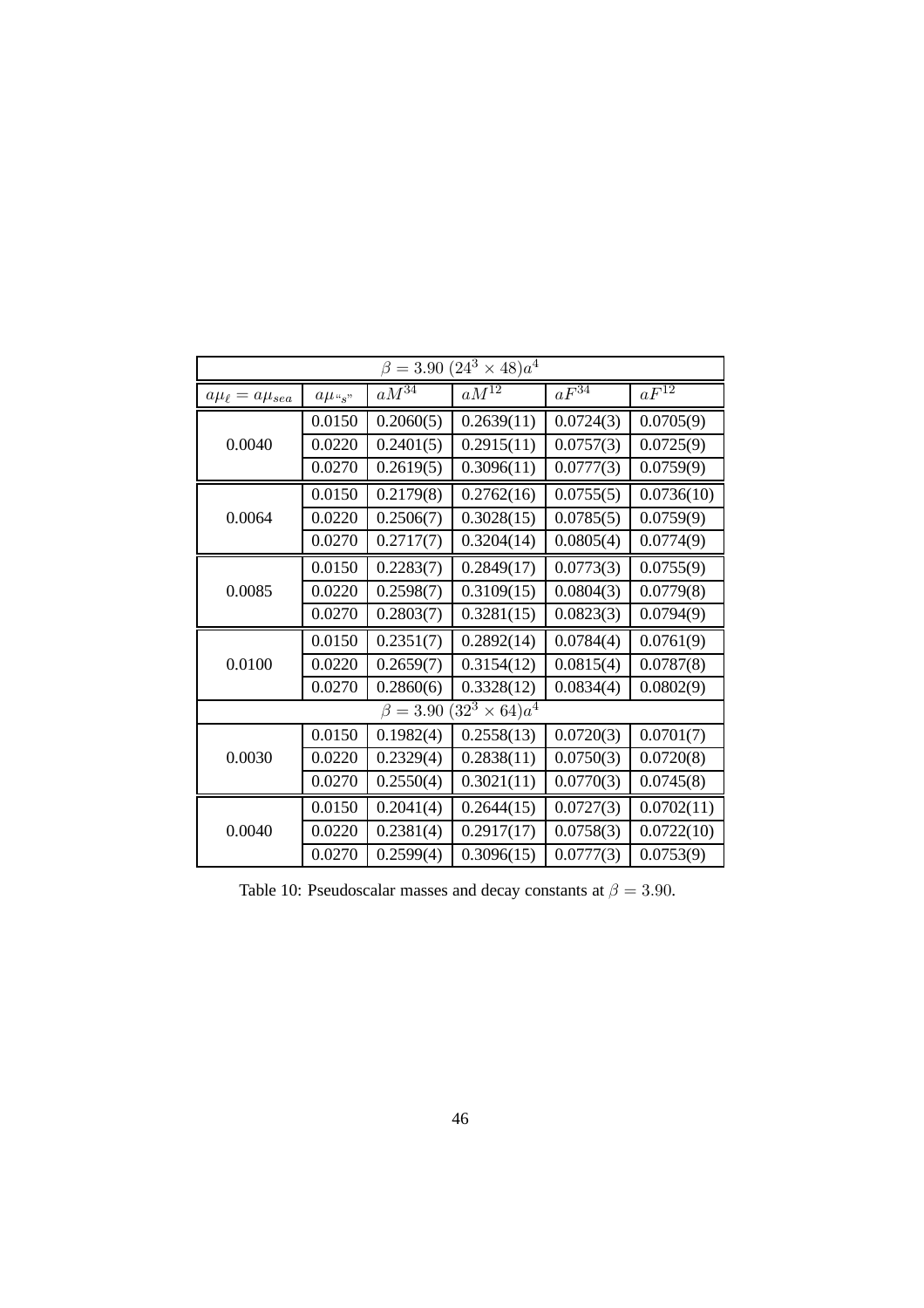| $(24^3 \times 48)a^4$<br>$\beta = 3.90$ |                        |                |                       |           |                      |
|-----------------------------------------|------------------------|----------------|-----------------------|-----------|----------------------|
| $a\mu_{\ell} = a\mu_{sea}$              | $a\mu$ <sub>"s</sub> " | $aM^{34}$      | $aM^{12}$             | $aF^{34}$ | $aF^{\overline{12}}$ |
|                                         | 0.0150                 | 0.2060(5)      | 0.2639(11)            | 0.0724(3) | 0.0705(9)            |
| 0.0040                                  | 0.0220                 | 0.2401(5)      | 0.2915(11)            | 0.0757(3) | 0.0725(9)            |
|                                         | 0.0270                 | 0.2619(5)      | 0.3096(11)            | 0.0777(3) | 0.0759(9)            |
|                                         | 0.0150                 | 0.2179(8)      | 0.2762(16)            | 0.0755(5) | 0.0736(10)           |
| 0.0064                                  | 0.0220                 | 0.2506(7)      | 0.3028(15)            | 0.0785(5) | 0.0759(9)            |
|                                         | 0.0270                 | 0.2717(7)      | 0.3204(14)            | 0.0805(4) | 0.0774(9)            |
|                                         | 0.0150                 | 0.2283(7)      | 0.2849(17)            | 0.0773(3) | 0.0755(9)            |
| 0.0085                                  | 0.0220                 | 0.2598(7)      | 0.3109(15)            | 0.0804(3) | 0.0779(8)            |
|                                         | 0.0270                 | 0.2803(7)      | 0.3281(15)            | 0.0823(3) | 0.0794(9)            |
|                                         | 0.0150                 | 0.2351(7)      | 0.2892(14)            | 0.0784(4) | 0.0761(9)            |
| 0.0100                                  | 0.0220                 | 0.2659(7)      | 0.3154(12)            | 0.0815(4) | 0.0787(8)            |
|                                         | 0.0270                 | 0.2860(6)      | 0.3328(12)            | 0.0834(4) | 0.0802(9)            |
|                                         |                        | $\beta = 3.90$ | $(32^3 \times 64)a^4$ |           |                      |
|                                         | 0.0150                 | 0.1982(4)      | 0.2558(13)            | 0.0720(3) | 0.0701(7)            |
| 0.0030                                  | 0.0220                 | 0.2329(4)      | 0.2838(11)            | 0.0750(3) | 0.0720(8)            |
|                                         | 0.0270                 | 0.2550(4)      | 0.3021(11)            | 0.0770(3) | 0.0745(8)            |
|                                         | 0.0150                 | 0.2041(4)      | 0.2644(15)            | 0.0727(3) | 0.0702(11)           |
| 0.0040                                  | 0.0220                 | 0.2381(4)      | 0.2917(17)            | 0.0758(3) | 0.0722(10)           |
|                                         | 0.0270                 | 0.2599(4)      | 0.3096(15)            | 0.0777(3) | 0.0753(9)            |

<span id="page-47-0"></span>Table 10: Pseudoscalar masses and decay constants at  $\beta = 3.90$ .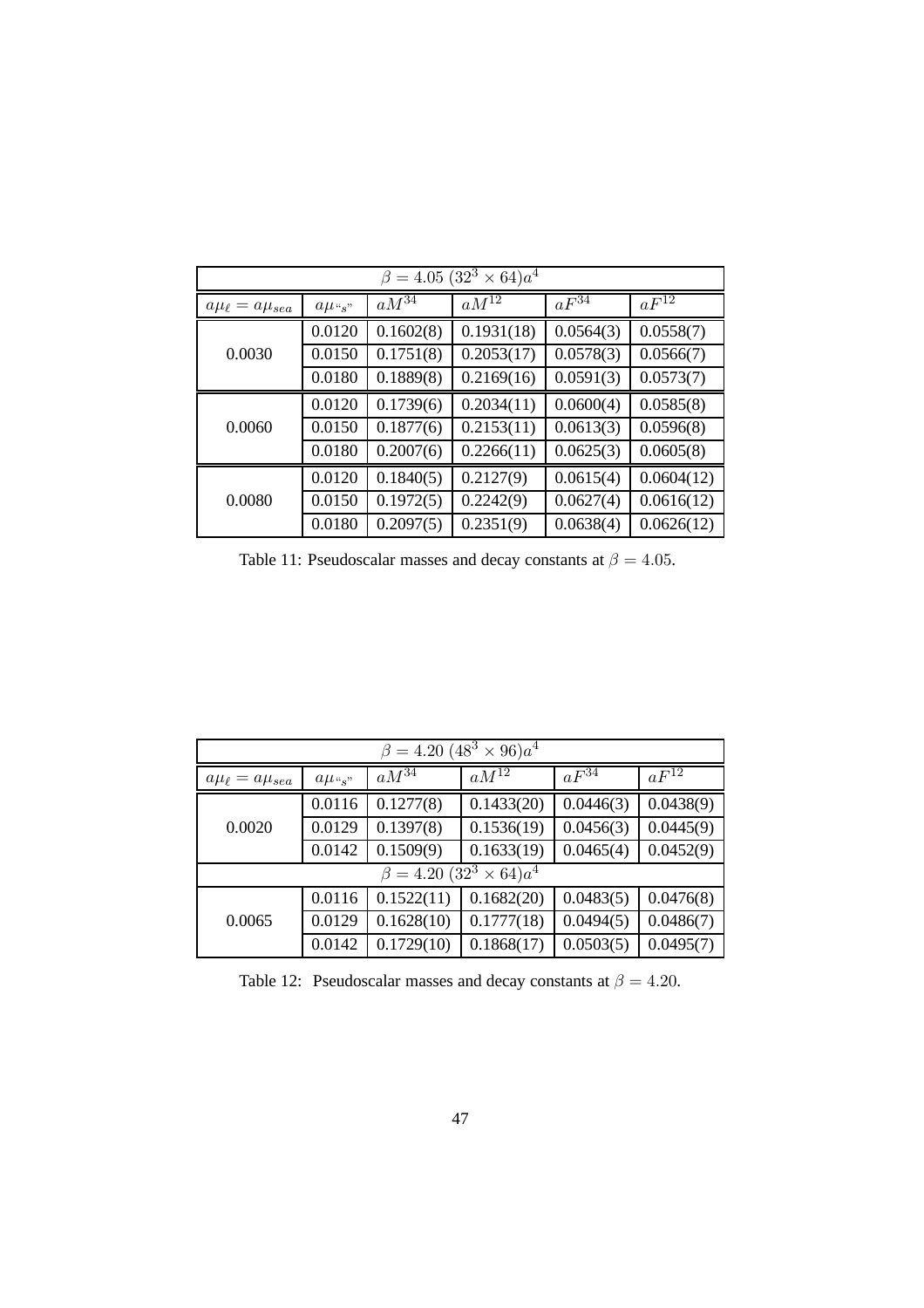| $\beta = 4.05 (32^3 \times 64)a^4$ |            |                      |            |                     |            |  |
|------------------------------------|------------|----------------------|------------|---------------------|------------|--|
| $a\mu_{\ell} = a\mu_{sea}$         | $a\mu$ "s" | $aM^{\overline{34}}$ | $aM^{12}$  | $aF^{3\overline 4}$ | $aF^{12}$  |  |
|                                    | 0.0120     | 0.1602(8)            | 0.1931(18) | 0.0564(3)           | 0.0558(7)  |  |
| 0.0030                             | 0.0150     | 0.1751(8)            | 0.2053(17) | 0.0578(3)           | 0.0566(7)  |  |
|                                    | 0.0180     | 0.1889(8)            | 0.2169(16) | 0.0591(3)           | 0.0573(7)  |  |
|                                    | 0.0120     | 0.1739(6)            | 0.2034(11) | 0.0600(4)           | 0.0585(8)  |  |
| 0.0060                             | 0.0150     | 0.1877(6)            | 0.2153(11) | 0.0613(3)           | 0.0596(8)  |  |
|                                    | 0.0180     | 0.2007(6)            | 0.2266(11) | 0.0625(3)           | 0.0605(8)  |  |
|                                    | 0.0120     | 0.1840(5)            | 0.2127(9)  | 0.0615(4)           | 0.0604(12) |  |
| 0.0080                             | 0.0150     | 0.1972(5)            | 0.2242(9)  | 0.0627(4)           | 0.0616(12) |  |
|                                    | 0.0180     | 0.2097(5)            | 0.2351(9)  | 0.0638(4)           | 0.0626(12) |  |

<span id="page-48-0"></span>Table 11: Pseudoscalar masses and decay constants at  $\beta = 4.05$ .

| $\beta = 4.20~(48^3 \times 96)a^4$ |                                    |                     |            |           |           |  |  |  |
|------------------------------------|------------------------------------|---------------------|------------|-----------|-----------|--|--|--|
| $a\mu_{\ell} = a\mu_{sea}$         | $a\mu_{\alpha,s}$                  | $aM^{3\overline 4}$ | $aM^{12}$  | $aF^{34}$ | $aF^{12}$ |  |  |  |
|                                    | 0.0116                             | 0.1277(8)           | 0.1433(20) | 0.0446(3) | 0.0438(9) |  |  |  |
| 0.0020                             | 0.0129                             | 0.1397(8)           | 0.1536(19) | 0.0456(3) | 0.0445(9) |  |  |  |
|                                    | 0.0142                             | 0.1509(9)           | 0.1633(19) | 0.0465(4) | 0.0452(9) |  |  |  |
|                                    | $\beta = 4.20 (32^3 \times 64)a^4$ |                     |            |           |           |  |  |  |
|                                    | 0.0116                             | 0.1522(11)          | 0.1682(20) | 0.0483(5) | 0.0476(8) |  |  |  |
| 0.0065                             | 0.0129                             | 0.1628(10)          | 0.1777(18) | 0.0494(5) | 0.0486(7) |  |  |  |
|                                    | 0.0142                             | 0.1729(10)          | 0.1868(17) | 0.0503(5) | 0.0495(7) |  |  |  |

<span id="page-48-1"></span>Table 12: Pseudoscalar masses and decay constants at  $\beta = 4.20$ .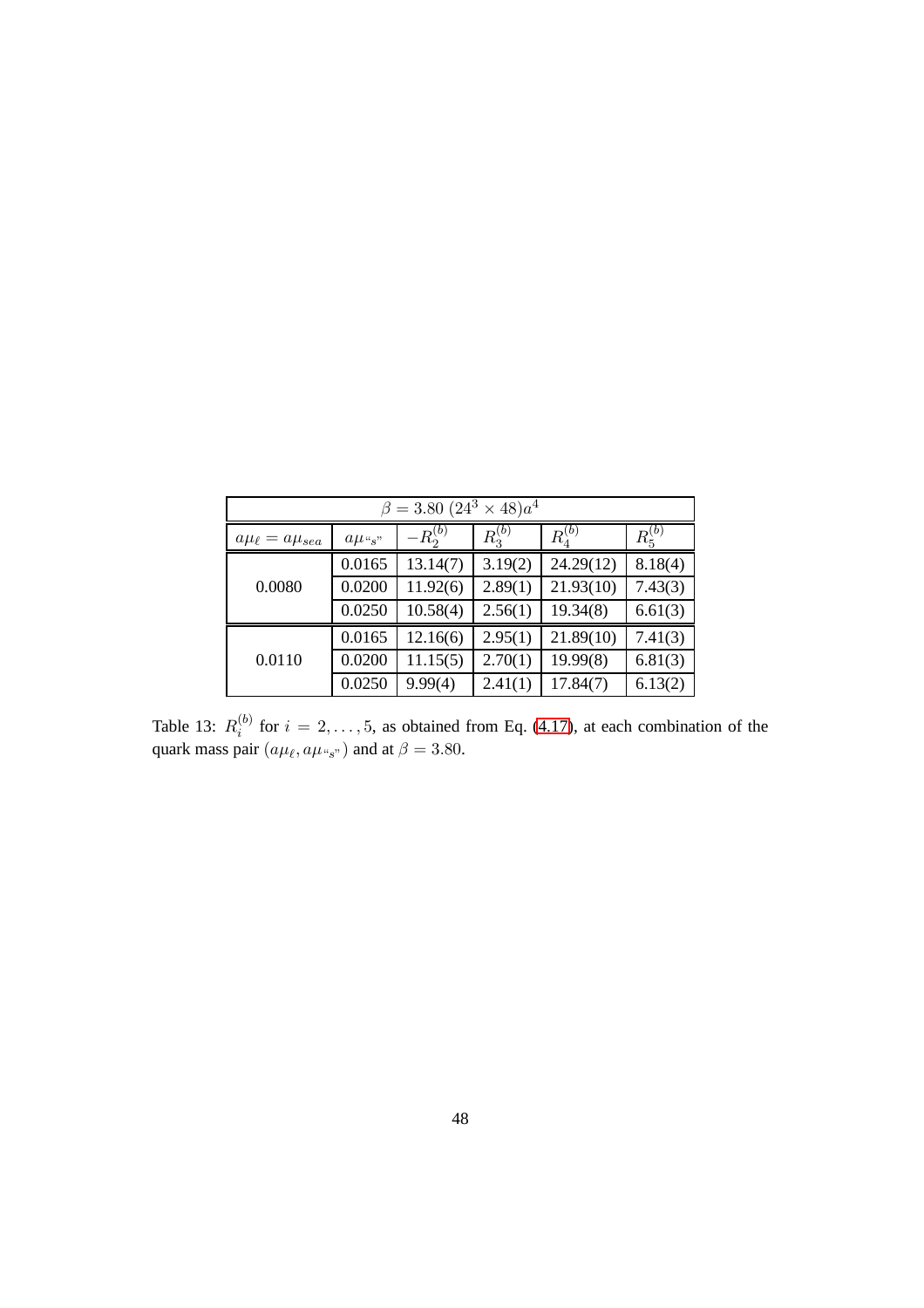| $\beta = 3.80~(24^3 \times 48)a^4$ |                        |              |             |                   |             |  |  |
|------------------------------------|------------------------|--------------|-------------|-------------------|-------------|--|--|
| $a\mu_{\ell} = a\mu_{sea}$         | $a\mu$ <sub>"s</sub> " | $-R_2^{(b)}$ | $R_3^{(b)}$ | $\bar{R}^{(b)}_4$ | $R_5^{(b)}$ |  |  |
|                                    | 0.0165                 | 13.14(7)     | 3.19(2)     | 24.29(12)         | 8.18(4)     |  |  |
| 0.0080                             | 0.0200                 | 11.92(6)     | 2.89(1)     | 21.93(10)         | 7.43(3)     |  |  |
|                                    | 0.0250                 | 10.58(4)     | 2.56(1)     | 19.34(8)          | 6.61(3)     |  |  |
|                                    | 0.0165                 | 12.16(6)     | 2.95(1)     | 21.89(10)         | 7.41(3)     |  |  |
| 0.0110                             | 0.0200                 | 11.15(5)     | 2.70(1)     | 19.99(8)          | 6.81(3)     |  |  |
|                                    | 0.0250                 | 9.99(4)      | 2.41(1)     | 17.84(7)          | 6.13(2)     |  |  |

<span id="page-49-0"></span>Table 13:  $R_i^{(b)}$  $i_j^{(0)}$  for  $i = 2, \ldots, 5$ , as obtained from Eq. [\(4.17\)](#page-14-1), at each combination of the quark mass pair  $(a\mu_{\ell}, a\mu_{s})$  and at  $\beta = 3.80$ .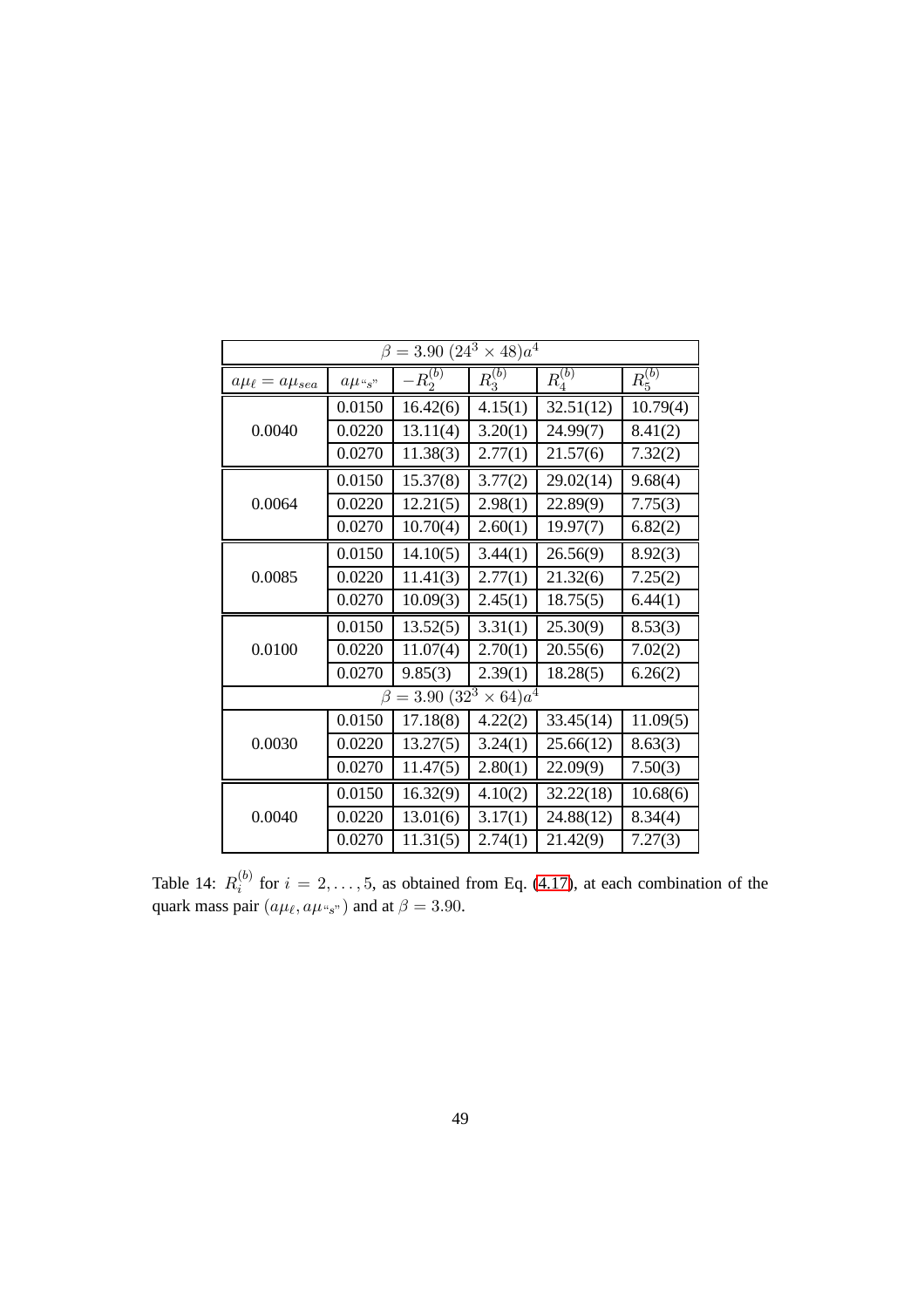| $\beta = 3.90~(24^3 \times 48)a^4$ |               |                      |                    |             |             |  |  |
|------------------------------------|---------------|----------------------|--------------------|-------------|-------------|--|--|
| $a\mu_{\ell} = a\mu_{sea}$         | $a\mu_{\,s}"$ | $-R_2^{(b)}$         | $R_3^{(b)}$        | $R_4^{(b)}$ | $R_5^{(b)}$ |  |  |
|                                    | 0.0150        | 16.42(6)             | 4.15(1)            | 32.51(12)   | 10.79(4)    |  |  |
| 0.0040                             | 0.0220        | 13.11(4)             | 3.20(1)            | 24.99(7)    | 8.41(2)     |  |  |
|                                    | 0.0270        | 11.38(3)             | 2.77(1)            | 21.57(6)    | 7.32(2)     |  |  |
|                                    | 0.0150        | 15.37(8)             | 3.77(2)            | 29.02(14)   | 9.68(4)     |  |  |
| 0.0064                             | 0.0220        | 12.21(5)             | 2.98(1)            | 22.89(9)    | 7.75(3)     |  |  |
|                                    | 0.0270        | 10.70(4)             | 2.60(1)            | 19.97(7)    | 6.82(2)     |  |  |
| 0.0085                             | 0.0150        | 14.10(5)             | 3.44(1)            | 26.56(9)    | 8.92(3)     |  |  |
|                                    | 0.0220        | 11.41(3)             | 2.77(1)            | 21.32(6)    | 7.25(2)     |  |  |
|                                    | 0.0270        | 10.09(3)             | 2.45(1)            | 18.75(5)    | 6.44(1)     |  |  |
|                                    | 0.0150        | 13.52(5)             | 3.31(1)            | 25.30(9)    | 8.53(3)     |  |  |
| 0.0100                             | 0.0220        | 11.07(4)             | 2.70(1)            | 20.55(6)    | 7.02(2)     |  |  |
|                                    | 0.0270        | 9.85(3)              | 2.39(1)            | 18.28(5)    | 6.26(2)     |  |  |
|                                    |               | $\beta = 3.90(32^3)$ | $\times$ 64) $a^4$ |             |             |  |  |
|                                    | 0.0150        | 17.18(8)             | 4.22(2)            | 33.45(14)   | 11.09(5)    |  |  |
| 0.0030                             | 0.0220        | 13.27(5)             | 3.24(1)            | 25.66(12)   | 8.63(3)     |  |  |
|                                    | 0.0270        | 11.47(5)             | 2.80(1)            | 22.09(9)    | 7.50(3)     |  |  |
|                                    | 0.0150        | 16.32(9)             | 4.10(2)            | 32.22(18)   | 10.68(6)    |  |  |
| 0.0040                             | 0.0220        | 13.01(6)             | 3.17(1)            | 24.88(12)   | 8.34(4)     |  |  |
|                                    | 0.0270        | 11.31(5)             | 2.74(1)            | 21.42(9)    | 7.27(3)     |  |  |

<span id="page-50-0"></span>Table 14:  $R_i^{(b)}$  $i_j^{(0)}$  for  $i = 2, \ldots, 5$ , as obtained from Eq. [\(4.17\)](#page-14-1), at each combination of the quark mass pair  $(a\mu_{\ell}, a\mu_{s})$  and at  $\beta = 3.90$ .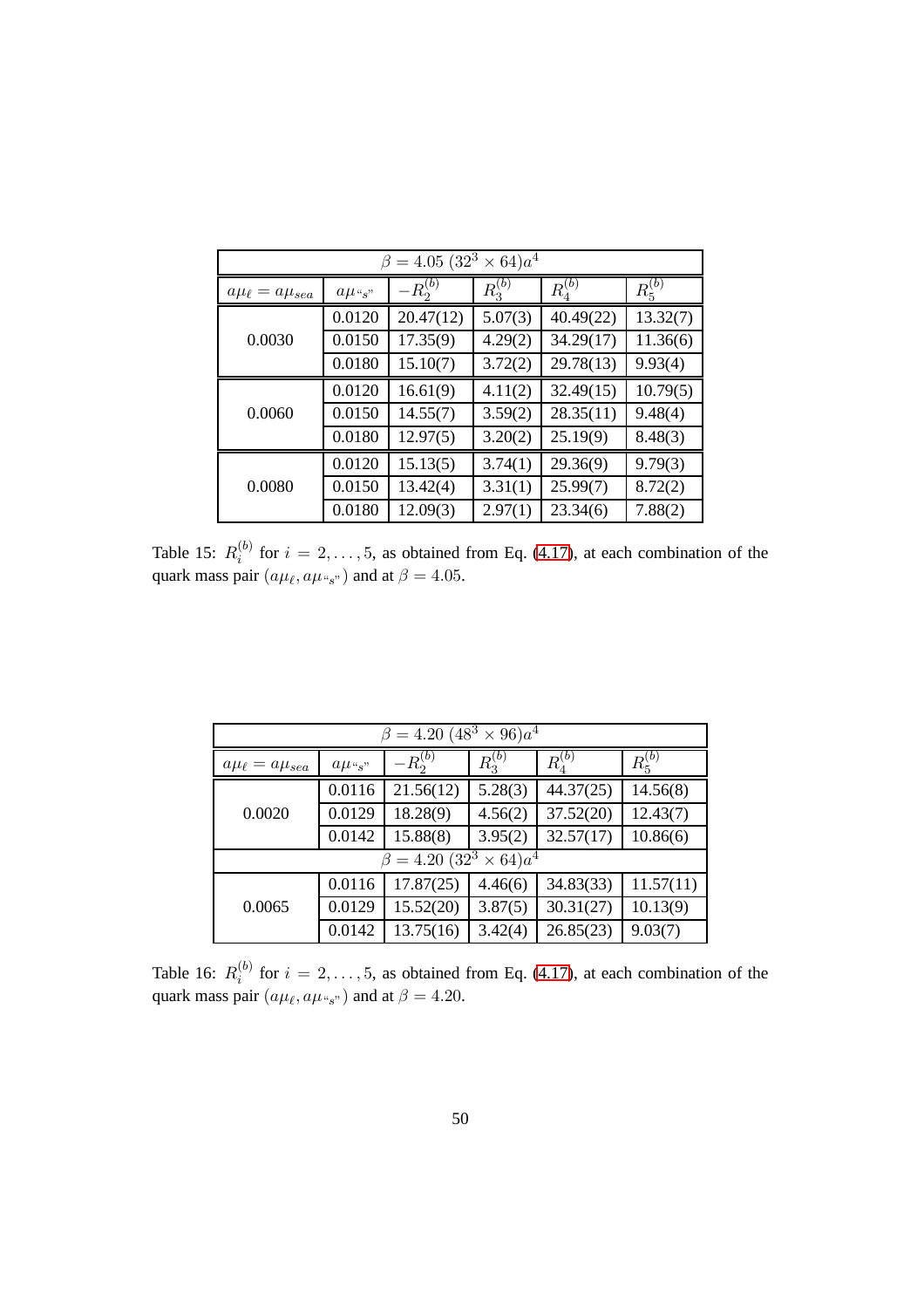| $\beta = 4.05 (32^3 \times 64)a^4$ |                        |              |             |             |             |  |  |
|------------------------------------|------------------------|--------------|-------------|-------------|-------------|--|--|
| $a\mu_{\ell} = a\mu_{sea}$         | $a\mu$ <sub>"s</sub> " | $-R_2^{(b)}$ | $R_3^{(b)}$ | $R_4^{(b)}$ | $R_5^{(b)}$ |  |  |
| 0.0030                             | 0.0120                 | 20.47(12)    | 5.07(3)     | 40.49(22)   | 13.32(7)    |  |  |
|                                    | 0.0150                 | 17.35(9)     | 4.29(2)     | 34.29(17)   | 11.36(6)    |  |  |
|                                    | 0.0180                 | 15.10(7)     | 3.72(2)     | 29.78(13)   | 9.93(4)     |  |  |
|                                    | 0.0120                 | 16.61(9)     | 4.11(2)     | 32.49(15)   | 10.79(5)    |  |  |
| 0.0060                             | 0.0150                 | 14.55(7)     | 3.59(2)     | 28.35(11)   | 9.48(4)     |  |  |
|                                    | 0.0180                 | 12.97(5)     | 3.20(2)     | 25.19(9)    | 8.48(3)     |  |  |
| 0.0080                             | 0.0120                 | 15.13(5)     | 3.74(1)     | 29.36(9)    | 9.79(3)     |  |  |
|                                    | 0.0150                 | 13.42(4)     | 3.31(1)     | 25.99(7)    | 8.72(2)     |  |  |
|                                    | 0.0180                 | 12.09(3)     | 2.97(1)     | 23.34(6)    | 7.88(2)     |  |  |

<span id="page-51-1"></span>Table 15:  $R_i^{(b)}$  $i_j^{(0)}$  for  $i = 2, \ldots, 5$ , as obtained from Eq. [\(4.17\)](#page-14-1), at each combination of the quark mass pair  $(a\mu_{\ell}, a\mu_{s})$  and at  $\beta = 4.05$ .

| $\beta = 4.20~(48^3 \times 96)a^4$ |                        |              |                   |             |             |  |  |
|------------------------------------|------------------------|--------------|-------------------|-------------|-------------|--|--|
| $a\mu_{\ell} = a\mu_{sea}$         | $a\mu$ <sub>"s</sub> " | $-R_2^{(b)}$ | $\bar{R}^{(b)}_3$ | $R_4^{(b)}$ | $R_5^{(b)}$ |  |  |
|                                    | 0.0116                 | 21.56(12)    | 5.28(3)           | 44.37(25)   | 14.56(8)    |  |  |
| 0.0020                             | 0.0129                 | 18.28(9)     | 4.56(2)           | 37.52(20)   | 12.43(7)    |  |  |
|                                    | 0.0142                 | 15.88(8)     | 3.95(2)           | 32.57(17)   | 10.86(6)    |  |  |
| $\beta = 4.20 (32^3 \times 64)a^4$ |                        |              |                   |             |             |  |  |
|                                    | 0.0116                 | 17.87(25)    | 4.46(6)           | 34.83(33)   | 11.57(11)   |  |  |
| 0.0065                             | 0.0129                 | 15.52(20)    | 3.87(5)           | 30.31(27)   | 10.13(9)    |  |  |
|                                    | 0.0142                 | 13.75(16)    | 3.42(4)           | 26.85(23)   | 9.03(7)     |  |  |

<span id="page-51-0"></span>Table 16:  $R_i^{(b)}$  $i_j^{(0)}$  for  $i = 2, \ldots, 5$ , as obtained from Eq. [\(4.17\)](#page-14-1), at each combination of the quark mass pair  $(a\mu_{\ell}, a\mu_{\gamma_{s}})$  and at  $\beta = 4.20$ .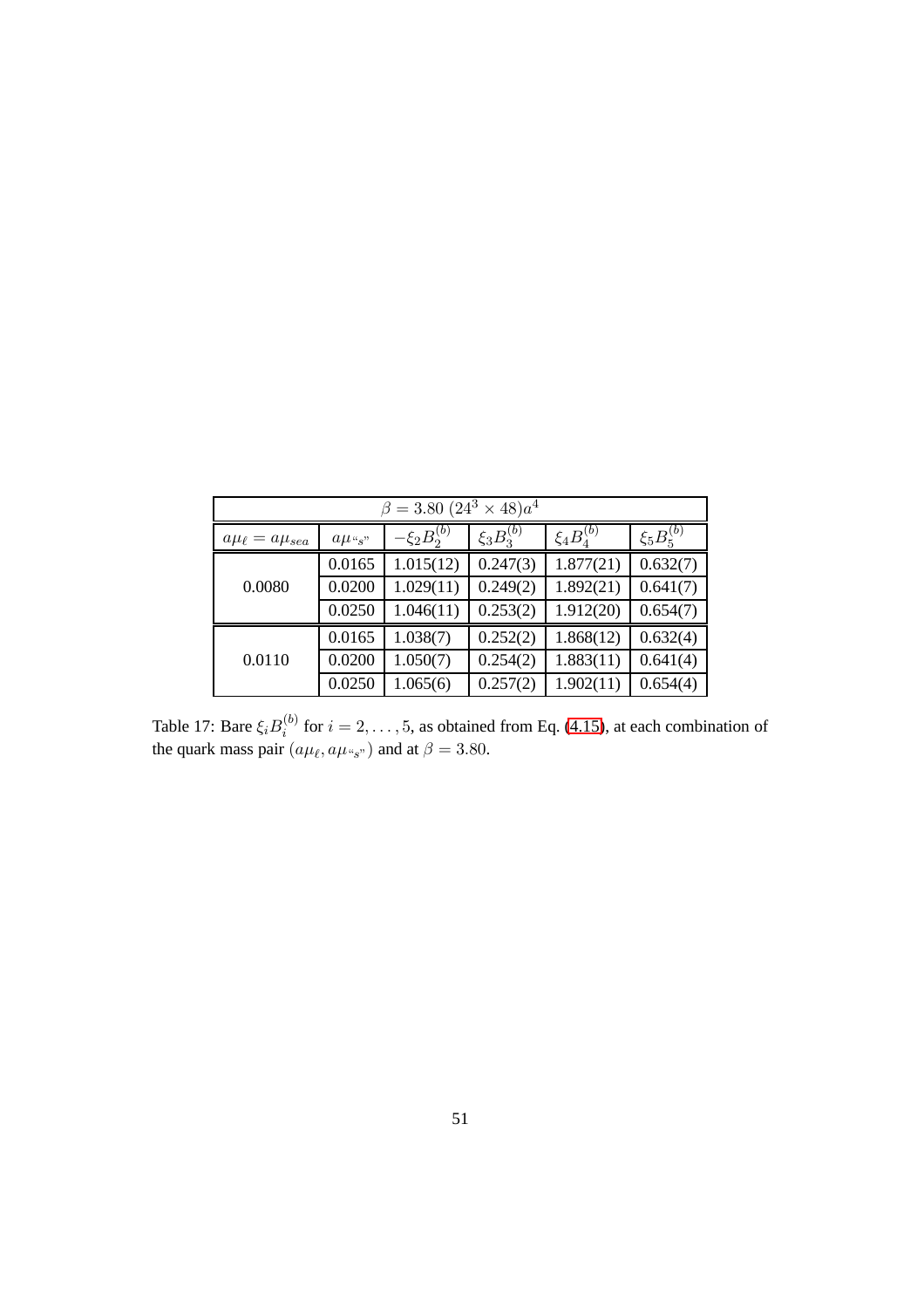| $\beta = 3.80~(24^3 \times 48)a^4$ |                        |                    |                  |                   |                  |  |  |
|------------------------------------|------------------------|--------------------|------------------|-------------------|------------------|--|--|
| $a\mu_{\ell} = a\mu_{sea}$         | $a\mu$ <sub>"s</sub> " | $-\xi_2 B_2^{(b)}$ | $\xi_3B_3^{(b)}$ | $\xi_4 B_4^{(b)}$ | $\xi_5B_5^{(b)}$ |  |  |
|                                    | 0.0165                 | 1.015(12)          | 0.247(3)         | 1.877(21)         | 0.632(7)         |  |  |
| 0.0080                             | 0.0200                 | 1.029(11)          | 0.249(2)         | 1.892(21)         | 0.641(7)         |  |  |
|                                    | 0.0250                 | 1.046(11)          | 0.253(2)         | 1.912(20)         | 0.654(7)         |  |  |
|                                    | 0.0165                 | 1.038(7)           | 0.252(2)         | 1.868(12)         | 0.632(4)         |  |  |
| 0.0110                             | 0.0200                 | 1.050(7)           | 0.254(2)         | 1.883(11)         | 0.641(4)         |  |  |
|                                    | 0.0250                 | 1.065(6)           | 0.257(2)         | 1.902(11)         | 0.654(4)         |  |  |

<span id="page-52-0"></span>Table 17: Bare  $\xi_i B_i^{(b)}$  $i_i^{(0)}$  for  $i = 2, \ldots, 5$ , as obtained from Eq. [\(4.15\)](#page-13-4), at each combination of the quark mass pair  $(a\mu_{\ell}, a\mu_{s})$  and at  $\beta = 3.80$ .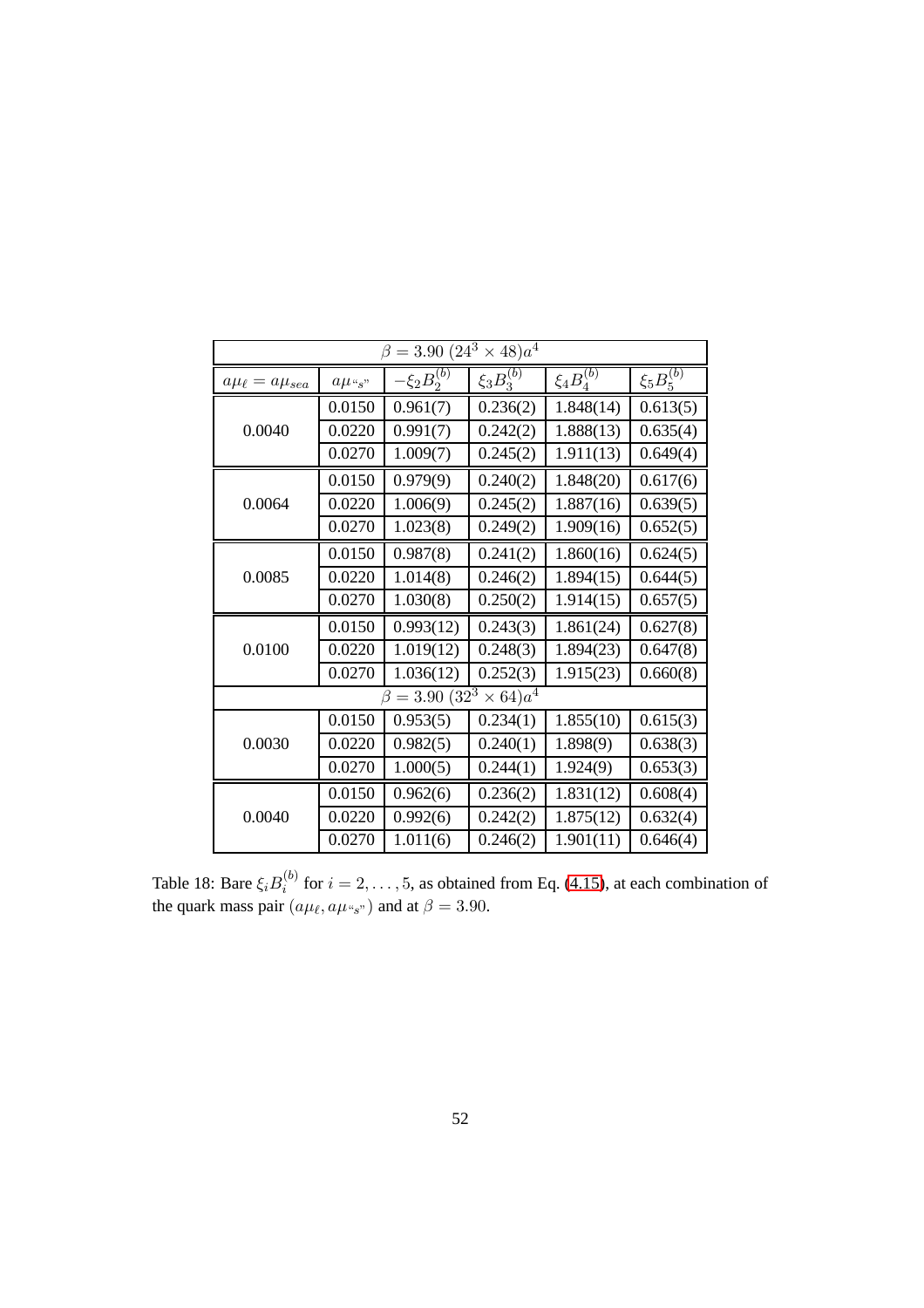| $\beta = 3.90~(24^3)$<br>$\times$ 48) $a^4$ |                        |                      |                  |                   |                  |  |
|---------------------------------------------|------------------------|----------------------|------------------|-------------------|------------------|--|
| $a\mu_{\ell} = a\mu_{sea}$                  | $a\mu$ <sub>"s</sub> " | $-\xi_2B_2^{(b)}$    | $\xi_3B_3^{(b)}$ | $\xi_4 B_4^{(b)}$ | $\xi_5B_5^{(b)}$ |  |
|                                             | 0.0150                 | 0.961(7)             | 0.236(2)         | 1.848(14)         | 0.613(5)         |  |
| 0.0040                                      | 0.0220                 | 0.991(7)             | 0.242(2)         | 1.888(13)         | 0.635(4)         |  |
|                                             | 0.0270                 | 1.009(7)             | 0.245(2)         | 1.911(13)         | 0.649(4)         |  |
|                                             | 0.0150                 | 0.979(9)             | 0.240(2)         | 1.848(20)         | 0.617(6)         |  |
| 0.0064                                      | 0.0220                 | 1.006(9)             | 0.245(2)         | 1.887(16)         | 0.639(5)         |  |
|                                             | 0.0270                 | 1.023(8)             | 0.249(2)         | 1.909(16)         | 0.652(5)         |  |
|                                             | 0.0150                 | 0.987(8)             | 0.241(2)         | 1.860(16)         | 0.624(5)         |  |
| 0.0085                                      | 0.0220                 | 1.014(8)             | 0.246(2)         | 1.894(15)         | 0.644(5)         |  |
|                                             | 0.0270                 | 1.030(8)             | 0.250(2)         | 1.914(15)         | 0.657(5)         |  |
|                                             | 0.0150                 | 0.993(12)            | 0.243(3)         | 1.861(24)         | 0.627(8)         |  |
| 0.0100                                      | 0.0220                 | 1.019(12)            | 0.248(3)         | 1.894(23)         | 0.647(8)         |  |
|                                             | 0.0270                 | 1.036(12)            | 0.252(3)         | 1.915(23)         | 0.660(8)         |  |
|                                             |                        | $\beta = 3.90(32^3)$ | $\times 64)a^4$  |                   |                  |  |
|                                             | 0.0150                 | 0.953(5)             | 0.234(1)         | 1.855(10)         | 0.615(3)         |  |
| 0.0030                                      | 0.0220                 | 0.982(5)             | 0.240(1)         | 1.898(9)          | 0.638(3)         |  |
|                                             | 0.0270                 | 1.000(5)             | 0.244(1)         | 1.924(9)          | 0.653(3)         |  |
|                                             | 0.0150                 | 0.962(6)             | 0.236(2)         | 1.831(12)         | 0.608(4)         |  |
| 0.0040                                      | 0.0220                 | 0.992(6)             | 0.242(2)         | 1.875(12)         | 0.632(4)         |  |
|                                             | 0.0270                 | 1.011(6)             | 0.246(2)         | 1.901(11)         | 0.646(4)         |  |

<span id="page-53-0"></span>Table 18: Bare  $\xi_i B_i^{(b)}$  $i_j^{(0)}$  for  $i = 2, \ldots, 5$ , as obtained from Eq. [\(4.15\)](#page-13-4), at each combination of the quark mass pair  $(a\mu_{\ell}, a\mu_{s})$  and at  $\beta = 3.90$ .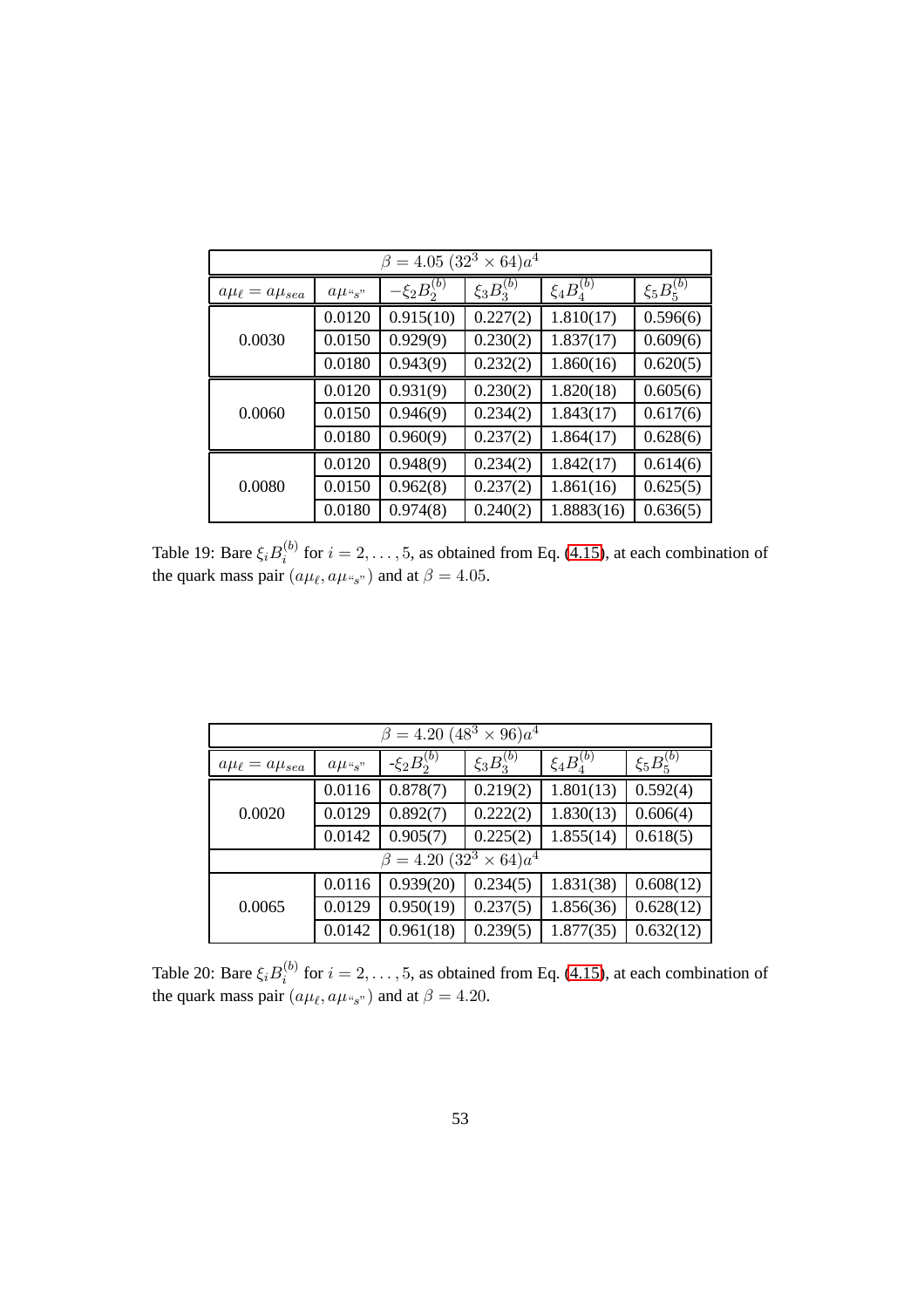| $\beta = 4.05 (32^3 \times 64)a^4$ |                   |                    |                  |                   |                  |  |  |
|------------------------------------|-------------------|--------------------|------------------|-------------------|------------------|--|--|
| $a\mu_{\ell} = a\mu_{sea}$         | $a\mu_{\alpha,s}$ | $-\xi_2 B_2^{(b)}$ | $\xi_3B_3^{(b)}$ | $\xi_4 B_4^{(b)}$ | $\xi_5B_5^{(b)}$ |  |  |
|                                    | 0.0120            | 0.915(10)          | 0.227(2)         | 1.810(17)         | 0.596(6)         |  |  |
| 0.0030                             | 0.0150            | 0.929(9)           | 0.230(2)         | 1.837(17)         | 0.609(6)         |  |  |
|                                    | 0.0180            | 0.943(9)           | 0.232(2)         | 1.860(16)         | 0.620(5)         |  |  |
|                                    | 0.0120            | 0.931(9)           | 0.230(2)         | 1.820(18)         | 0.605(6)         |  |  |
| 0.0060                             | 0.0150            | 0.946(9)           | 0.234(2)         | 1.843(17)         | 0.617(6)         |  |  |
|                                    | 0.0180            | 0.960(9)           | 0.237(2)         | 1.864(17)         | 0.628(6)         |  |  |
| 0.0080                             | 0.0120            | 0.948(9)           | 0.234(2)         | 1.842(17)         | 0.614(6)         |  |  |
|                                    | 0.0150            | 0.962(8)           | 0.237(2)         | 1.861(16)         | 0.625(5)         |  |  |
|                                    | 0.0180            | 0.974(8)           | 0.240(2)         | 1.8883(16)        | 0.636(5)         |  |  |

<span id="page-54-1"></span>Table 19: Bare  $\xi_i B_i^{(b)}$  $i_i^{(0)}$  for  $i = 2, \ldots, 5$ , as obtained from Eq. [\(4.15\)](#page-13-4), at each combination of the quark mass pair  $(a\mu_{\ell}, a\mu_{s})$  and at  $\beta = 4.05$ .

| $\beta = 4.20~(48^3 \times 96)a^4$ |                   |                    |                  |                  |                  |  |  |
|------------------------------------|-------------------|--------------------|------------------|------------------|------------------|--|--|
| $a\mu_{\ell} = a\mu_{sea}$         | $a\mu_{\alpha,s}$ | $-\xi_2 B_2^{(b)}$ | $\xi_3B_3^{(b)}$ | $\xi_4B^{(b)}_4$ | $\xi_5B_5^{(b)}$ |  |  |
|                                    | 0.0116            | 0.878(7)           | 0.219(2)         | 1.801(13)        | 0.592(4)         |  |  |
| 0.0020                             | 0.0129            | 0.892(7)           | 0.222(2)         | 1.830(13)        | 0.606(4)         |  |  |
|                                    | 0.0142            | 0.905(7)           | 0.225(2)         | 1.855(14)        | 0.618(5)         |  |  |
| $\beta = 4.20 (32^3 \times 64)a^4$ |                   |                    |                  |                  |                  |  |  |
|                                    | 0.0116            | 0.939(20)          | 0.234(5)         | 1.831(38)        | 0.608(12)        |  |  |
| 0.0065                             | 0.0129            | 0.950(19)          | 0.237(5)         | 1.856(36)        | 0.628(12)        |  |  |
|                                    | 0.0142            | 0.961(18)          | 0.239(5)         | 1.877(35)        | 0.632(12)        |  |  |

<span id="page-54-0"></span>Table 20: Bare  $\xi_i B_i^{(b)}$  $i_i^{(0)}$  for  $i = 2, \ldots, 5$ , as obtained from Eq. [\(4.15\)](#page-13-4), at each combination of the quark mass pair  $(a\mu_{\ell}, a\mu_{s})$  and at  $\beta = 4.20$ .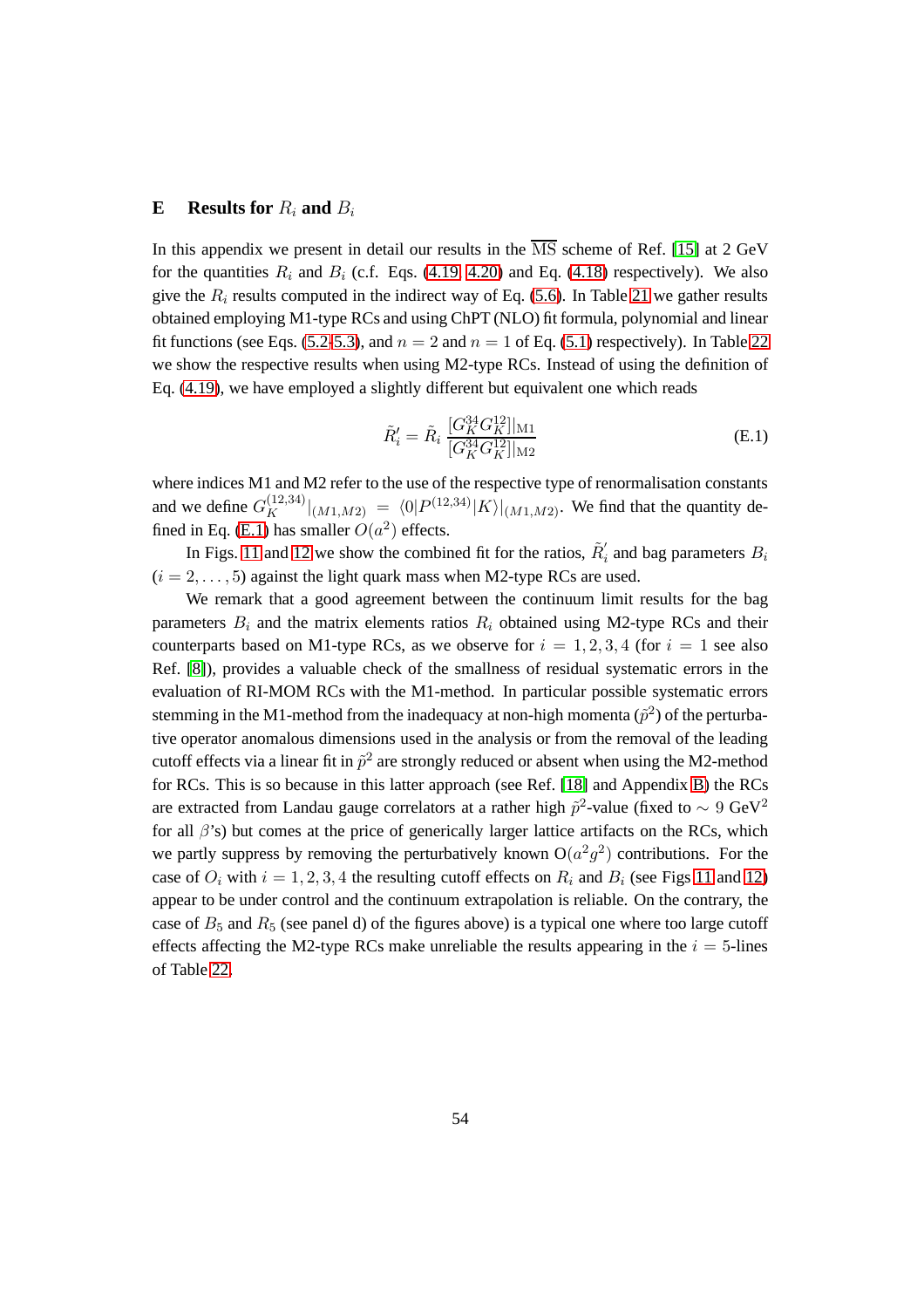#### <span id="page-55-0"></span>**E** Results for  $R_i$  and  $B_i$

In this appendix we present in detail our results in the  $\overline{MS}$  scheme of Ref. [\[15\]](#page-62-2) at 2 GeV for the quantities  $R_i$  and  $B_i$  (c.f. Eqs. [\(4.19,](#page-14-0) [4.20\)](#page-14-3) and Eq. [\(4.18\)](#page-14-4) respectively). We also give the  $R_i$  results computed in the indirect way of Eq. [\(5.6\)](#page-22-0). In Table [21](#page-56-0) we gather results obtained employing M1-type RCs and using ChPT (NLO) fit formula, polynomial and linear fit functions (see Eqs. [\(5.2](#page-18-1)[-5.3\)](#page-19-0), and  $n = 2$  and  $n = 1$  of Eq. [\(5.1\)](#page-17-2) respectively). In Table [22](#page-57-0) we show the respective results when using M2-type RCs. Instead of using the definition of Eq. [\(4.19\)](#page-14-0), we have employed a slightly different but equivalent one which reads

<span id="page-55-1"></span>
$$
\tilde{R}'_i = \tilde{R}_i \, \frac{[G_K^{34} G_K^{12}]_{\text{M1}}}{[G_K^{34} G_K^{12}]_{\text{M2}}} \tag{E.1}
$$

where indices M1 and M2 refer to the use of the respective type of renormalisation constants and we define  $G_K^{(12,34)}|_{(M1,M2)} = \langle 0|P^{(12,34)}|K\rangle|_{(M1,M2)}$ . We find that the quantity de-fined in Eq. [\(E.1\)](#page-55-1) has smaller  $O(a^2)$  effects.

In Figs. [11](#page-59-0) and [12](#page-60-0) we show the combined fit for the ratios,  $\tilde{R}'_i$  $i_i$  and bag parameters  $B_i$  $(i = 2, \ldots, 5)$  against the light quark mass when M2-type RCs are used.

We remark that a good agreement between the continuum limit results for the bag parameters  $B_i$  and the matrix elements ratios  $R_i$  obtained using M2-type RCs and their counterparts based on M1-type RCs, as we observe for  $i = 1, 2, 3, 4$  (for  $i = 1$  see also Ref. [\[8\]](#page-61-4)), provides a valuable check of the smallness of residual systematic errors in the evaluation of RI-MOM RCs with the M1-method. In particular possible systematic errors stemming in the M1-method from the inadequacy at non-high momenta  $(\tilde{p}^2)$  of the perturbative operator anomalous dimensions used in the analysis or from the removal of the leading cutoff effects via a linear fit in  $\tilde{p}^2$  are strongly reduced or absent when using the M2-method for RCs. This is so because in this latter approach (see Ref. [\[18\]](#page-62-5) and Appendix [B\)](#page-29-0) the RCs are extracted from Landau gauge correlators at a rather high  $\tilde{p}^2$ -value (fixed to  $\sim 9~\text{GeV}^2$ for all  $\beta$ 's) but comes at the price of generically larger lattice artifacts on the RCs, which we partly suppress by removing the perturbatively known  $O(a^2g^2)$  contributions. For the case of  $O_i$  with  $i = 1, 2, 3, 4$  the resulting cutoff effects on  $R_i$  and  $B_i$  (see Figs [11](#page-59-0) and [12\)](#page-60-0) appear to be under control and the continuum extrapolation is reliable. On the contrary, the case of  $B_5$  and  $R_5$  (see panel d) of the figures above) is a typical one where too large cutoff effects affecting the M2-type RCs make unreliable the results appearing in the  $i = 5$ -lines of Table [22.](#page-57-0)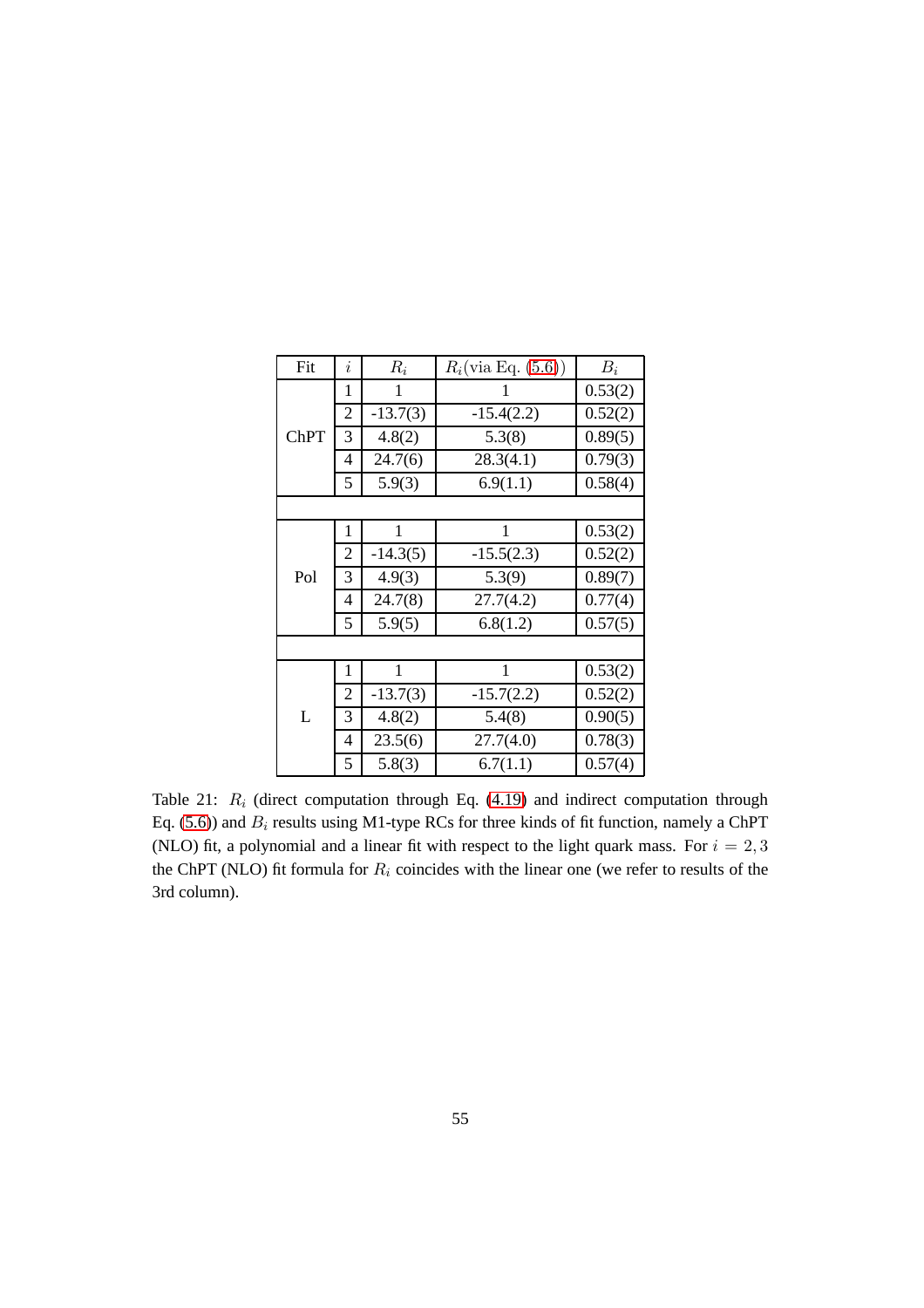| Fit         | $\dot{i}$      | $R_i$      | $R_i$ (via Eq. (5.6)) | $B_i$   |
|-------------|----------------|------------|-----------------------|---------|
|             | 1              | 1          | 1                     | 0.53(2) |
|             | $\overline{2}$ | $-13.7(3)$ | $-15.4(2.2)$          | 0.52(2) |
| <b>ChPT</b> | 3              | 4.8(2)     | 5.3(8)                | 0.89(5) |
|             | 4              | 24.7(6)    | 28.3(4.1)             | 0.79(3) |
|             | 5              | 5.9(3)     | 6.9(1.1)              | 0.58(4) |
|             |                |            |                       |         |
|             | 1              | 1          | 1                     | 0.53(2) |
|             | $\overline{2}$ | $-14.3(5)$ | $-15.5(2.3)$          | 0.52(2) |
| Pol         | 3              | 4.9(3)     | 5.3(9)                | 0.89(7) |
|             | 4              | 24.7(8)    | 27.7(4.2)             | 0.77(4) |
|             | 5              | 5.9(5)     | 6.8(1.2)              | 0.57(5) |
|             |                |            |                       |         |
|             | 1              | 1          | 1                     | 0.53(2) |
|             | $\overline{2}$ | $-13.7(3)$ | $-15.7(2.2)$          | 0.52(2) |
| L           | 3              | 4.8(2)     | 5.4(8)                | 0.90(5) |
|             | 4              | 23.5(6)    | 27.7(4.0)             | 0.78(3) |
|             | 5              | 5.8(3)     | 6.7(1.1)              | 0.57(4) |

<span id="page-56-0"></span>Table 21:  $R_i$  (direct computation through Eq. [\(4.19\)](#page-14-0) and indirect computation through Eq. [\(5.6\)](#page-22-0)) and  $B_i$  results using M1-type RCs for three kinds of fit function, namely a ChPT (NLO) fit, a polynomial and a linear fit with respect to the light quark mass. For  $i = 2, 3$ the ChPT (NLO) fit formula for  $R_i$  coincides with the linear one (we refer to results of the 3rd column).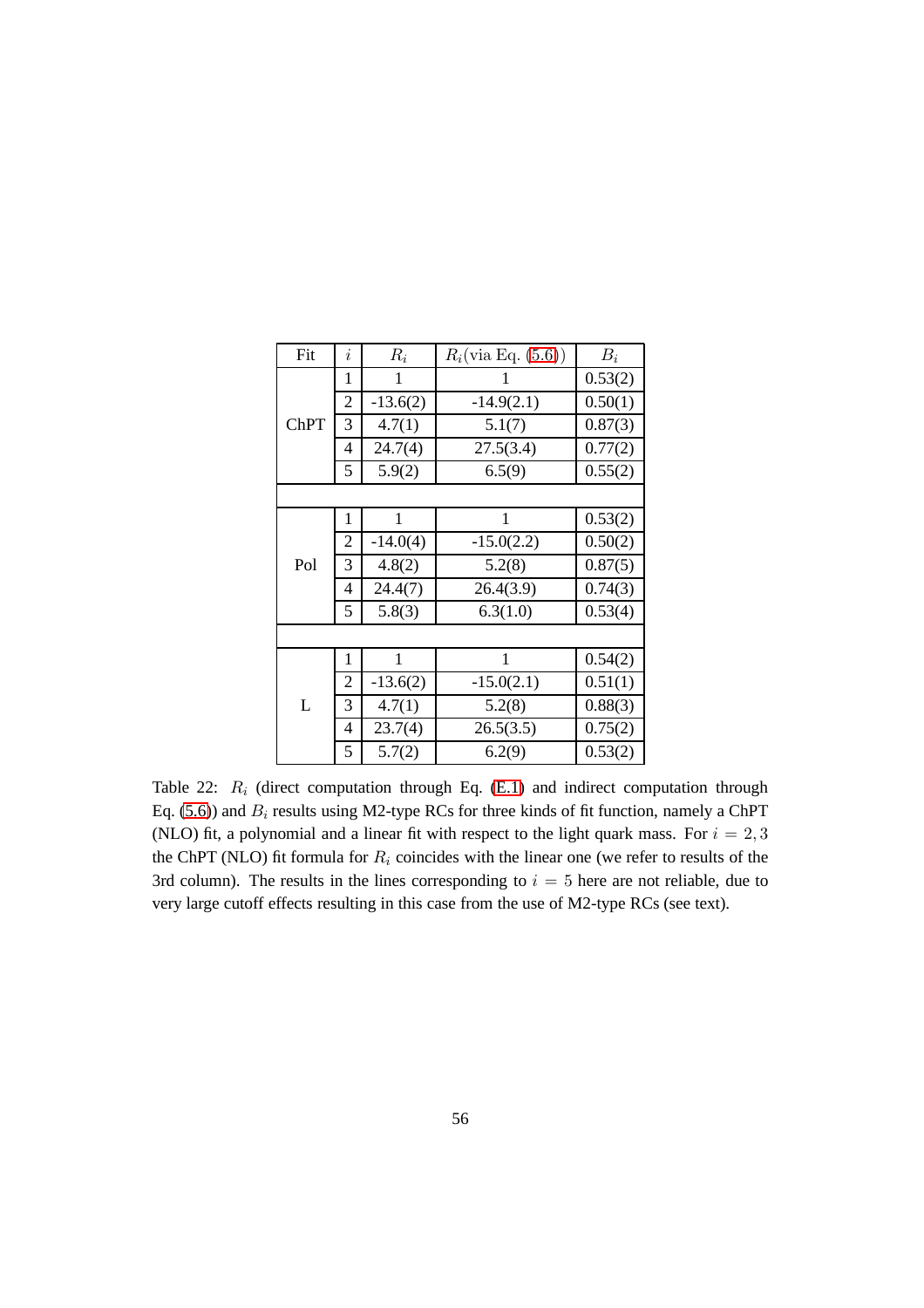| Fit         | i              | $R_i$      | $R_i$ (via Eq. (5.6)) | $B_i$   |
|-------------|----------------|------------|-----------------------|---------|
|             | 1              | 1          | 1                     | 0.53(2) |
|             | 2              | $-13.6(2)$ | $-14.9(2.1)$          | 0.50(1) |
| <b>ChPT</b> | 3              | 4.7(1)     | 5.1(7)                | 0.87(3) |
|             | 4              | 24.7(4)    | 27.5(3.4)             | 0.77(2) |
|             | 5              | 5.9(2)     | 6.5(9)                | 0.55(2) |
|             |                |            |                       |         |
|             | 1              | 1          | 1                     | 0.53(2) |
|             | $\overline{2}$ | $-14.0(4)$ | $-15.0(2.2)$          | 0.50(2) |
| Pol         | 3              | 4.8(2)     | 5.2(8)                | 0.87(5) |
|             | 4              | 24.4(7)    | 26.4(3.9)             | 0.74(3) |
|             | 5              | 5.8(3)     | 6.3(1.0)              | 0.53(4) |
|             |                |            |                       |         |
|             | 1              | 1          | 1                     | 0.54(2) |
|             | $\overline{2}$ | $-13.6(2)$ | $-15.0(2.1)$          | 0.51(1) |
| L           | 3              | 4.7(1)     | 5.2(8)                | 0.88(3) |
|             | 4              | 23.7(4)    | 26.5(3.5)             | 0.75(2) |
|             | 5              | 5.7(2)     | 6.2(9)                | 0.53(2) |

<span id="page-57-0"></span>Table 22:  $R_i$  (direct computation through Eq. [\(E.1\)](#page-55-1) and indirect computation through Eq. [\(5.6\)](#page-22-0)) and  $B_i$  results using M2-type RCs for three kinds of fit function, namely a ChPT (NLO) fit, a polynomial and a linear fit with respect to the light quark mass. For  $i = 2, 3$ the ChPT (NLO) fit formula for  $R_i$  coincides with the linear one (we refer to results of the 3rd column). The results in the lines corresponding to  $i = 5$  here are not reliable, due to very large cutoff effects resulting in this case from the use of M2-type RCs (see text).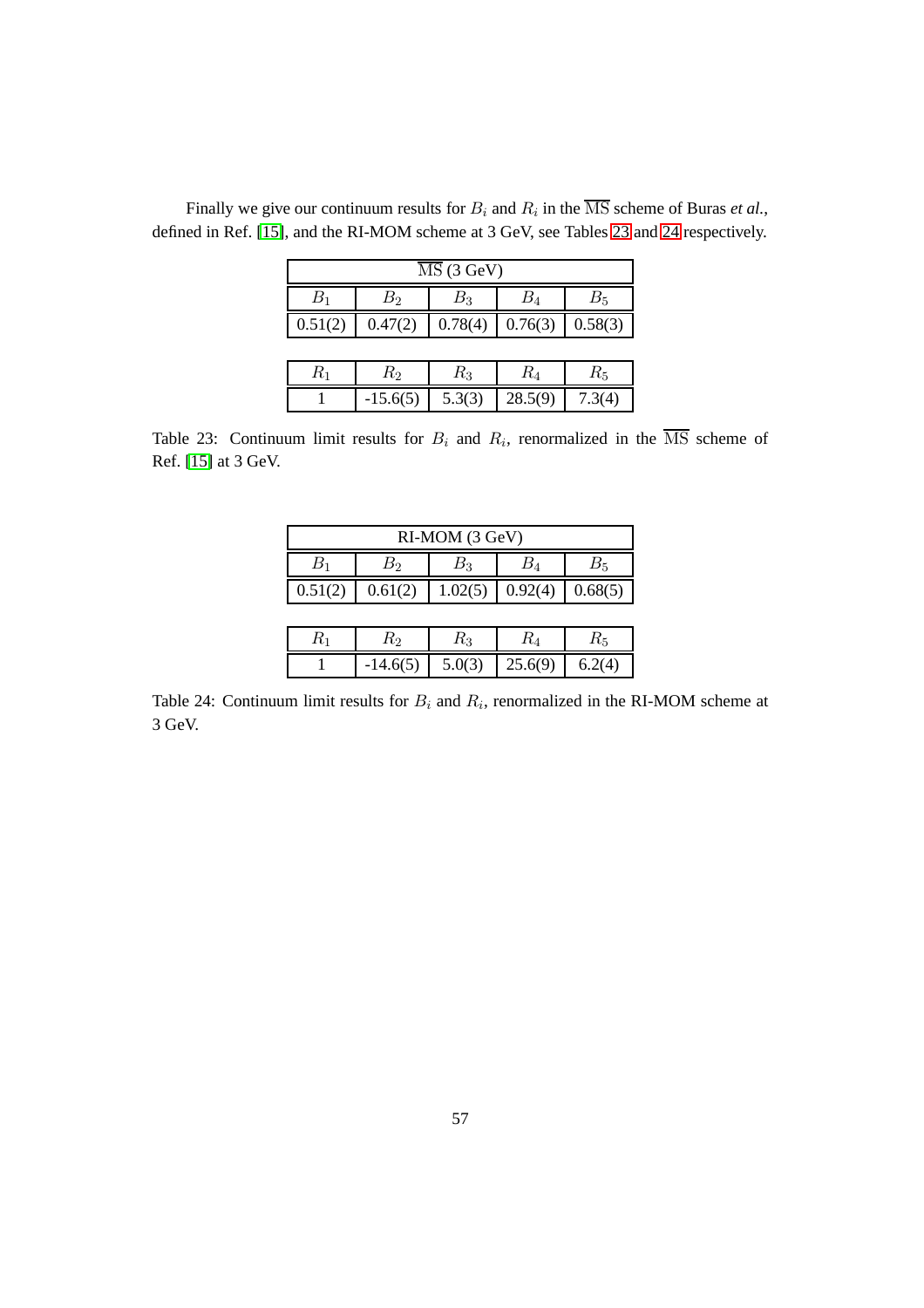| $\overline{\text{MS}}$ (3 GeV) |            |          |         |         |  |  |  |  |
|--------------------------------|------------|----------|---------|---------|--|--|--|--|
| $B_1$                          | $B_{2}$    | $B_{3}%$ | $B_4\,$ | $B_5$   |  |  |  |  |
| 0.51(2)                        | 0.47(2)    | 0.78(4)  | 0.76(3) | 0.58(3) |  |  |  |  |
|                                |            |          |         |         |  |  |  |  |
| $R_{\rm 1}$                    | $R_2$      | $R_3$    | $R_{4}$ | $R_5$   |  |  |  |  |
|                                | $-15.6(5)$ | 5.3(3)   | 28.5(9) | 7.3(4)  |  |  |  |  |

Finally we give our continuum results for  $B_i$  and  $R_i$  in the MS scheme of Buras *et al.*, defined in Ref. [\[15\]](#page-62-2), and the RI-MOM scheme at 3 GeV, see Tables [23](#page-58-0) and [24](#page-58-1) respectively.

<span id="page-58-0"></span>Table 23: Continuum limit results for  $B_i$  and  $R_i$ , renormalized in the  $\overline{\text{MS}}$  scheme of Ref. [\[15\]](#page-62-2) at 3 GeV.

| RI-MOM (3 GeV) |            |         |         |             |
|----------------|------------|---------|---------|-------------|
| $B_1$          | $B_2\,$    | $B_{3}$ | $B_4\,$ | $B_{\rm 5}$ |
| 0.51(2)        | 0.61(2)    | 1.02(5) | 0.92(4) | 0.68(5)     |
|                |            |         |         |             |
| $R_{1}$        | $R_{2}$    | $R_3$   | $R_{4}$ | $R_{\rm 5}$ |
|                | $-14.6(5)$ | 5.0(3)  | 25.6(9) | 6.2(4)      |

<span id="page-58-1"></span>Table 24: Continuum limit results for  $B_i$  and  $R_i$ , renormalized in the RI-MOM scheme at 3 GeV.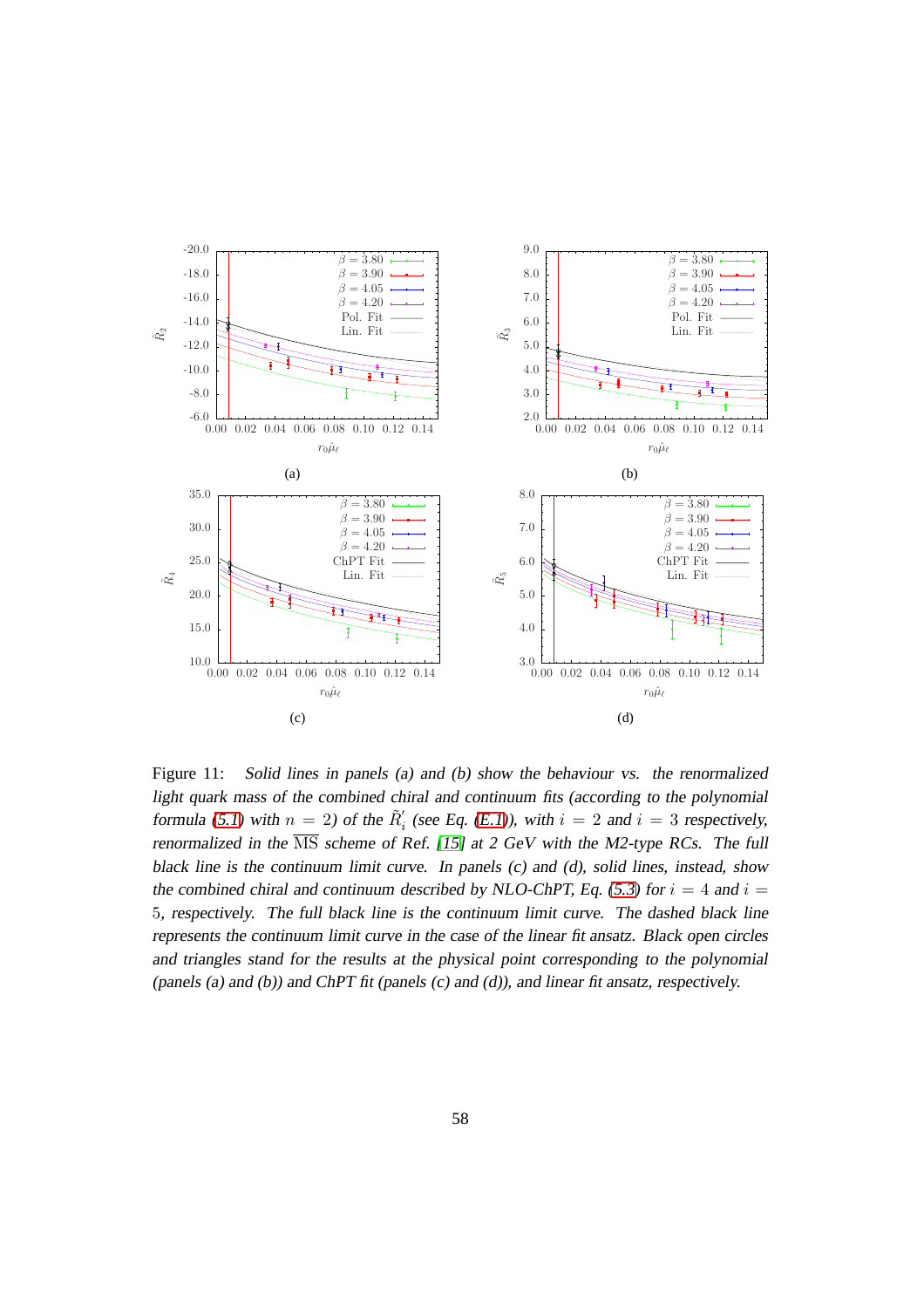

<span id="page-59-0"></span>Figure 11: Solid lines in panels (a) and (b) show the behaviour vs. the renormalized light quark mass of the combined chiral and continuum fits (according to the polynomial formula [\(5.1\)](#page-17-2) with  $n = 2$ ) of the  $\tilde{R}'_i$  $i<sub>i</sub>$  (see Eq. [\(E.1\)](#page-55-1)), with  $i = 2$  and  $i = 3$  respectively, renormalized in the  $\overline{\text{MS}}$  scheme of Ref. [\[15\]](#page-62-2) at 2 GeV with the M2-type RCs. The full black line is the continuum limit curve. In panels (c) and (d), solid lines, instead, show the combined chiral and continuum described by NLO-ChPT, Eq. [\(5.3\)](#page-19-0) for  $i = 4$  and  $i =$ 5, respectively. The full black line is the continuum limit curve. The dashed black line represents the continuum limit curve in the case of the linear fit ansatz. Black open circles and triangles stand for the results at the physical point corresponding to the polynomial (panels (a) and (b)) and ChPT fit (panels  $(c)$  and  $(d)$ ), and linear fit ansatz, respectively.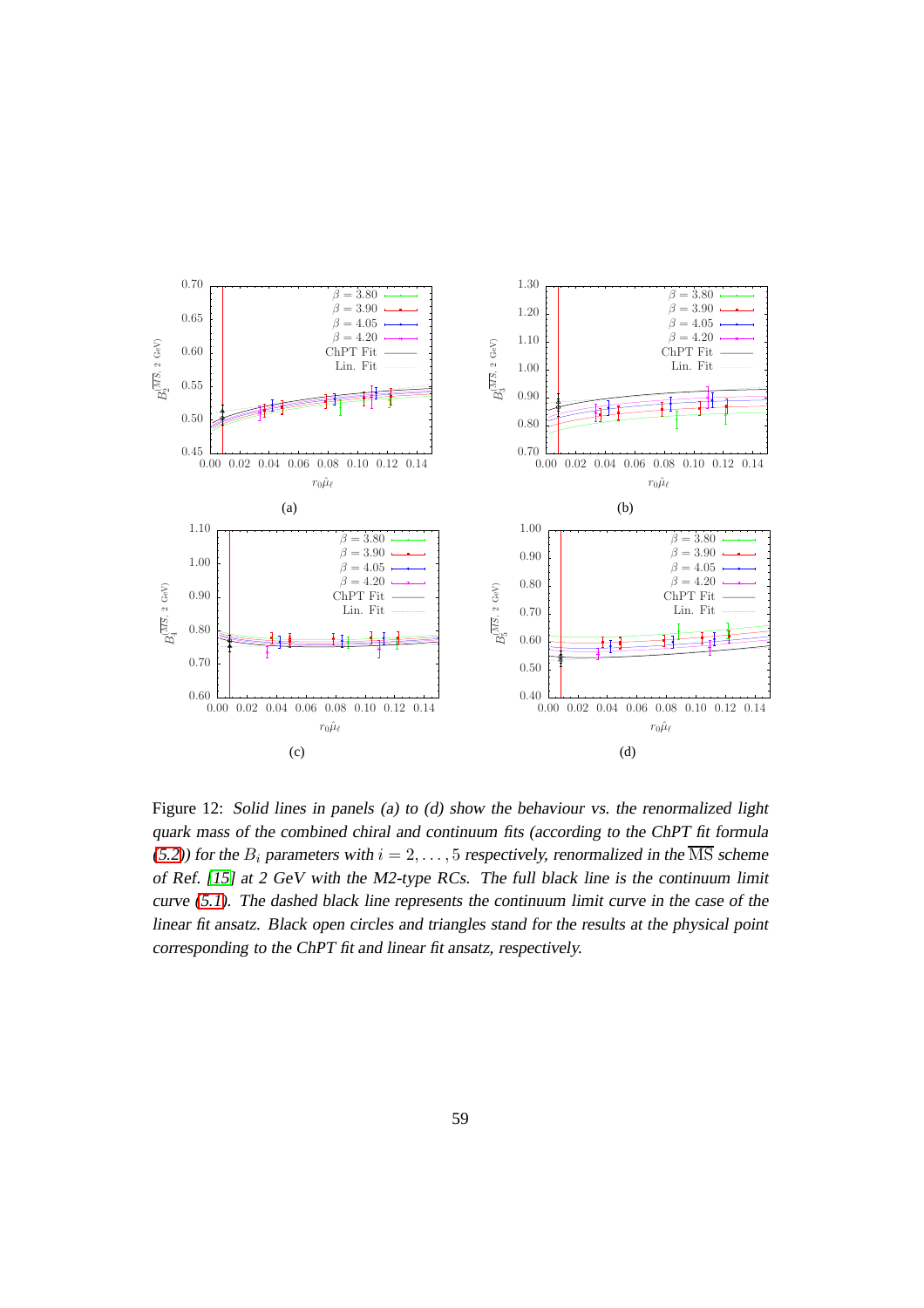

<span id="page-60-0"></span>Figure 12: Solid lines in panels (a) to (d) show the behaviour vs. the renormalized light quark mass of the combined chiral and continuum fits (according to the ChPT fit formula [\(5.2\)](#page-18-1)) for the  $B_i$  parameters with  $i = 2, \ldots, 5$  respectively, renormalized in the  $\overline{\text{MS}}$  scheme of Ref. [\[15\]](#page-62-2) at <sup>2</sup> GeV with the M2-type RCs. The full black line is the continuum limit curve [\(5.1\)](#page-17-2). The dashed black line represents the continuum limit curve in the case of the linear fit ansatz. Black open circles and triangles stand for the results at the physical point corresponding to the ChPT fit and linear fit ansatz, respectively.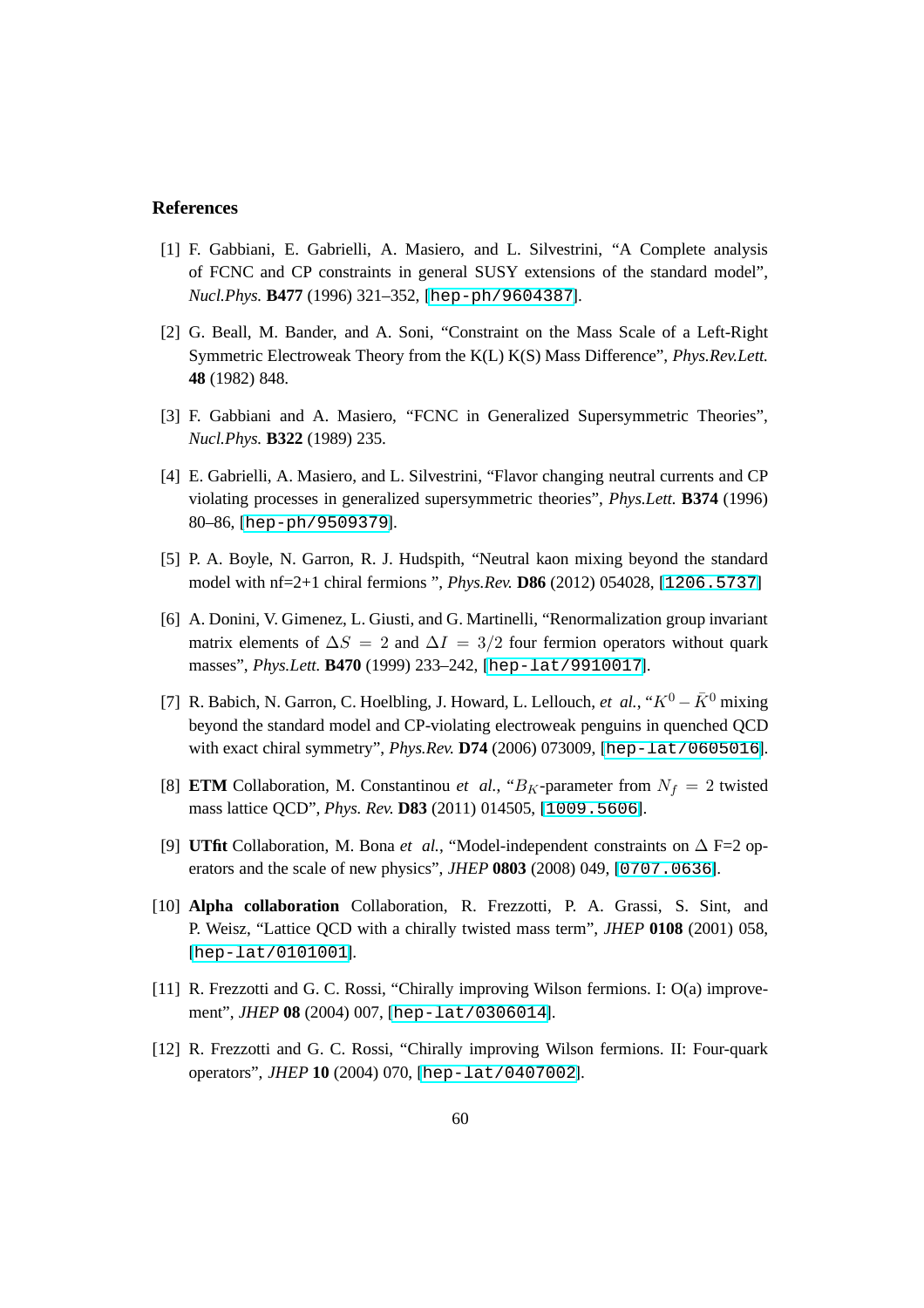#### <span id="page-61-0"></span>**References**

- [1] F. Gabbiani, E. Gabrielli, A. Masiero, and L. Silvestrini, "A Complete analysis of FCNC and CP constraints in general SUSY extensions of the standard model", *Nucl.Phys.* **B477** (1996) 321–352, [[hep-ph/9604387](http://xxx.lanl.gov/abs/hep-ph/9604387)].
- [2] G. Beall, M. Bander, and A. Soni, "Constraint on the Mass Scale of a Left-Right Symmetric Electroweak Theory from the K(L) K(S) Mass Difference", *Phys.Rev.Lett.* **48** (1982) 848.
- <span id="page-61-1"></span>[3] F. Gabbiani and A. Masiero, "FCNC in Generalized Supersymmetric Theories", *Nucl.Phys.* **B322** (1989) 235.
- [4] E. Gabrielli, A. Masiero, and L. Silvestrini, "Flavor changing neutral currents and CP violating processes in generalized supersymmetric theories", *Phys.Lett.* **B374** (1996) 80–86, [[hep-ph/9509379](http://xxx.lanl.gov/abs/hep-ph/9509379)].
- <span id="page-61-9"></span><span id="page-61-2"></span>[5] P. A. Boyle, N. Garron, R. J. Hudspith, "Neutral kaon mixing beyond the standard model with nf=2+1 chiral fermions ", *Phys.Rev.* **D86** (2012) 054028, [[1206.5737](http://xxx.lanl.gov/abs/1206.5737)]
- [6] A. Donini, V. Gimenez, L. Giusti, and G. Martinelli, "Renormalization group invariant matrix elements of  $\Delta S = 2$  and  $\Delta I = 3/2$  four fermion operators without quark masses", *Phys.Lett.* **B470** (1999) 233–242, [[hep-lat/9910017](http://xxx.lanl.gov/abs/hep-lat/9910017)].
- <span id="page-61-3"></span>[7] R. Babich, N. Garron, C. Hoelbling, J. Howard, L. Lellouch, *et al.*, " $K^0 - \overline{K}^0$  mixing beyond the standard model and CP-violating electroweak penguins in quenched QCD with exact chiral symmetry", *Phys.Rev.* **D74** (2006) 073009, [[hep-lat/0605016](http://xxx.lanl.gov/abs/hep-lat/0605016)].
- <span id="page-61-4"></span>[8] **ETM** Collaboration, M. Constantinou *et al.*, " $B_K$ -parameter from  $N_f = 2$  twisted mass lattice QCD", *Phys. Rev.* **D83** (2011) 014505, [[1009.5606](http://xxx.lanl.gov/abs/1009.5606)].
- <span id="page-61-5"></span>[9] **UTfit** Collaboration, M. Bona *et al.*, "Model-independent constraints on ∆ F=2 operators and the scale of new physics", *JHEP* **0803** (2008) 049, [[0707.0636](http://xxx.lanl.gov/abs/0707.0636)].
- <span id="page-61-6"></span>[10] **Alpha collaboration** Collaboration, R. Frezzotti, P. A. Grassi, S. Sint, and P. Weisz, "Lattice QCD with a chirally twisted mass term", *JHEP* **0108** (2001) 058, [[hep-lat/0101001](http://xxx.lanl.gov/abs/hep-lat/0101001)].
- <span id="page-61-8"></span><span id="page-61-7"></span>[11] R. Frezzotti and G. C. Rossi, "Chirally improving Wilson fermions. I: O(a) improvement", *JHEP* **08** (2004) 007, [[hep-lat/0306014](http://xxx.lanl.gov/abs/hep-lat/0306014)].
- [12] R. Frezzotti and G. C. Rossi, "Chirally improving Wilson fermions. II: Four-quark operators", *JHEP* **10** (2004) 070, [[hep-lat/0407002](http://xxx.lanl.gov/abs/hep-lat/0407002)].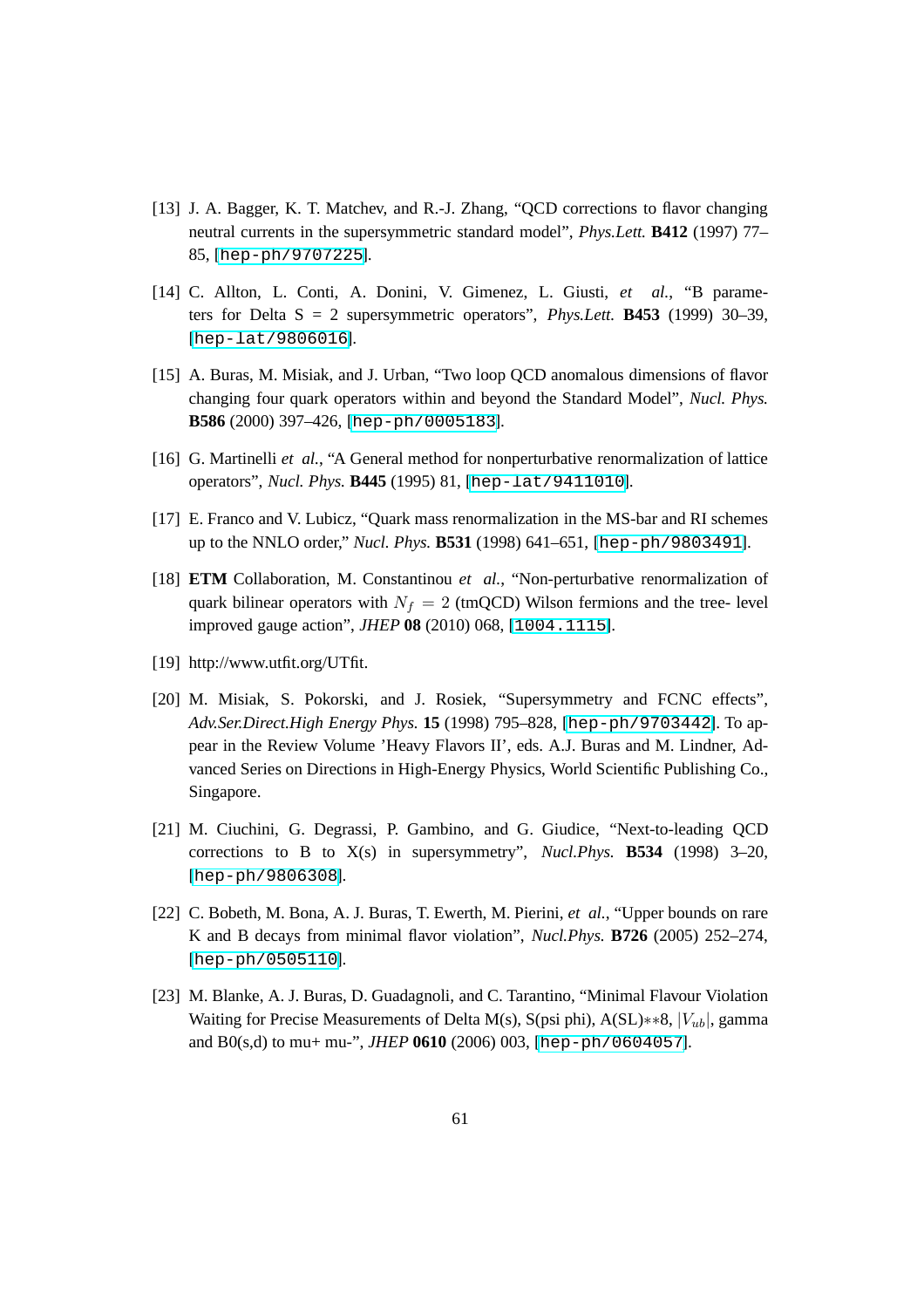- <span id="page-62-0"></span>[13] J. A. Bagger, K. T. Matchev, and R.-J. Zhang, "QCD corrections to flavor changing neutral currents in the supersymmetric standard model", *Phys.Lett.* **B412** (1997) 77– 85, [[hep-ph/9707225](http://xxx.lanl.gov/abs/hep-ph/9707225)].
- <span id="page-62-1"></span>[14] C. Allton, L. Conti, A. Donini, V. Gimenez, L. Giusti, *et al.*, "B parameters for Delta S = 2 supersymmetric operators", *Phys.Lett.* **B453** (1999) 30–39, [[hep-lat/9806016](http://xxx.lanl.gov/abs/hep-lat/9806016)].
- <span id="page-62-2"></span>[15] A. Buras, M. Misiak, and J. Urban, "Two loop QCD anomalous dimensions of flavor changing four quark operators within and beyond the Standard Model", *Nucl. Phys.* **B586** (2000) 397–426, [[hep-ph/0005183](http://xxx.lanl.gov/abs/hep-ph/0005183)].
- <span id="page-62-4"></span><span id="page-62-3"></span>[16] G. Martinelli *et al.*, "A General method for nonperturbative renormalization of lattice operators", *Nucl. Phys.* **B445** (1995) 81, [[hep-lat/9411010](http://xxx.lanl.gov/abs/hep-lat/9411010)].
- <span id="page-62-5"></span>[17] E. Franco and V. Lubicz, "Quark mass renormalization in the MS-bar and RI schemes up to the NNLO order," *Nucl. Phys.* **B531** (1998) 641–651, [[hep-ph/9803491](http://xxx.lanl.gov/abs/hep-ph/9803491)].
- [18] **ETM** Collaboration, M. Constantinou *et al.*, "Non-perturbative renormalization of quark bilinear operators with  $N_f = 2$  (tmQCD) Wilson fermions and the tree- level improved gauge action", *JHEP* **08** (2010) 068, [[1004.1115](http://xxx.lanl.gov/abs/1004.1115)].
- <span id="page-62-7"></span><span id="page-62-6"></span>[19] http://www.utfit.org/UTfit.
- [20] M. Misiak, S. Pokorski, and J. Rosiek, "Supersymmetry and FCNC effects", *Adv.Ser.Direct.High Energy Phys.* **15** (1998) 795–828, [[hep-ph/9703442](http://xxx.lanl.gov/abs/hep-ph/9703442)]. To appear in the Review Volume 'Heavy Flavors II', eds. A.J. Buras and M. Lindner, Advanced Series on Directions in High-Energy Physics, World Scientific Publishing Co., Singapore.
- [21] M. Ciuchini, G. Degrassi, P. Gambino, and G. Giudice, "Next-to-leading QCD corrections to B to X(s) in supersymmetry", *Nucl.Phys.* **B534** (1998) 3–20, [[hep-ph/9806308](http://xxx.lanl.gov/abs/hep-ph/9806308)].
- [22] C. Bobeth, M. Bona, A. J. Buras, T. Ewerth, M. Pierini, *et al.*, "Upper bounds on rare K and B decays from minimal flavor violation", *Nucl.Phys.* **B726** (2005) 252–274, [[hep-ph/0505110](http://xxx.lanl.gov/abs/hep-ph/0505110)].
- [23] M. Blanke, A. J. Buras, D. Guadagnoli, and C. Tarantino, "Minimal Flavour Violation Waiting for Precise Measurements of Delta M(s), S(psi phi), A(SL) $**8$ ,  $|V_{ub}|$ , gamma and B0(s,d) to mu+ mu-", *JHEP* **0610** (2006) 003, [[hep-ph/0604057](http://xxx.lanl.gov/abs/hep-ph/0604057)].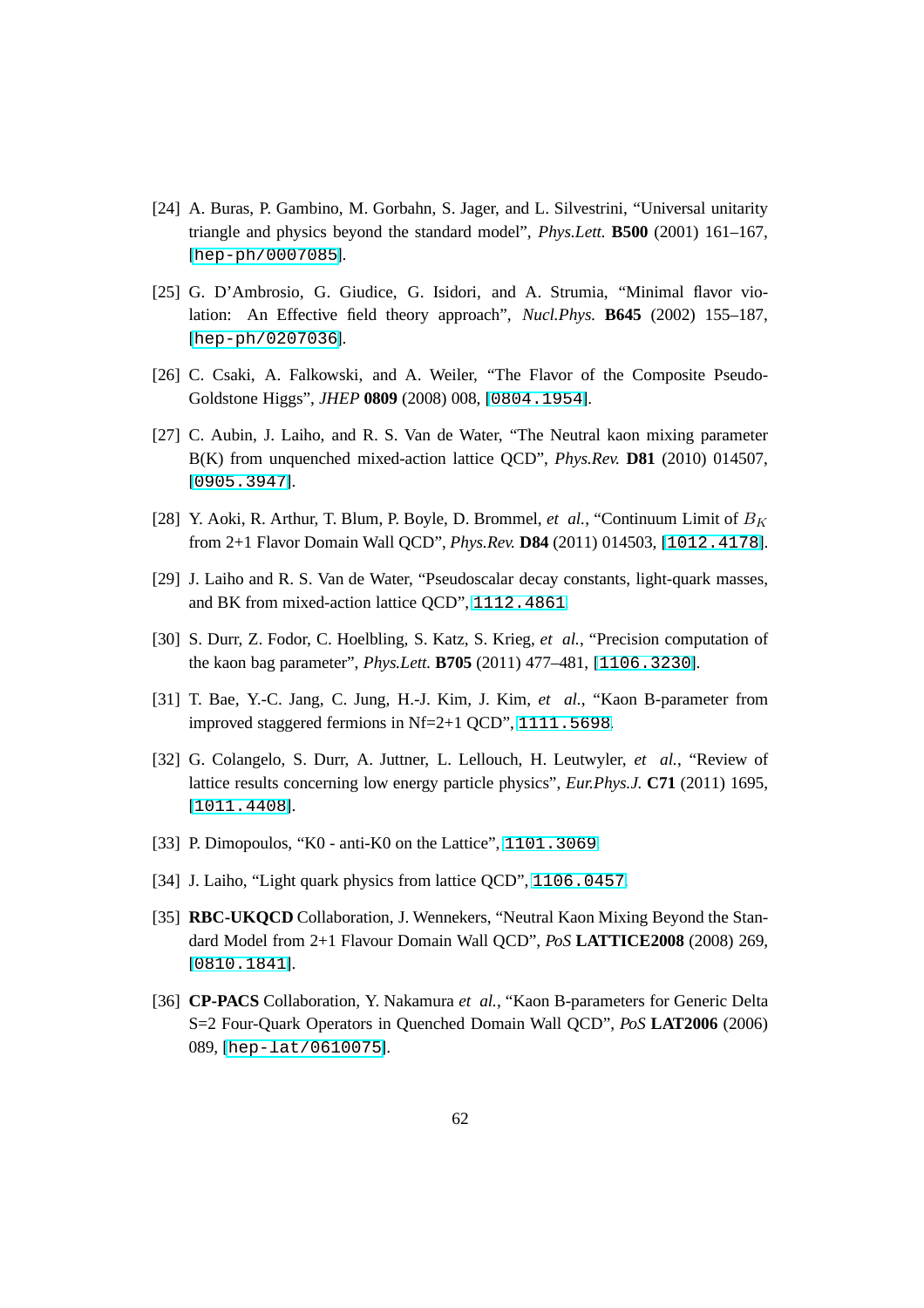- [24] A. Buras, P. Gambino, M. Gorbahn, S. Jager, and L. Silvestrini, "Universal unitarity triangle and physics beyond the standard model", *Phys.Lett.* **B500** (2001) 161–167, [[hep-ph/0007085](http://xxx.lanl.gov/abs/hep-ph/0007085)].
- <span id="page-63-0"></span>[25] G. D'Ambrosio, G. Giudice, G. Isidori, and A. Strumia, "Minimal flavor violation: An Effective field theory approach", *Nucl.Phys.* **B645** (2002) 155–187, [[hep-ph/0207036](http://xxx.lanl.gov/abs/hep-ph/0207036)].
- <span id="page-63-2"></span><span id="page-63-1"></span>[26] C. Csaki, A. Falkowski, and A. Weiler, "The Flavor of the Composite Pseudo-Goldstone Higgs", *JHEP* **0809** (2008) 008, [[0804.1954](http://xxx.lanl.gov/abs/0804.1954)].
- [27] C. Aubin, J. Laiho, and R. S. Van de Water, "The Neutral kaon mixing parameter B(K) from unquenched mixed-action lattice QCD", *Phys.Rev.* **D81** (2010) 014507, [[0905.3947](http://xxx.lanl.gov/abs/0905.3947)].
- [28] Y. Aoki, R. Arthur, T. Blum, P. Boyle, D. Brommel, *et al.*, "Continuum Limit of  $B_K$ from 2+1 Flavor Domain Wall QCD", *Phys.Rev.* **D84** (2011) 014503, [[1012.4178](http://xxx.lanl.gov/abs/1012.4178)].
- [29] J. Laiho and R. S. Van de Water, "Pseudoscalar decay constants, light-quark masses, and BK from mixed-action lattice QCD", [1112.4861](http://xxx.lanl.gov/abs/1112.4861).
- <span id="page-63-3"></span>[30] S. Durr, Z. Fodor, C. Hoelbling, S. Katz, S. Krieg, *et al.*, "Precision computation of the kaon bag parameter", *Phys.Lett.* **B705** (2011) 477–481, [[1106.3230](http://xxx.lanl.gov/abs/1106.3230)].
- <span id="page-63-4"></span>[31] T. Bae, Y.-C. Jang, C. Jung, H.-J. Kim, J. Kim, *et al.*, "Kaon B-parameter from improved staggered fermions in Nf=2+1 QCD", [1111.5698](http://xxx.lanl.gov/abs/1111.5698).
- [32] G. Colangelo, S. Durr, A. Juttner, L. Lellouch, H. Leutwyler, *et al.*, "Review of lattice results concerning low energy particle physics", *Eur.Phys.J.* **C71** (2011) 1695, [[1011.4408](http://xxx.lanl.gov/abs/1011.4408)].
- <span id="page-63-5"></span>[33] P. Dimopoulos, "K0 - anti-K0 on the Lattice", [1101.3069](http://xxx.lanl.gov/abs/1101.3069).
- <span id="page-63-7"></span>[34] J. Laiho, "Light quark physics from lattice QCD", [1106.0457](http://xxx.lanl.gov/abs/1106.0457).
- [35] **RBC-UKQCD** Collaboration, J. Wennekers, "Neutral Kaon Mixing Beyond the Standard Model from 2+1 Flavour Domain Wall QCD", *PoS* **LATTICE2008** (2008) 269, [[0810.1841](http://xxx.lanl.gov/abs/0810.1841)].
- <span id="page-63-6"></span>[36] **CP-PACS** Collaboration, Y. Nakamura *et al.*, "Kaon B-parameters for Generic Delta S=2 Four-Quark Operators in Quenched Domain Wall QCD", *PoS* **LAT2006** (2006) 089, [[hep-lat/0610075](http://xxx.lanl.gov/abs/hep-lat/0610075)].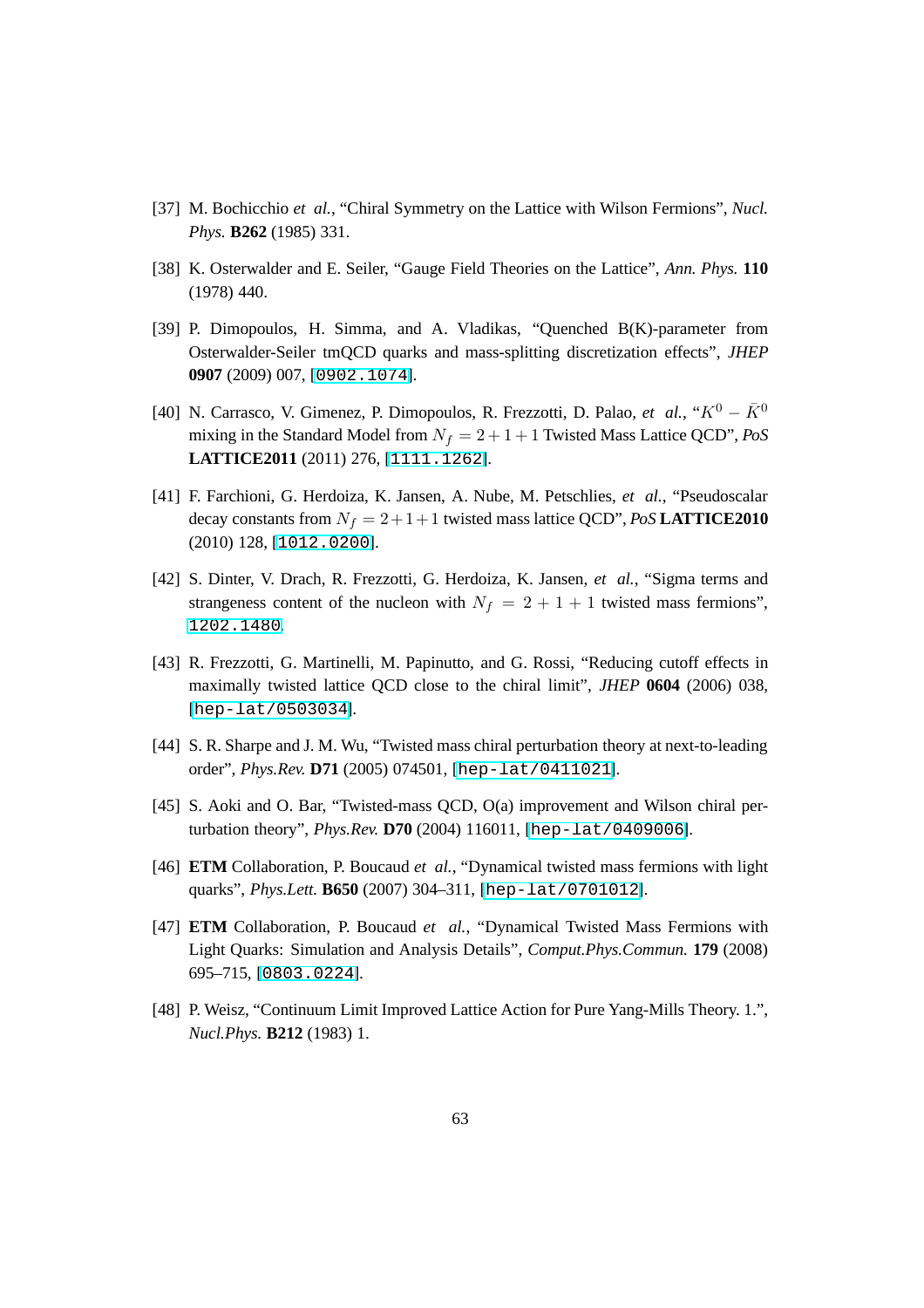- <span id="page-64-1"></span><span id="page-64-0"></span>[37] M. Bochicchio *et al.*, "Chiral Symmetry on the Lattice with Wilson Fermions", *Nucl. Phys.* **B262** (1985) 331.
- <span id="page-64-2"></span>[38] K. Osterwalder and E. Seiler, "Gauge Field Theories on the Lattice", *Ann. Phys.* **110** (1978) 440.
- [39] P. Dimopoulos, H. Simma, and A. Vladikas, "Quenched B(K)-parameter from Osterwalder-Seiler tmQCD quarks and mass-splitting discretization effects", *JHEP* **0907** (2009) 007, [[0902.1074](http://xxx.lanl.gov/abs/0902.1074)].
- <span id="page-64-3"></span>[40] N. Carrasco, V. Gimenez, P. Dimopoulos, R. Frezzotti, D. Palao, *et al.*, " $K^0 - \overline{K}^0$ mixing in the Standard Model from  $N_f = 2 + 1 + 1$  Twisted Mass Lattice QCD", *PoS* **LATTICE2011** (2011) 276, [[1111.1262](http://xxx.lanl.gov/abs/1111.1262)].
- <span id="page-64-4"></span>[41] F. Farchioni, G. Herdoiza, K. Jansen, A. Nube, M. Petschlies, *et al.*, "Pseudoscalar decay constants from  $N_f = 2 + 1 + 1$  twisted mass lattice QCD", *PoS* **LATTICE2010** (2010) 128, [[1012.0200](http://xxx.lanl.gov/abs/1012.0200)].
- <span id="page-64-5"></span>[42] S. Dinter, V. Drach, R. Frezzotti, G. Herdoiza, K. Jansen, *et al.*, "Sigma terms and strangeness content of the nucleon with  $N_f = 2 + 1 + 1$  twisted mass fermions", [1202.1480](http://xxx.lanl.gov/abs/1202.1480).
- <span id="page-64-6"></span>[43] R. Frezzotti, G. Martinelli, M. Papinutto, and G. Rossi, "Reducing cutoff effects in maximally twisted lattice QCD close to the chiral limit", *JHEP* **0604** (2006) 038, [[hep-lat/0503034](http://xxx.lanl.gov/abs/hep-lat/0503034)].
- <span id="page-64-7"></span>[44] S. R. Sharpe and J. M. Wu, "Twisted mass chiral perturbation theory at next-to-leading order", *Phys.Rev.* **D71** (2005) 074501, [[hep-lat/0411021](http://xxx.lanl.gov/abs/hep-lat/0411021)].
- <span id="page-64-8"></span>[45] S. Aoki and O. Bar, "Twisted-mass QCD, O(a) improvement and Wilson chiral perturbation theory", *Phys.Rev.* **D70** (2004) 116011, [[hep-lat/0409006](http://xxx.lanl.gov/abs/hep-lat/0409006)].
- <span id="page-64-9"></span>[46] **ETM** Collaboration, P. Boucaud *et al.*, "Dynamical twisted mass fermions with light quarks", *Phys.Lett.* **B650** (2007) 304–311, [[hep-lat/0701012](http://xxx.lanl.gov/abs/hep-lat/0701012)].
- [47] **ETM** Collaboration, P. Boucaud *et al.*, "Dynamical Twisted Mass Fermions with Light Quarks: Simulation and Analysis Details", *Comput.Phys.Commun.* **179** (2008) 695–715, [[0803.0224](http://xxx.lanl.gov/abs/0803.0224)].
- <span id="page-64-10"></span>[48] P. Weisz, "Continuum Limit Improved Lattice Action for Pure Yang-Mills Theory. 1.", *Nucl.Phys.* **B212** (1983) 1.